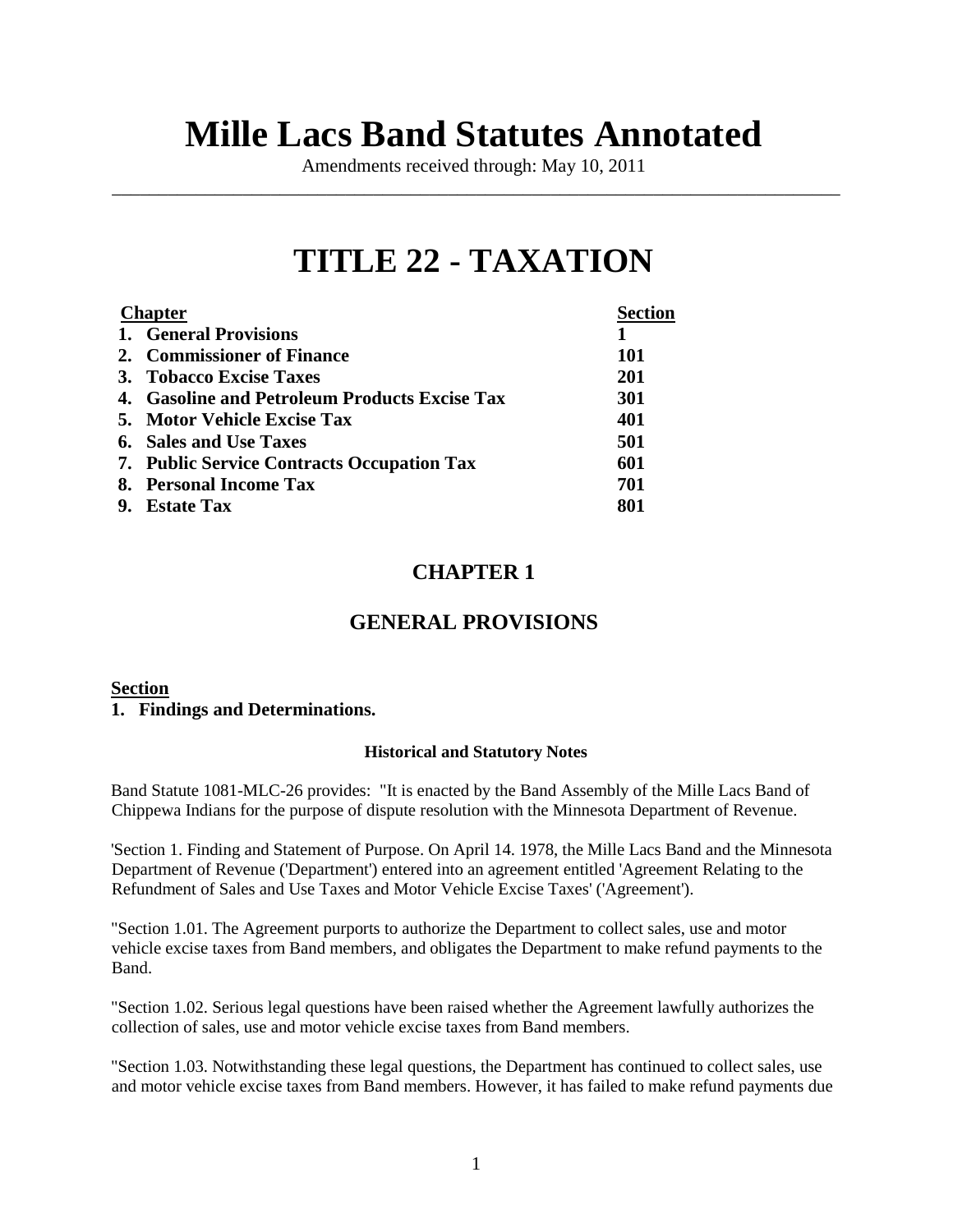# **Mille Lacs Band Statutes Annotated**

Amendments received through: May 10, 2011 \_\_\_\_\_\_\_\_\_\_\_\_\_\_\_\_\_\_\_\_\_\_\_\_\_\_\_\_\_\_\_\_\_\_\_\_\_\_\_\_\_\_\_\_\_\_\_\_\_\_\_\_\_\_\_\_\_\_\_\_\_\_\_\_\_\_\_\_\_\_\_\_\_\_\_\_\_\_

# **TITLE 22 - TAXATION**

| <b>Chapter</b>                                    | <b>Section</b> |
|---------------------------------------------------|----------------|
| 1. General Provisions                             |                |
| 2. Commissioner of Finance                        | <b>101</b>     |
| 3. Tobacco Excise Taxes                           | <b>201</b>     |
| 4. Gasoline and Petroleum Products Excise Tax     | <b>301</b>     |
| 5. Motor Vehicle Excise Tax                       | 401            |
| <b>6.</b> Sales and Use Taxes                     | 501            |
| <b>7. Public Service Contracts Occupation Tax</b> | 601            |
| 8. Personal Income Tax                            | 701            |
| 9. Estate Tax                                     | 801            |
|                                                   |                |

# **CHAPTER 1**

# **GENERAL PROVISIONS**

#### **Section**

#### **1. Findings and Determinations.**

#### **Historical and Statutory Notes**

Band Statute 1081-MLC-26 provides: "It is enacted by the Band Assembly of the Mille Lacs Band of Chippewa Indians for the purpose of dispute resolution with the Minnesota Department of Revenue.

'Section 1. Finding and Statement of Purpose. On April 14. 1978, the Mille Lacs Band and the Minnesota Department of Revenue ('Department') entered into an agreement entitled 'Agreement Relating to the Refundment of Sales and Use Taxes and Motor Vehicle Excise Taxes' ('Agreement').

"Section 1.01. The Agreement purports to authorize the Department to collect sales, use and motor vehicle excise taxes from Band members, and obligates the Department to make refund payments to the Band.

"Section 1.02. Serious legal questions have been raised whether the Agreement lawfully authorizes the collection of sales, use and motor vehicle excise taxes from Band members.

"Section 1.03. Notwithstanding these legal questions, the Department has continued to collect sales, use and motor vehicle excise taxes from Band members. However, it has failed to make refund payments due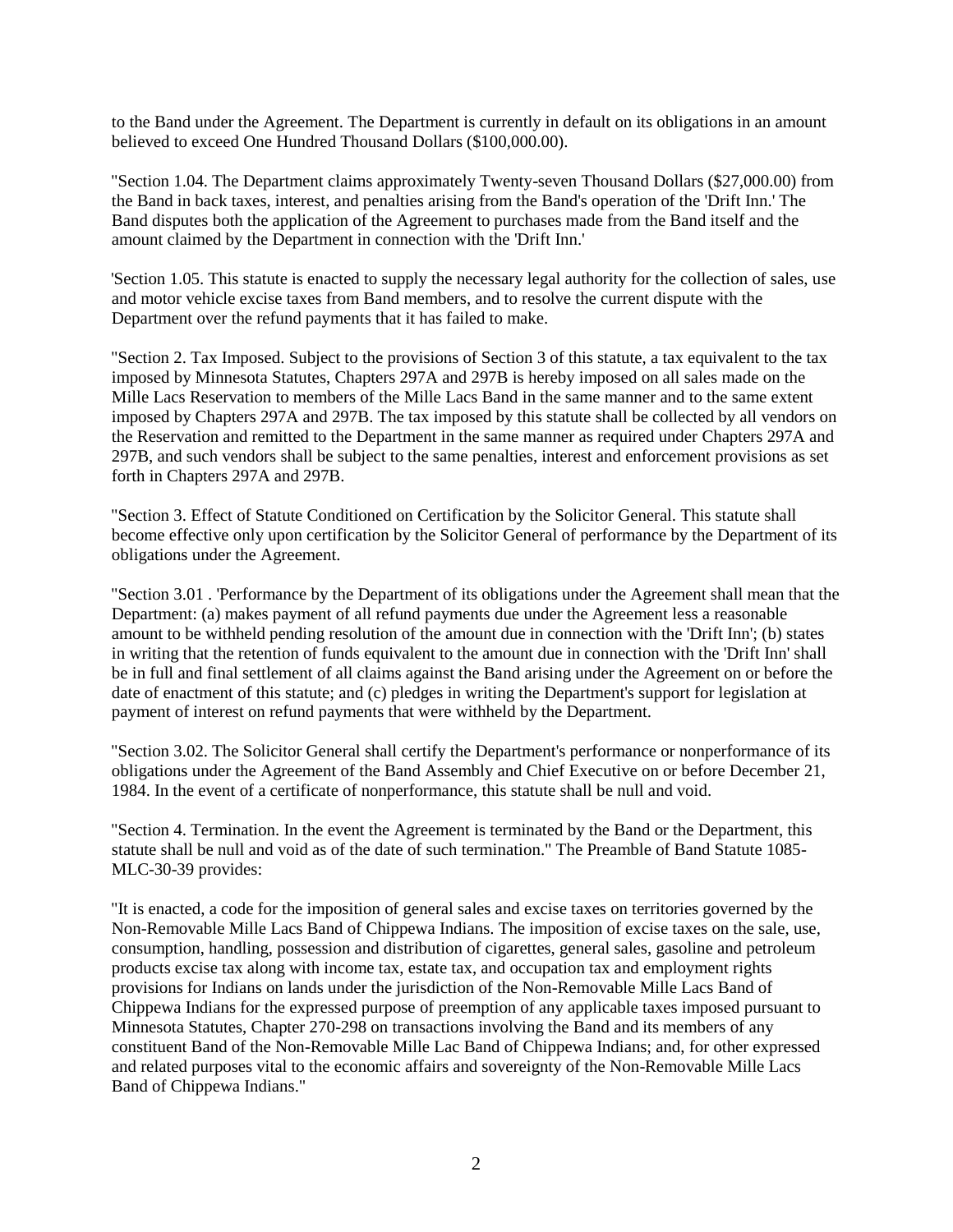to the Band under the Agreement. The Department is currently in default on its obligations in an amount believed to exceed One Hundred Thousand Dollars (\$100,000.00).

"Section 1.04. The Department claims approximately Twenty-seven Thousand Dollars (\$27,000.00) from the Band in back taxes, interest, and penalties arising from the Band's operation of the 'Drift Inn.' The Band disputes both the application of the Agreement to purchases made from the Band itself and the amount claimed by the Department in connection with the 'Drift Inn.'

'Section 1.05. This statute is enacted to supply the necessary legal authority for the collection of sales, use and motor vehicle excise taxes from Band members, and to resolve the current dispute with the Department over the refund payments that it has failed to make.

"Section 2. Tax Imposed. Subject to the provisions of Section 3 of this statute, a tax equivalent to the tax imposed by Minnesota Statutes, Chapters 297A and 297B is hereby imposed on all sales made on the Mille Lacs Reservation to members of the Mille Lacs Band in the same manner and to the same extent imposed by Chapters 297A and 297B. The tax imposed by this statute shall be collected by all vendors on the Reservation and remitted to the Department in the same manner as required under Chapters 297A and 297B, and such vendors shall be subject to the same penalties, interest and enforcement provisions as set forth in Chapters 297A and 297B.

"Section 3. Effect of Statute Conditioned on Certification by the Solicitor General. This statute shall become effective only upon certification by the Solicitor General of performance by the Department of its obligations under the Agreement.

"Section 3.01 . 'Performance by the Department of its obligations under the Agreement shall mean that the Department: (a) makes payment of all refund payments due under the Agreement less a reasonable amount to be withheld pending resolution of the amount due in connection with the 'Drift Inn'; (b) states in writing that the retention of funds equivalent to the amount due in connection with the 'Drift Inn' shall be in full and final settlement of all claims against the Band arising under the Agreement on or before the date of enactment of this statute; and (c) pledges in writing the Department's support for legislation at payment of interest on refund payments that were withheld by the Department.

"Section 3.02. The Solicitor General shall certify the Department's performance or nonperformance of its obligations under the Agreement of the Band Assembly and Chief Executive on or before December 21, 1984. In the event of a certificate of nonperformance, this statute shall be null and void.

"Section 4. Termination. In the event the Agreement is terminated by the Band or the Department, this statute shall be null and void as of the date of such termination." The Preamble of Band Statute 1085- MLC-30-39 provides:

"It is enacted, a code for the imposition of general sales and excise taxes on territories governed by the Non-Removable Mille Lacs Band of Chippewa Indians. The imposition of excise taxes on the sale, use, consumption, handling, possession and distribution of cigarettes, general sales, gasoline and petroleum products excise tax along with income tax, estate tax, and occupation tax and employment rights provisions for Indians on lands under the jurisdiction of the Non-Removable Mille Lacs Band of Chippewa Indians for the expressed purpose of preemption of any applicable taxes imposed pursuant to Minnesota Statutes, Chapter 270-298 on transactions involving the Band and its members of any constituent Band of the Non-Removable Mille Lac Band of Chippewa Indians; and, for other expressed and related purposes vital to the economic affairs and sovereignty of the Non-Removable Mille Lacs Band of Chippewa Indians."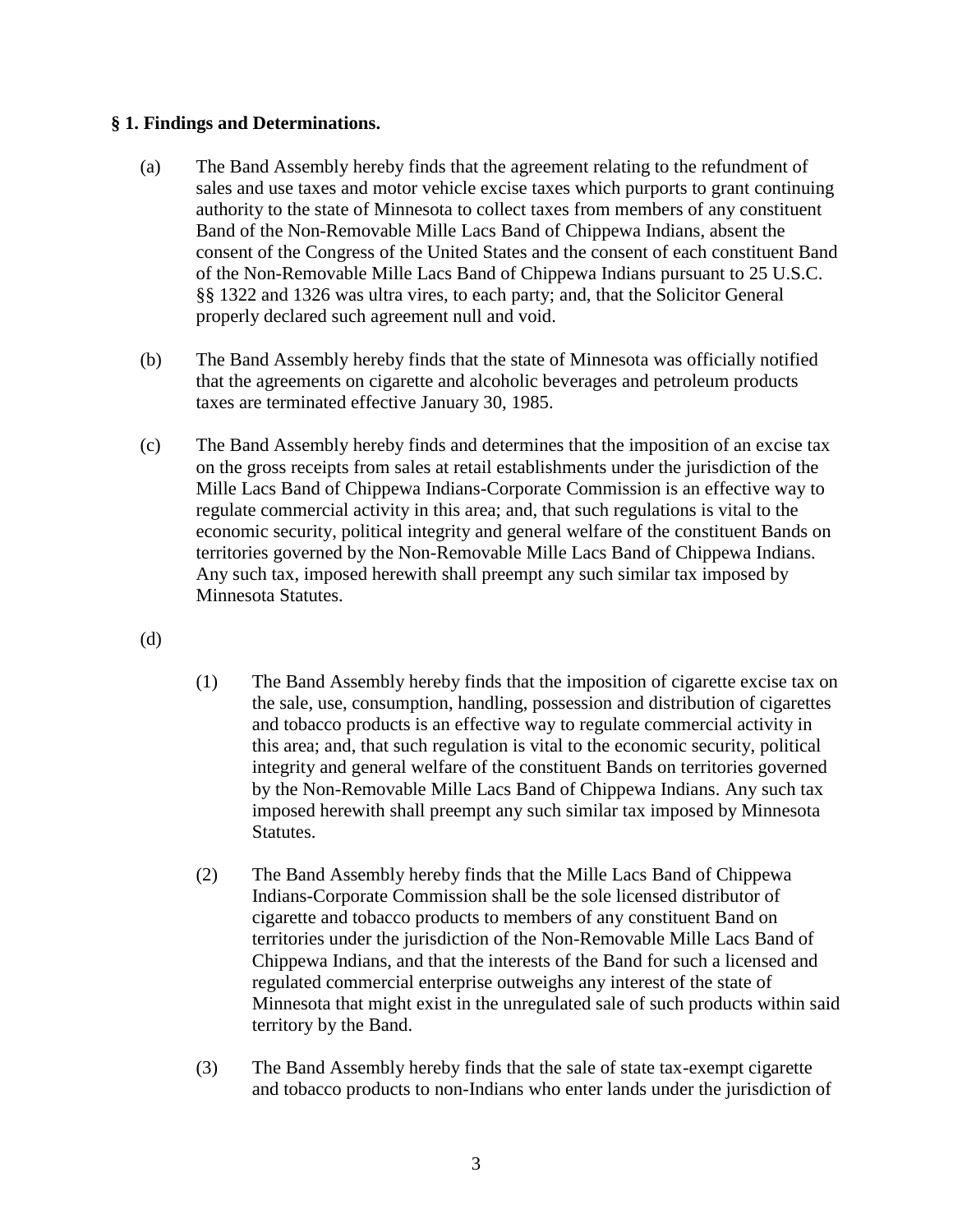# **§ 1. Findings and Determinations.**

- (a) The Band Assembly hereby finds that the agreement relating to the refundment of sales and use taxes and motor vehicle excise taxes which purports to grant continuing authority to the state of Minnesota to collect taxes from members of any constituent Band of the Non-Removable Mille Lacs Band of Chippewa Indians, absent the consent of the Congress of the United States and the consent of each constituent Band of the Non-Removable Mille Lacs Band of Chippewa Indians pursuant to 25 U.S.C. §§ 1322 and 1326 was ultra vires, to each party; and, that the Solicitor General properly declared such agreement null and void.
- (b) The Band Assembly hereby finds that the state of Minnesota was officially notified that the agreements on cigarette and alcoholic beverages and petroleum products taxes are terminated effective January 30, 1985.
- (c) The Band Assembly hereby finds and determines that the imposition of an excise tax on the gross receipts from sales at retail establishments under the jurisdiction of the Mille Lacs Band of Chippewa Indians-Corporate Commission is an effective way to regulate commercial activity in this area; and, that such regulations is vital to the economic security, political integrity and general welfare of the constituent Bands on territories governed by the Non-Removable Mille Lacs Band of Chippewa Indians. Any such tax, imposed herewith shall preempt any such similar tax imposed by Minnesota Statutes.

(d)

- (1) The Band Assembly hereby finds that the imposition of cigarette excise tax on the sale, use, consumption, handling, possession and distribution of cigarettes and tobacco products is an effective way to regulate commercial activity in this area; and, that such regulation is vital to the economic security, political integrity and general welfare of the constituent Bands on territories governed by the Non-Removable Mille Lacs Band of Chippewa Indians. Any such tax imposed herewith shall preempt any such similar tax imposed by Minnesota Statutes.
- (2) The Band Assembly hereby finds that the Mille Lacs Band of Chippewa Indians-Corporate Commission shall be the sole licensed distributor of cigarette and tobacco products to members of any constituent Band on territories under the jurisdiction of the Non-Removable Mille Lacs Band of Chippewa Indians, and that the interests of the Band for such a licensed and regulated commercial enterprise outweighs any interest of the state of Minnesota that might exist in the unregulated sale of such products within said territory by the Band.
- (3) The Band Assembly hereby finds that the sale of state tax-exempt cigarette and tobacco products to non-Indians who enter lands under the jurisdiction of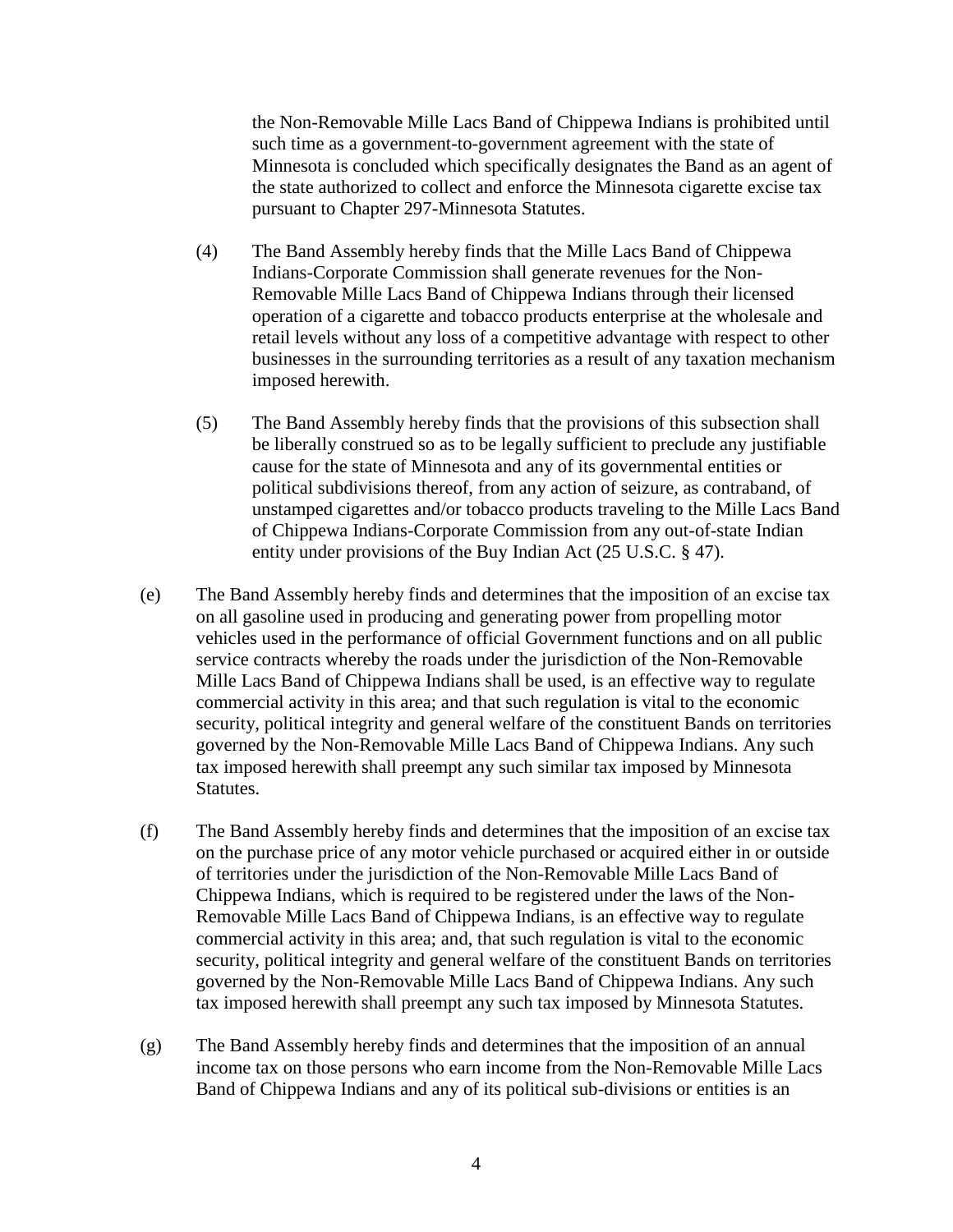the Non-Removable Mille Lacs Band of Chippewa Indians is prohibited until such time as a government-to-government agreement with the state of Minnesota is concluded which specifically designates the Band as an agent of the state authorized to collect and enforce the Minnesota cigarette excise tax pursuant to Chapter 297-Minnesota Statutes.

- (4) The Band Assembly hereby finds that the Mille Lacs Band of Chippewa Indians-Corporate Commission shall generate revenues for the Non-Removable Mille Lacs Band of Chippewa Indians through their licensed operation of a cigarette and tobacco products enterprise at the wholesale and retail levels without any loss of a competitive advantage with respect to other businesses in the surrounding territories as a result of any taxation mechanism imposed herewith.
- (5) The Band Assembly hereby finds that the provisions of this subsection shall be liberally construed so as to be legally sufficient to preclude any justifiable cause for the state of Minnesota and any of its governmental entities or political subdivisions thereof, from any action of seizure, as contraband, of unstamped cigarettes and/or tobacco products traveling to the Mille Lacs Band of Chippewa Indians-Corporate Commission from any out-of-state Indian entity under provisions of the Buy Indian Act (25 U.S.C. § 47).
- (e) The Band Assembly hereby finds and determines that the imposition of an excise tax on all gasoline used in producing and generating power from propelling motor vehicles used in the performance of official Government functions and on all public service contracts whereby the roads under the jurisdiction of the Non-Removable Mille Lacs Band of Chippewa Indians shall be used, is an effective way to regulate commercial activity in this area; and that such regulation is vital to the economic security, political integrity and general welfare of the constituent Bands on territories governed by the Non-Removable Mille Lacs Band of Chippewa Indians. Any such tax imposed herewith shall preempt any such similar tax imposed by Minnesota Statutes.
- (f) The Band Assembly hereby finds and determines that the imposition of an excise tax on the purchase price of any motor vehicle purchased or acquired either in or outside of territories under the jurisdiction of the Non-Removable Mille Lacs Band of Chippewa Indians, which is required to be registered under the laws of the Non-Removable Mille Lacs Band of Chippewa Indians, is an effective way to regulate commercial activity in this area; and, that such regulation is vital to the economic security, political integrity and general welfare of the constituent Bands on territories governed by the Non-Removable Mille Lacs Band of Chippewa Indians. Any such tax imposed herewith shall preempt any such tax imposed by Minnesota Statutes.
- (g) The Band Assembly hereby finds and determines that the imposition of an annual income tax on those persons who earn income from the Non-Removable Mille Lacs Band of Chippewa Indians and any of its political sub-divisions or entities is an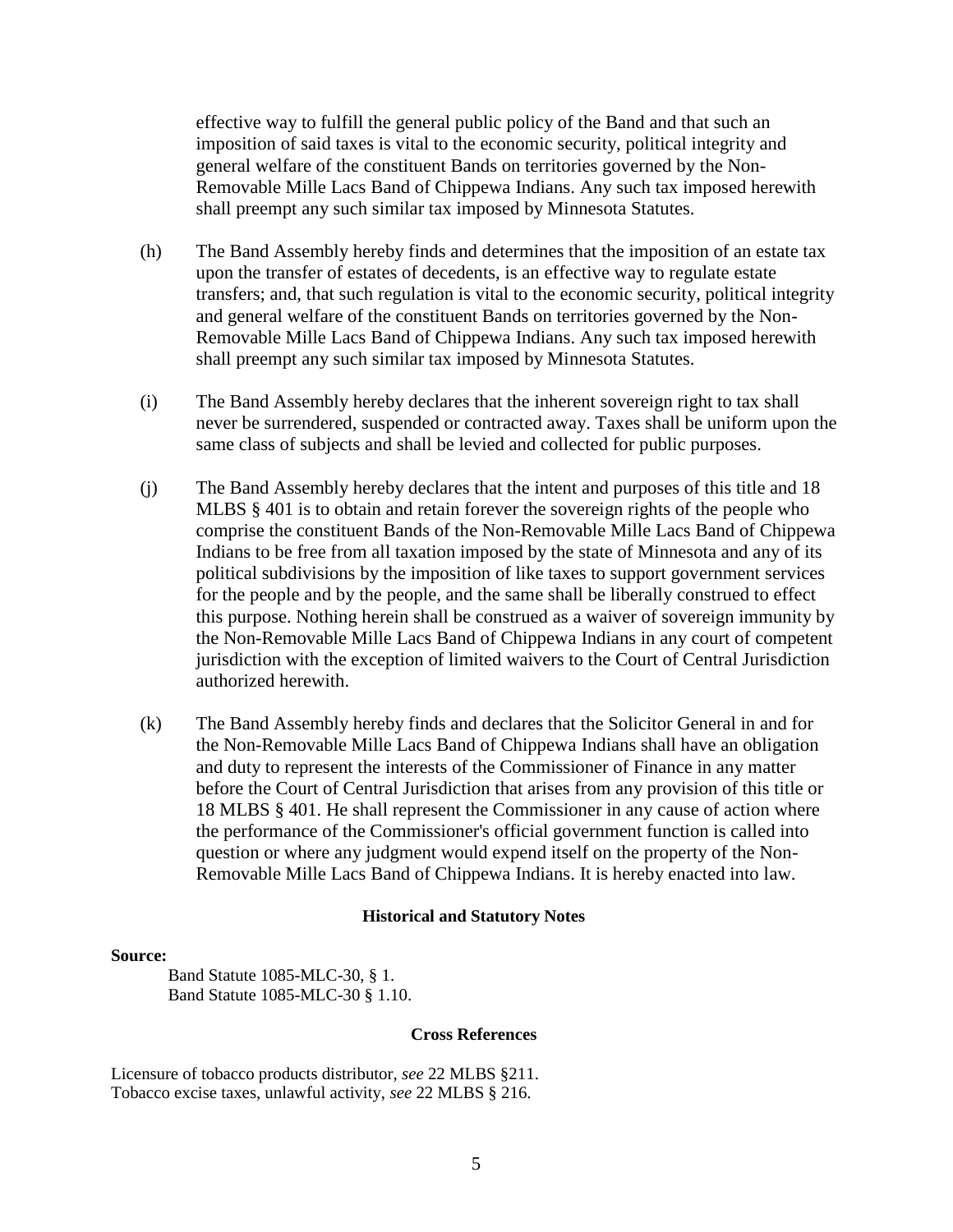effective way to fulfill the general public policy of the Band and that such an imposition of said taxes is vital to the economic security, political integrity and general welfare of the constituent Bands on territories governed by the Non-Removable Mille Lacs Band of Chippewa Indians. Any such tax imposed herewith shall preempt any such similar tax imposed by Minnesota Statutes.

- (h) The Band Assembly hereby finds and determines that the imposition of an estate tax upon the transfer of estates of decedents, is an effective way to regulate estate transfers; and, that such regulation is vital to the economic security, political integrity and general welfare of the constituent Bands on territories governed by the Non-Removable Mille Lacs Band of Chippewa Indians. Any such tax imposed herewith shall preempt any such similar tax imposed by Minnesota Statutes.
- (i) The Band Assembly hereby declares that the inherent sovereign right to tax shall never be surrendered, suspended or contracted away. Taxes shall be uniform upon the same class of subjects and shall be levied and collected for public purposes.
- (j) The Band Assembly hereby declares that the intent and purposes of this title and 18 MLBS § 401 is to obtain and retain forever the sovereign rights of the people who comprise the constituent Bands of the Non-Removable Mille Lacs Band of Chippewa Indians to be free from all taxation imposed by the state of Minnesota and any of its political subdivisions by the imposition of like taxes to support government services for the people and by the people, and the same shall be liberally construed to effect this purpose. Nothing herein shall be construed as a waiver of sovereign immunity by the Non-Removable Mille Lacs Band of Chippewa Indians in any court of competent jurisdiction with the exception of limited waivers to the Court of Central Jurisdiction authorized herewith.
- (k) The Band Assembly hereby finds and declares that the Solicitor General in and for the Non-Removable Mille Lacs Band of Chippewa Indians shall have an obligation and duty to represent the interests of the Commissioner of Finance in any matter before the Court of Central Jurisdiction that arises from any provision of this title or 18 MLBS § 401. He shall represent the Commissioner in any cause of action where the performance of the Commissioner's official government function is called into question or where any judgment would expend itself on the property of the Non-Removable Mille Lacs Band of Chippewa Indians. It is hereby enacted into law.

#### **Historical and Statutory Notes**

#### **Source:**

Band Statute 1085-MLC-30, § 1. Band Statute 1085-MLC-30 § 1.10.

#### **Cross References**

Licensure of tobacco products distributor, *see* 22 MLBS §211. Tobacco excise taxes, unlawful activity, *see* 22 MLBS § 216.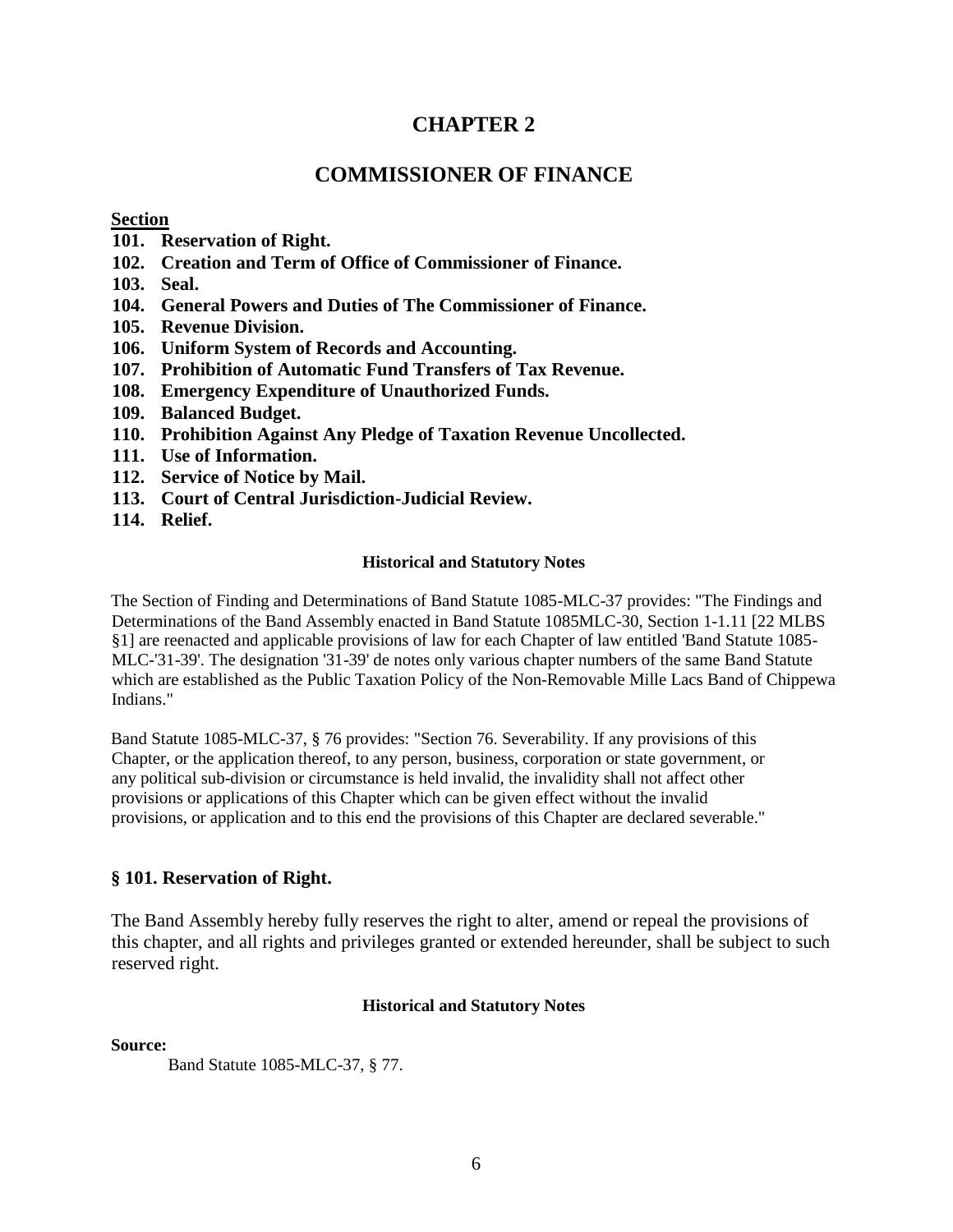# **CHAPTER 2**

# **COMMISSIONER OF FINANCE**

#### **Section**

- **101. Reservation of Right.**
- **102. Creation and Term of Office of Commissioner of Finance.**
- **103. Seal.**
- **104. General Powers and Duties of The Commissioner of Finance.**
- **105. Revenue Division.**
- **106. Uniform System of Records and Accounting.**
- **107. Prohibition of Automatic Fund Transfers of Tax Revenue.**
- **108. Emergency Expenditure of Unauthorized Funds.**
- **109. Balanced Budget.**
- **110. Prohibition Against Any Pledge of Taxation Revenue Uncollected.**
- **111. Use of Information.**
- **112. Service of Notice by Mail.**
- **113. Court of Central Jurisdiction-Judicial Review.**
- **114. Relief.**

#### **Historical and Statutory Notes**

The Section of Finding and Determinations of Band Statute 1085-MLC-37 provides: "The Findings and Determinations of the Band Assembly enacted in Band Statute 1085MLC-30, Section 1-1.11 [22 MLBS §1] are reenacted and applicable provisions of law for each Chapter of law entitled 'Band Statute 1085- MLC-'31-39'. The designation '31-39' de notes only various chapter numbers of the same Band Statute which are established as the Public Taxation Policy of the Non-Removable Mille Lacs Band of Chippewa Indians."

Band Statute 1085-MLC-37, § 76 provides: "Section 76. Severability. If any provisions of this Chapter, or the application thereof, to any person, business, corporation or state government, or any political sub-division or circumstance is held invalid, the invalidity shall not affect other provisions or applications of this Chapter which can be given effect without the invalid provisions, or application and to this end the provisions of this Chapter are declared severable."

#### **§ 101. Reservation of Right.**

The Band Assembly hereby fully reserves the right to alter, amend or repeal the provisions of this chapter, and all rights and privileges granted or extended hereunder, shall be subject to such reserved right.

#### **Historical and Statutory Notes**

**Source:** 

Band Statute 1085-MLC-37, § 77.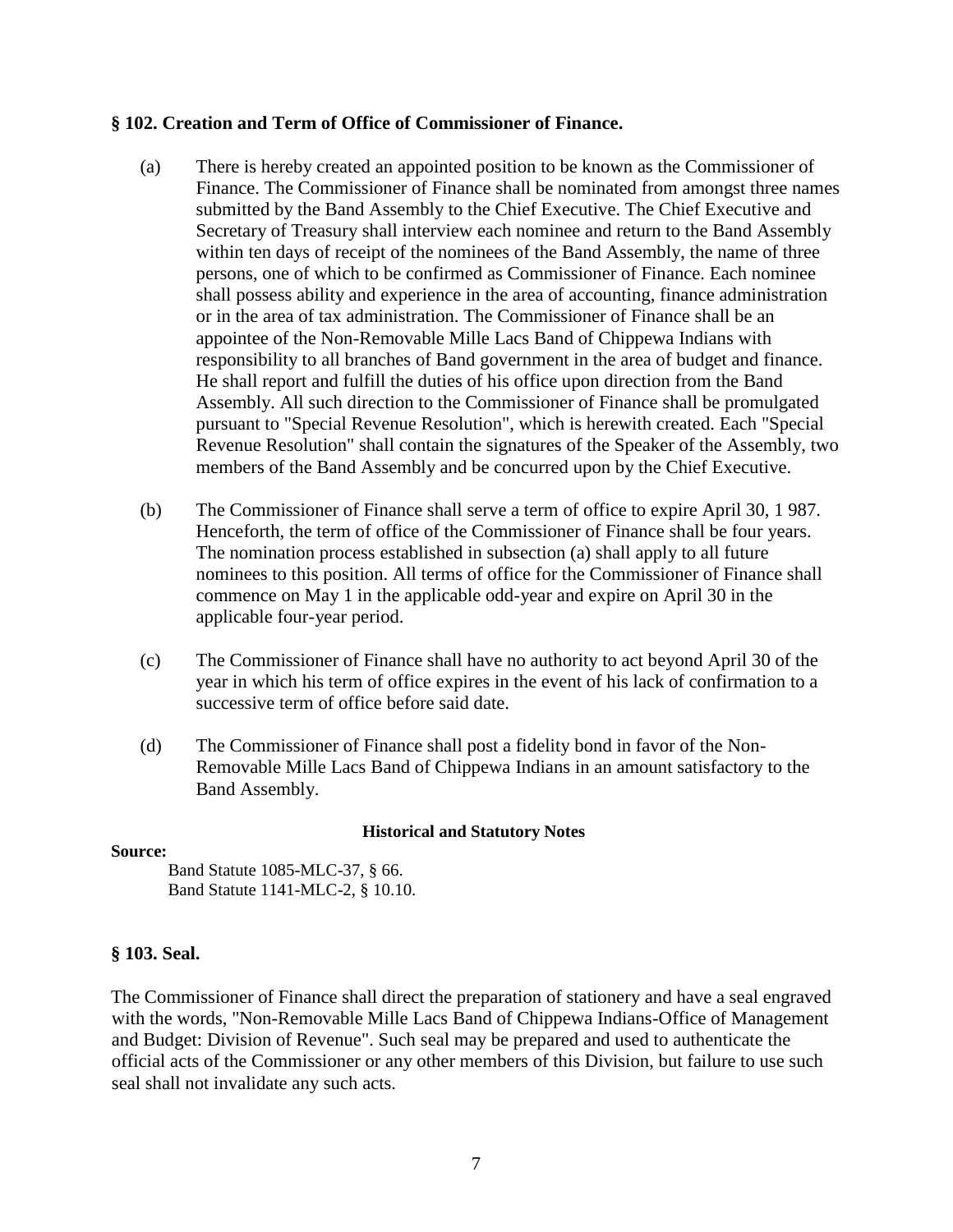#### **§ 102. Creation and Term of Office of Commissioner of Finance.**

- (a) There is hereby created an appointed position to be known as the Commissioner of Finance. The Commissioner of Finance shall be nominated from amongst three names submitted by the Band Assembly to the Chief Executive. The Chief Executive and Secretary of Treasury shall interview each nominee and return to the Band Assembly within ten days of receipt of the nominees of the Band Assembly, the name of three persons, one of which to be confirmed as Commissioner of Finance. Each nominee shall possess ability and experience in the area of accounting, finance administration or in the area of tax administration. The Commissioner of Finance shall be an appointee of the Non-Removable Mille Lacs Band of Chippewa Indians with responsibility to all branches of Band government in the area of budget and finance. He shall report and fulfill the duties of his office upon direction from the Band Assembly. All such direction to the Commissioner of Finance shall be promulgated pursuant to "Special Revenue Resolution", which is herewith created. Each "Special Revenue Resolution" shall contain the signatures of the Speaker of the Assembly, two members of the Band Assembly and be concurred upon by the Chief Executive.
- (b) The Commissioner of Finance shall serve a term of office to expire April 30, 1 987. Henceforth, the term of office of the Commissioner of Finance shall be four years. The nomination process established in subsection (a) shall apply to all future nominees to this position. All terms of office for the Commissioner of Finance shall commence on May 1 in the applicable odd-year and expire on April 30 in the applicable four-year period.
- (c) The Commissioner of Finance shall have no authority to act beyond April 30 of the year in which his term of office expires in the event of his lack of confirmation to a successive term of office before said date.
- (d) The Commissioner of Finance shall post a fidelity bond in favor of the Non-Removable Mille Lacs Band of Chippewa Indians in an amount satisfactory to the Band Assembly.

#### **Historical and Statutory Notes**

#### **Source:**

Band Statute 1085-MLC-37, § 66. Band Statute 1141-MLC-2, § 10.10.

# **§ 103. Seal.**

The Commissioner of Finance shall direct the preparation of stationery and have a seal engraved with the words, "Non-Removable Mille Lacs Band of Chippewa Indians-Office of Management and Budget: Division of Revenue". Such seal may be prepared and used to authenticate the official acts of the Commissioner or any other members of this Division, but failure to use such seal shall not invalidate any such acts.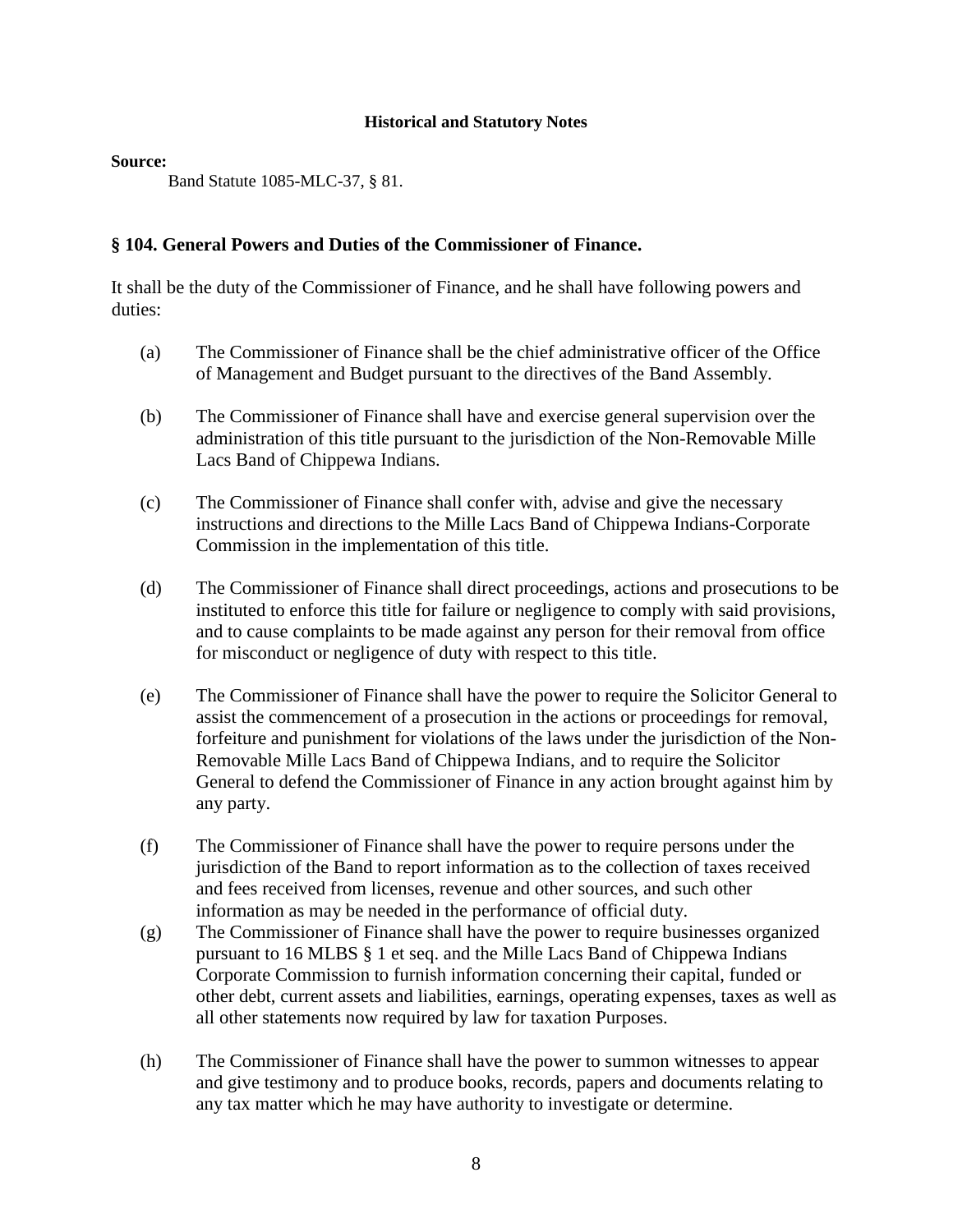#### **Source:**

Band Statute 1085-MLC-37, § 81.

# **§ 104. General Powers and Duties of the Commissioner of Finance.**

It shall be the duty of the Commissioner of Finance, and he shall have following powers and duties:

- (a) The Commissioner of Finance shall be the chief administrative officer of the Office of Management and Budget pursuant to the directives of the Band Assembly.
- (b) The Commissioner of Finance shall have and exercise general supervision over the administration of this title pursuant to the jurisdiction of the Non-Removable Mille Lacs Band of Chippewa Indians.
- (c) The Commissioner of Finance shall confer with, advise and give the necessary instructions and directions to the Mille Lacs Band of Chippewa Indians-Corporate Commission in the implementation of this title.
- (d) The Commissioner of Finance shall direct proceedings, actions and prosecutions to be instituted to enforce this title for failure or negligence to comply with said provisions, and to cause complaints to be made against any person for their removal from office for misconduct or negligence of duty with respect to this title.
- (e) The Commissioner of Finance shall have the power to require the Solicitor General to assist the commencement of a prosecution in the actions or proceedings for removal, forfeiture and punishment for violations of the laws under the jurisdiction of the Non-Removable Mille Lacs Band of Chippewa Indians, and to require the Solicitor General to defend the Commissioner of Finance in any action brought against him by any party.
- (f) The Commissioner of Finance shall have the power to require persons under the jurisdiction of the Band to report information as to the collection of taxes received and fees received from licenses, revenue and other sources, and such other information as may be needed in the performance of official duty.
- (g) The Commissioner of Finance shall have the power to require businesses organized pursuant to 16 MLBS § 1 et seq. and the Mille Lacs Band of Chippewa Indians Corporate Commission to furnish information concerning their capital, funded or other debt, current assets and liabilities, earnings, operating expenses, taxes as well as all other statements now required by law for taxation Purposes.
- (h) The Commissioner of Finance shall have the power to summon witnesses to appear and give testimony and to produce books, records, papers and documents relating to any tax matter which he may have authority to investigate or determine.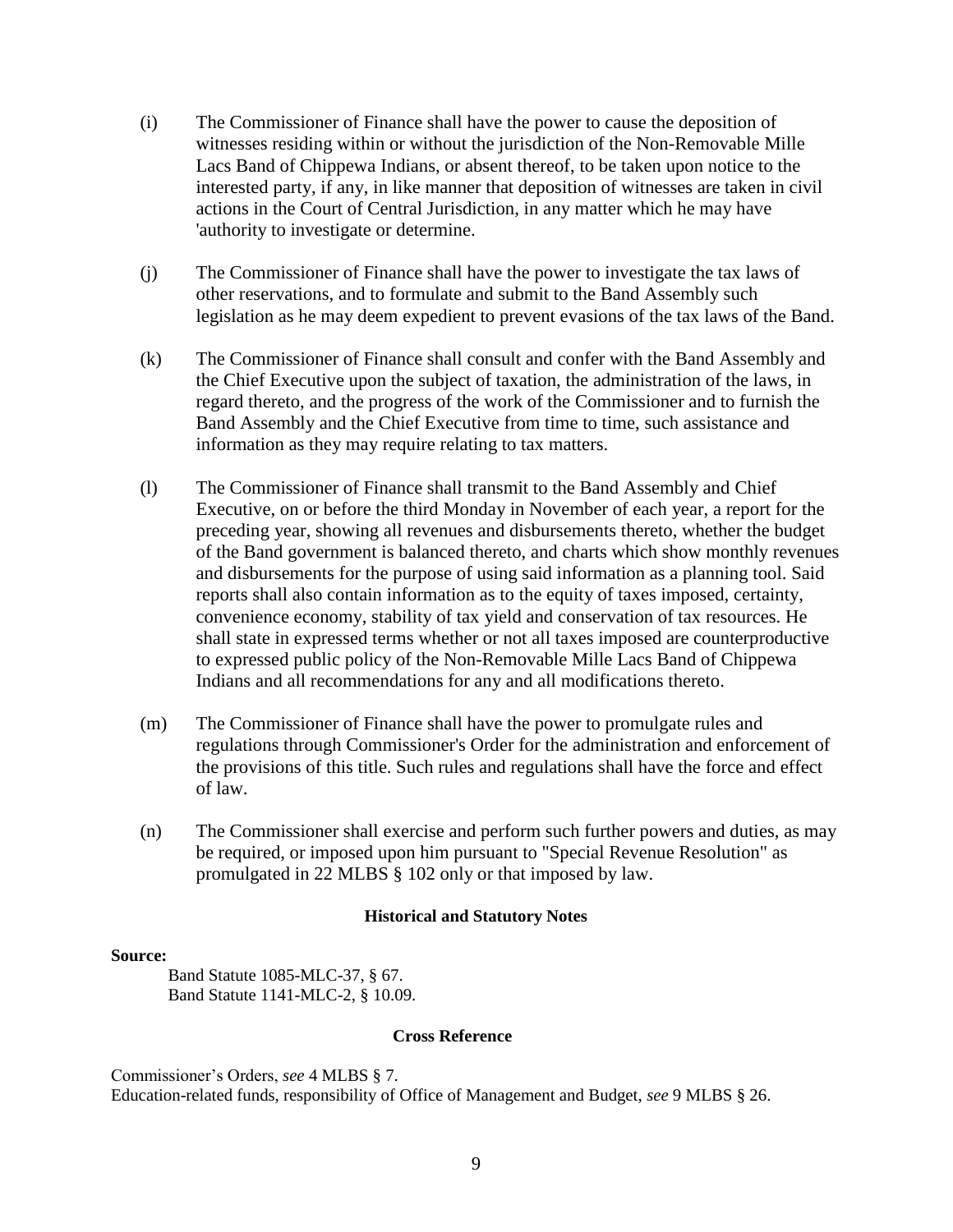- (i) The Commissioner of Finance shall have the power to cause the deposition of witnesses residing within or without the jurisdiction of the Non-Removable Mille Lacs Band of Chippewa Indians, or absent thereof, to be taken upon notice to the interested party, if any, in like manner that deposition of witnesses are taken in civil actions in the Court of Central Jurisdiction, in any matter which he may have 'authority to investigate or determine.
- (j) The Commissioner of Finance shall have the power to investigate the tax laws of other reservations, and to formulate and submit to the Band Assembly such legislation as he may deem expedient to prevent evasions of the tax laws of the Band.
- (k) The Commissioner of Finance shall consult and confer with the Band Assembly and the Chief Executive upon the subject of taxation, the administration of the laws, in regard thereto, and the progress of the work of the Commissioner and to furnish the Band Assembly and the Chief Executive from time to time, such assistance and information as they may require relating to tax matters.
- (l) The Commissioner of Finance shall transmit to the Band Assembly and Chief Executive, on or before the third Monday in November of each year, a report for the preceding year, showing all revenues and disbursements thereto, whether the budget of the Band government is balanced thereto, and charts which show monthly revenues and disbursements for the purpose of using said information as a planning tool. Said reports shall also contain information as to the equity of taxes imposed, certainty, convenience economy, stability of tax yield and conservation of tax resources. He shall state in expressed terms whether or not all taxes imposed are counterproductive to expressed public policy of the Non-Removable Mille Lacs Band of Chippewa Indians and all recommendations for any and all modifications thereto.
- (m) The Commissioner of Finance shall have the power to promulgate rules and regulations through Commissioner's Order for the administration and enforcement of the provisions of this title. Such rules and regulations shall have the force and effect of law.
- (n) The Commissioner shall exercise and perform such further powers and duties, as may be required, or imposed upon him pursuant to "Special Revenue Resolution" as promulgated in 22 MLBS § 102 only or that imposed by law.

#### **Source:**

Band Statute 1085-MLC-37, § 67. Band Statute 1141-MLC-2, § 10.09.

#### **Cross Reference**

Commissioner's Orders, *see* 4 MLBS § 7. Education-related funds, responsibility of Office of Management and Budget, *see* 9 MLBS § 26.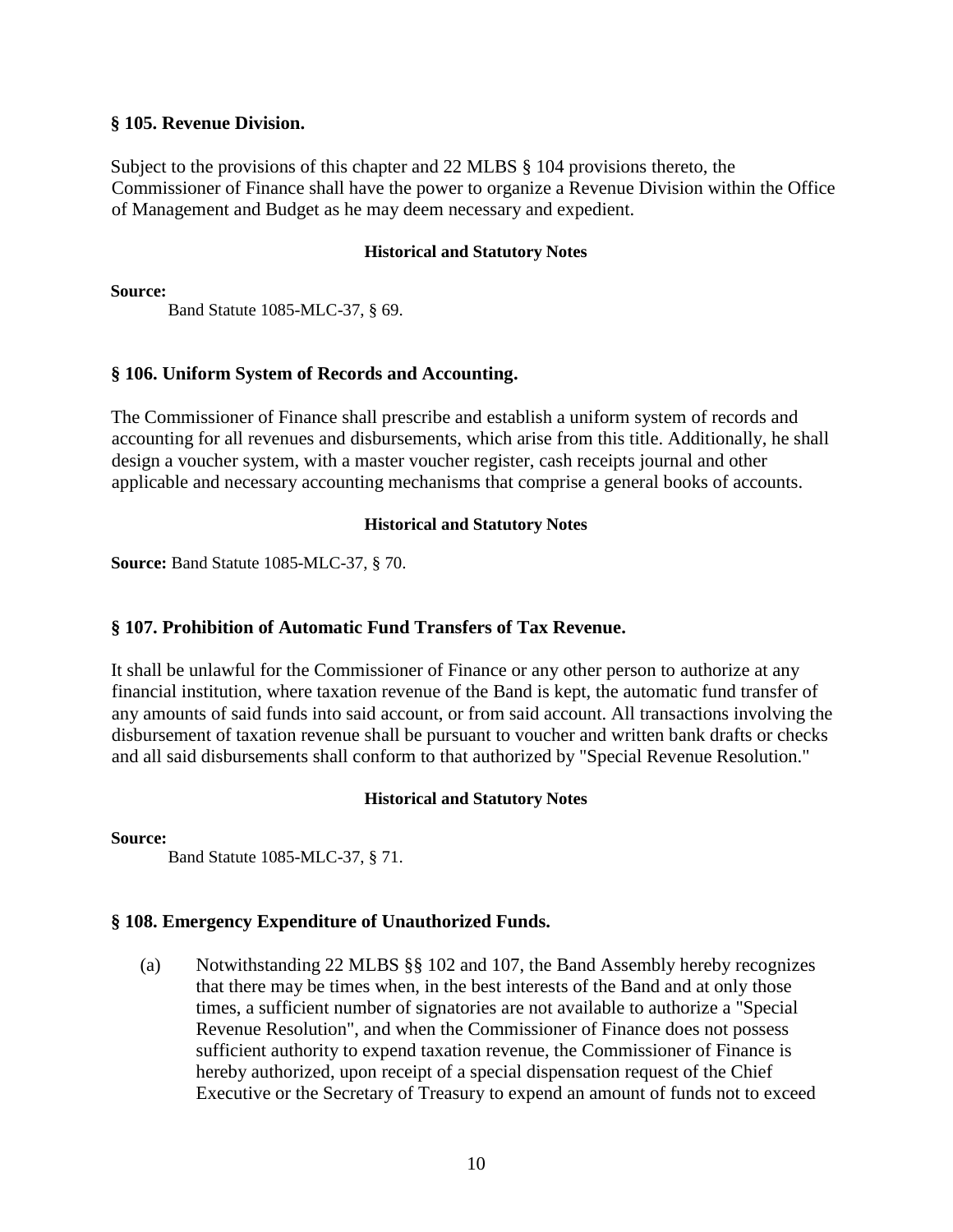#### **§ 105. Revenue Division.**

Subject to the provisions of this chapter and 22 MLBS § 104 provisions thereto, the Commissioner of Finance shall have the power to organize a Revenue Division within the Office of Management and Budget as he may deem necessary and expedient.

#### **Historical and Statutory Notes**

**Source:** 

Band Statute 1085-MLC-37, § 69.

# **§ 106. Uniform System of Records and Accounting.**

The Commissioner of Finance shall prescribe and establish a uniform system of records and accounting for all revenues and disbursements, which arise from this title. Additionally, he shall design a voucher system, with a master voucher register, cash receipts journal and other applicable and necessary accounting mechanisms that comprise a general books of accounts.

# **Historical and Statutory Notes**

**Source:** Band Statute 1085-MLC-37, § 70.

# **§ 107. Prohibition of Automatic Fund Transfers of Tax Revenue.**

It shall be unlawful for the Commissioner of Finance or any other person to authorize at any financial institution, where taxation revenue of the Band is kept, the automatic fund transfer of any amounts of said funds into said account, or from said account. All transactions involving the disbursement of taxation revenue shall be pursuant to voucher and written bank drafts or checks and all said disbursements shall conform to that authorized by "Special Revenue Resolution."

# **Historical and Statutory Notes**

**Source:** 

Band Statute 1085-MLC-37, § 71.

# **§ 108. Emergency Expenditure of Unauthorized Funds.**

(a) Notwithstanding 22 MLBS §§ 102 and 107, the Band Assembly hereby recognizes that there may be times when, in the best interests of the Band and at only those times, a sufficient number of signatories are not available to authorize a "Special Revenue Resolution", and when the Commissioner of Finance does not possess sufficient authority to expend taxation revenue, the Commissioner of Finance is hereby authorized, upon receipt of a special dispensation request of the Chief Executive or the Secretary of Treasury to expend an amount of funds not to exceed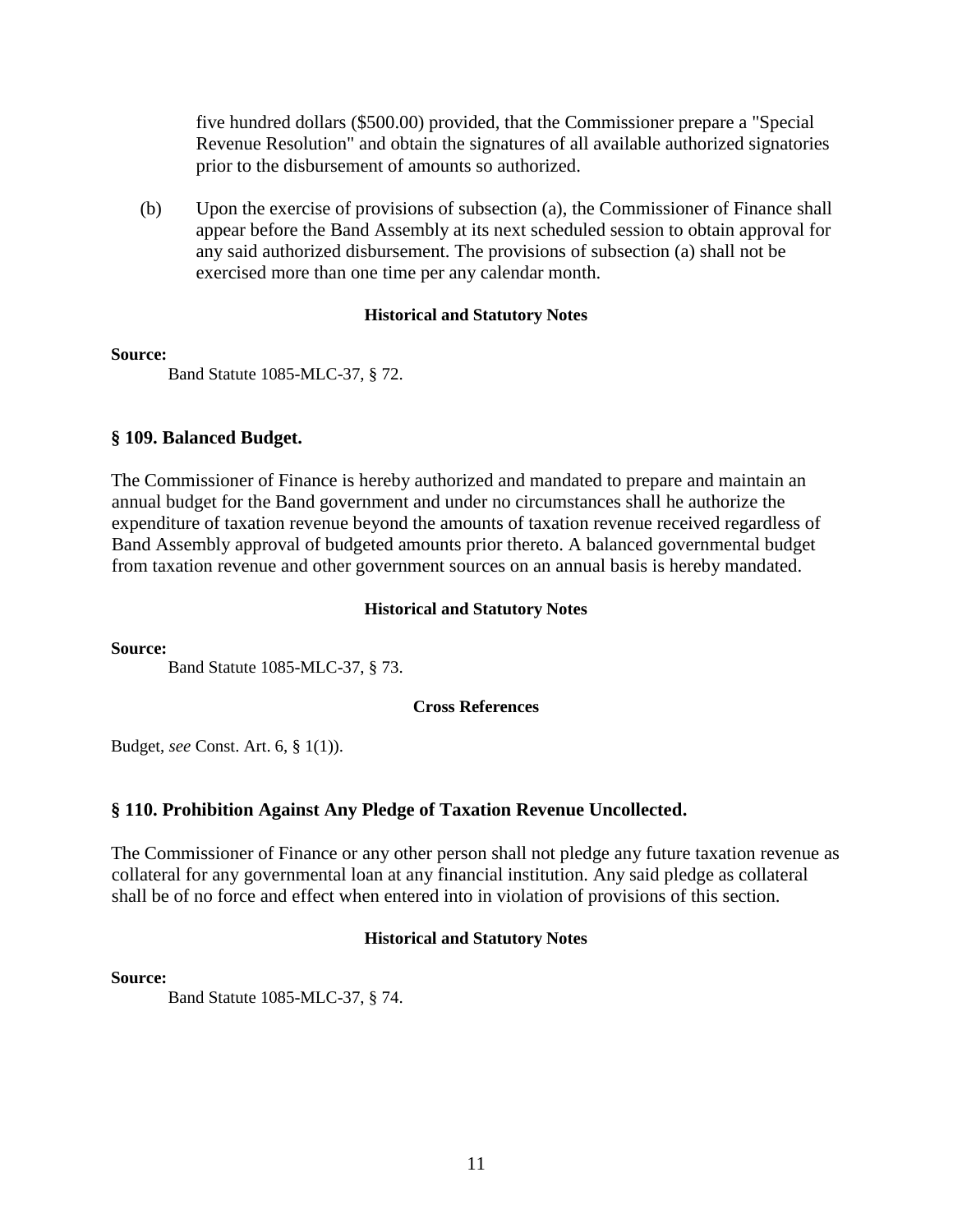five hundred dollars (\$500.00) provided, that the Commissioner prepare a "Special Revenue Resolution" and obtain the signatures of all available authorized signatories prior to the disbursement of amounts so authorized.

(b) Upon the exercise of provisions of subsection (a), the Commissioner of Finance shall appear before the Band Assembly at its next scheduled session to obtain approval for any said authorized disbursement. The provisions of subsection (a) shall not be exercised more than one time per any calendar month.

#### **Historical and Statutory Notes**

#### **Source:**

Band Statute 1085-MLC-37, § 72.

# **§ 109. Balanced Budget.**

The Commissioner of Finance is hereby authorized and mandated to prepare and maintain an annual budget for the Band government and under no circumstances shall he authorize the expenditure of taxation revenue beyond the amounts of taxation revenue received regardless of Band Assembly approval of budgeted amounts prior thereto. A balanced governmental budget from taxation revenue and other government sources on an annual basis is hereby mandated.

#### **Historical and Statutory Notes**

**Source:** 

Band Statute 1085-MLC-37, § 73.

#### **Cross References**

Budget, *see* Const. Art. 6, § 1(1)).

# **§ 110. Prohibition Against Any Pledge of Taxation Revenue Uncollected.**

The Commissioner of Finance or any other person shall not pledge any future taxation revenue as collateral for any governmental loan at any financial institution. Any said pledge as collateral shall be of no force and effect when entered into in violation of provisions of this section.

# **Historical and Statutory Notes**

#### **Source:**

Band Statute 1085-MLC-37, § 74.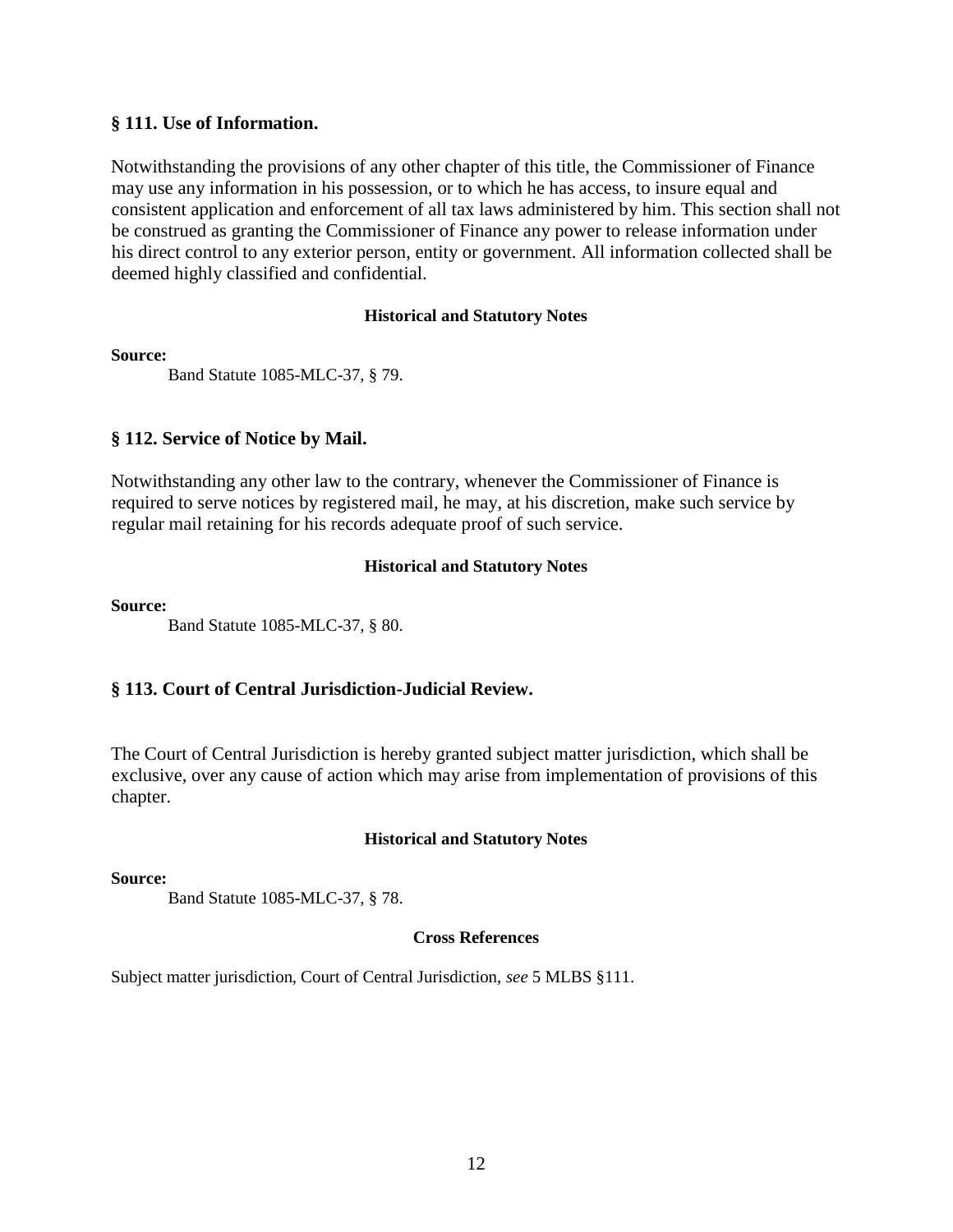#### **§ 111. Use of Information.**

Notwithstanding the provisions of any other chapter of this title, the Commissioner of Finance may use any information in his possession, or to which he has access, to insure equal and consistent application and enforcement of all tax laws administered by him. This section shall not be construed as granting the Commissioner of Finance any power to release information under his direct control to any exterior person, entity or government. All information collected shall be deemed highly classified and confidential.

#### **Historical and Statutory Notes**

#### **Source:**

Band Statute 1085-MLC-37, § 79.

# **§ 112. Service of Notice by Mail.**

Notwithstanding any other law to the contrary, whenever the Commissioner of Finance is required to serve notices by registered mail, he may, at his discretion, make such service by regular mail retaining for his records adequate proof of such service.

# **Historical and Statutory Notes**

#### **Source:**

Band Statute 1085-MLC-37, § 80.

# **§ 113. Court of Central Jurisdiction-Judicial Review.**

The Court of Central Jurisdiction is hereby granted subject matter jurisdiction, which shall be exclusive, over any cause of action which may arise from implementation of provisions of this chapter.

# **Historical and Statutory Notes**

#### **Source:**

Band Statute 1085-MLC-37, § 78.

#### **Cross References**

Subject matter jurisdiction, Court of Central Jurisdiction, *see* 5 MLBS §111.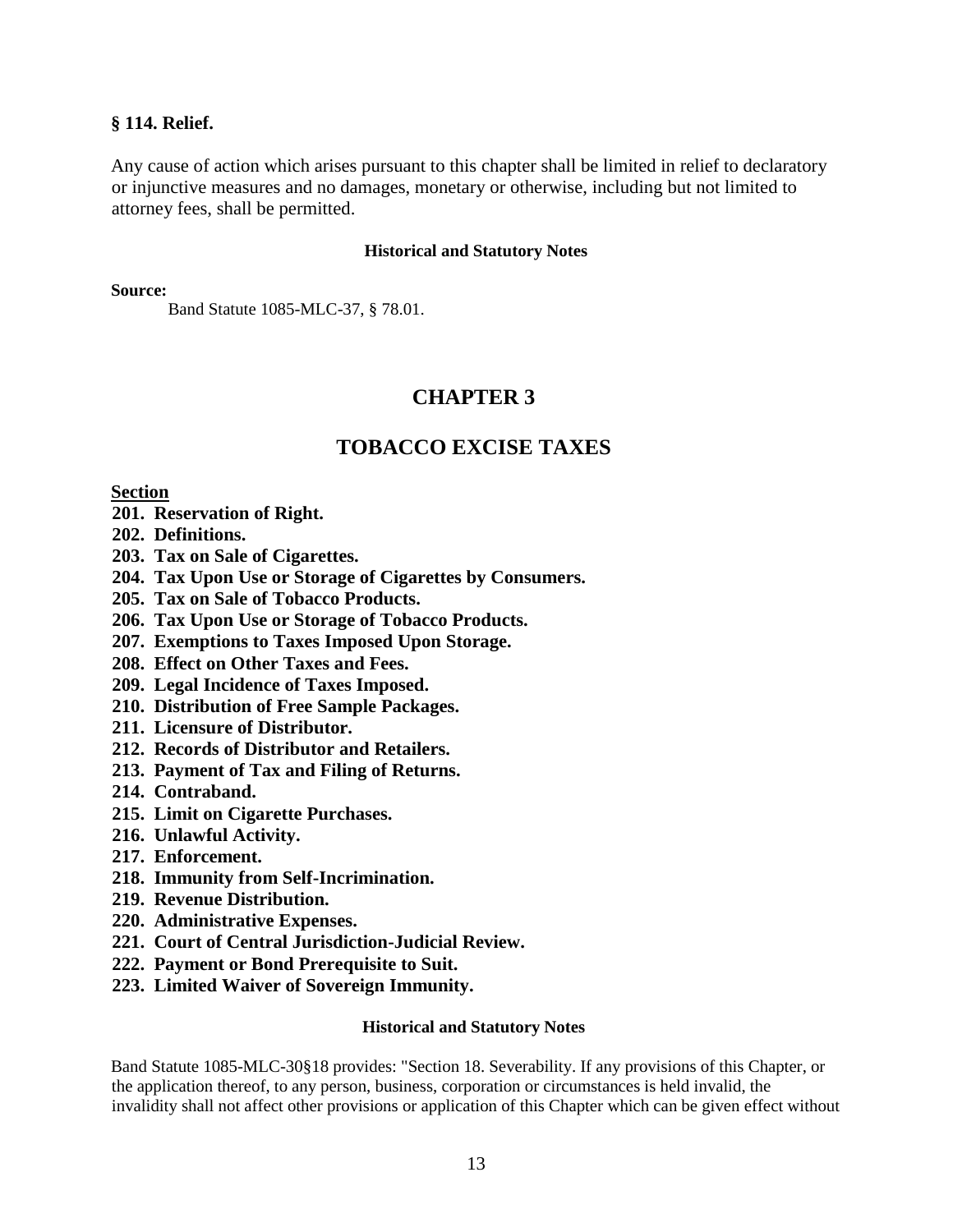#### **§ 114. Relief.**

Any cause of action which arises pursuant to this chapter shall be limited in relief to declaratory or injunctive measures and no damages, monetary or otherwise, including but not limited to attorney fees, shall be permitted.

#### **Historical and Statutory Notes**

**Source:** 

Band Statute 1085-MLC-37, § 78.01.

# **CHAPTER 3**

# **TOBACCO EXCISE TAXES**

#### **Section**

- **201. Reservation of Right.**
- **202. Definitions.**
- **203. Tax on Sale of Cigarettes.**
- **204. Tax Upon Use or Storage of Cigarettes by Consumers.**
- **205. Tax on Sale of Tobacco Products.**
- **206. Tax Upon Use or Storage of Tobacco Products.**
- **207. Exemptions to Taxes Imposed Upon Storage.**
- **208. Effect on Other Taxes and Fees.**
- **209. Legal Incidence of Taxes Imposed.**
- **210. Distribution of Free Sample Packages.**
- **211. Licensure of Distributor.**
- **212. Records of Distributor and Retailers.**
- **213. Payment of Tax and Filing of Returns.**
- **214. Contraband.**
- **215. Limit on Cigarette Purchases.**
- **216. Unlawful Activity.**
- **217. Enforcement.**
- **218. Immunity from Self-Incrimination.**
- **219. Revenue Distribution.**
- **220. Administrative Expenses.**
- **221. Court of Central Jurisdiction-Judicial Review.**
- **222. Payment or Bond Prerequisite to Suit.**
- **223. Limited Waiver of Sovereign Immunity.**

#### **Historical and Statutory Notes**

Band Statute 1085-MLC-30§18 provides: "Section 18. Severability. If any provisions of this Chapter, or the application thereof, to any person, business, corporation or circumstances is held invalid, the invalidity shall not affect other provisions or application of this Chapter which can be given effect without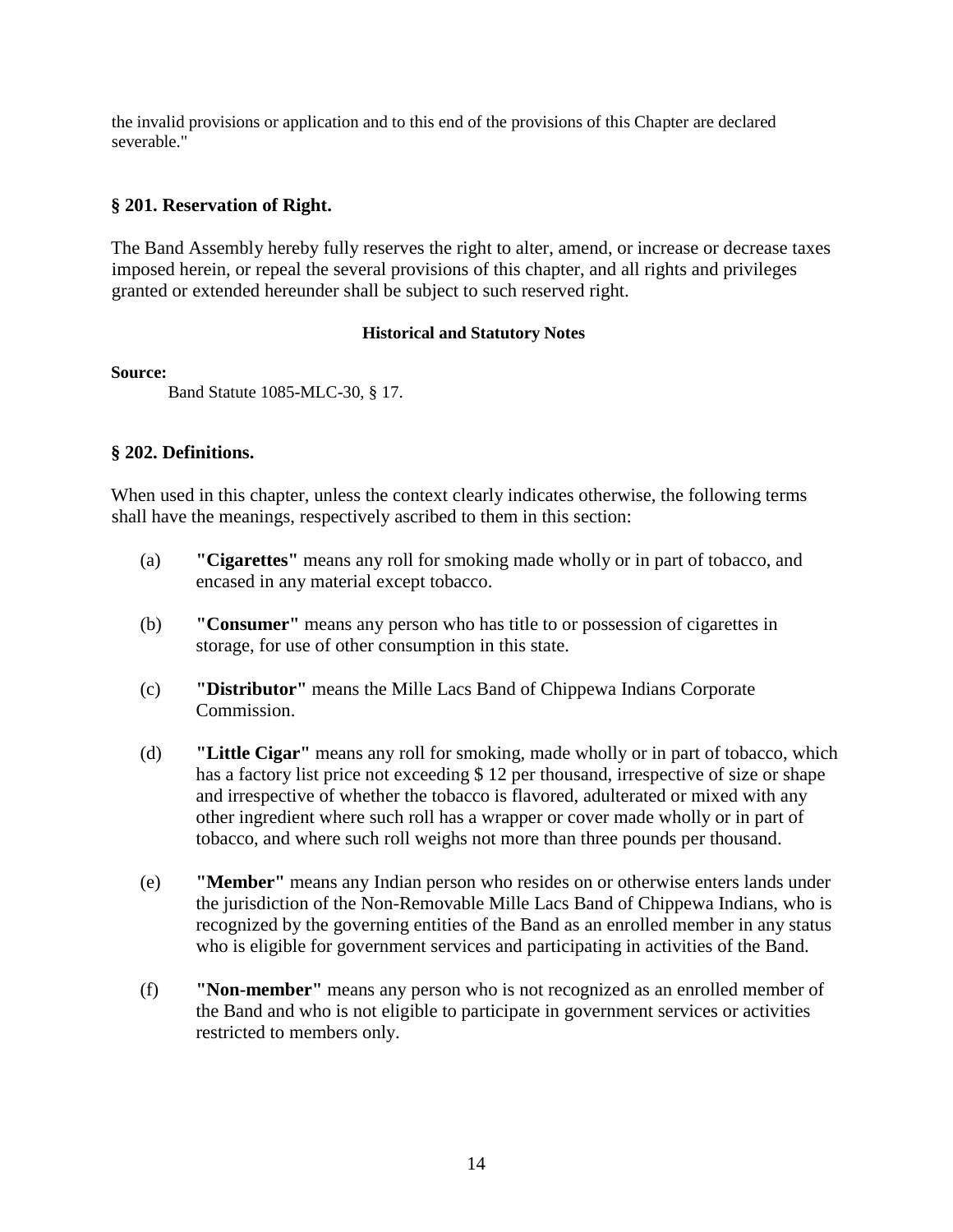the invalid provisions or application and to this end of the provisions of this Chapter are declared severable."

# **§ 201. Reservation of Right.**

The Band Assembly hereby fully reserves the right to alter, amend, or increase or decrease taxes imposed herein, or repeal the several provisions of this chapter, and all rights and privileges granted or extended hereunder shall be subject to such reserved right.

# **Historical and Statutory Notes**

# **Source:**

Band Statute 1085-MLC-30, § 17.

# **§ 202. Definitions.**

When used in this chapter, unless the context clearly indicates otherwise, the following terms shall have the meanings, respectively ascribed to them in this section:

- (a) **"Cigarettes"** means any roll for smoking made wholly or in part of tobacco, and encased in any material except tobacco.
- (b) **"Consumer"** means any person who has title to or possession of cigarettes in storage, for use of other consumption in this state.
- (c) **"Distributor"** means the Mille Lacs Band of Chippewa Indians Corporate Commission.
- (d) **"Little Cigar"** means any roll for smoking, made wholly or in part of tobacco, which has a factory list price not exceeding \$ 12 per thousand, irrespective of size or shape and irrespective of whether the tobacco is flavored, adulterated or mixed with any other ingredient where such roll has a wrapper or cover made wholly or in part of tobacco, and where such roll weighs not more than three pounds per thousand.
- (e) **"Member"** means any Indian person who resides on or otherwise enters lands under the jurisdiction of the Non-Removable Mille Lacs Band of Chippewa Indians, who is recognized by the governing entities of the Band as an enrolled member in any status who is eligible for government services and participating in activities of the Band.
- (f) **"Non-member"** means any person who is not recognized as an enrolled member of the Band and who is not eligible to participate in government services or activities restricted to members only.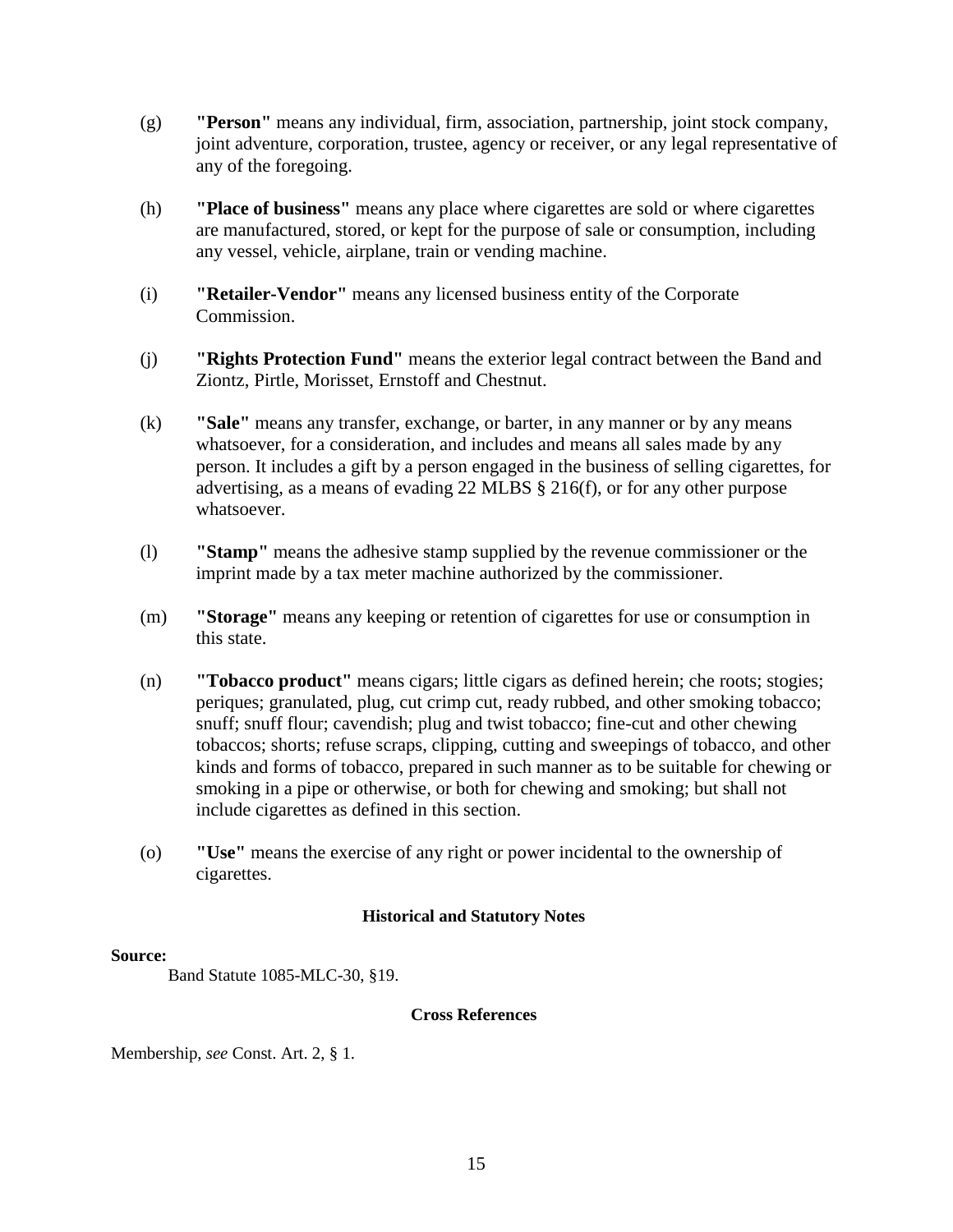- (g) **"Person"** means any individual, firm, association, partnership, joint stock company, joint adventure, corporation, trustee, agency or receiver, or any legal representative of any of the foregoing.
- (h) **"Place of business"** means any place where cigarettes are sold or where cigarettes are manufactured, stored, or kept for the purpose of sale or consumption, including any vessel, vehicle, airplane, train or vending machine.
- (i) **"Retailer-Vendor"** means any licensed business entity of the Corporate Commission.
- (j) **"Rights Protection Fund"** means the exterior legal contract between the Band and Ziontz, Pirtle, Morisset, Ernstoff and Chestnut.
- (k) **"Sale"** means any transfer, exchange, or barter, in any manner or by any means whatsoever, for a consideration, and includes and means all sales made by any person. It includes a gift by a person engaged in the business of selling cigarettes, for advertising, as a means of evading 22 MLBS § 216(f), or for any other purpose whatsoever.
- (l) **"Stamp"** means the adhesive stamp supplied by the revenue commissioner or the imprint made by a tax meter machine authorized by the commissioner.
- (m) **"Storage"** means any keeping or retention of cigarettes for use or consumption in this state.
- (n) **"Tobacco product"** means cigars; little cigars as defined herein; che roots; stogies; periques; granulated, plug, cut crimp cut, ready rubbed, and other smoking tobacco; snuff; snuff flour; cavendish; plug and twist tobacco; fine-cut and other chewing tobaccos; shorts; refuse scraps, clipping, cutting and sweepings of tobacco, and other kinds and forms of tobacco, prepared in such manner as to be suitable for chewing or smoking in a pipe or otherwise, or both for chewing and smoking; but shall not include cigarettes as defined in this section.
- (o) **"Use"** means the exercise of any right or power incidental to the ownership of cigarettes.

#### **Source:**

Band Statute 1085-MLC-30, §19.

#### **Cross References**

Membership, *see* Const. Art. 2, § 1.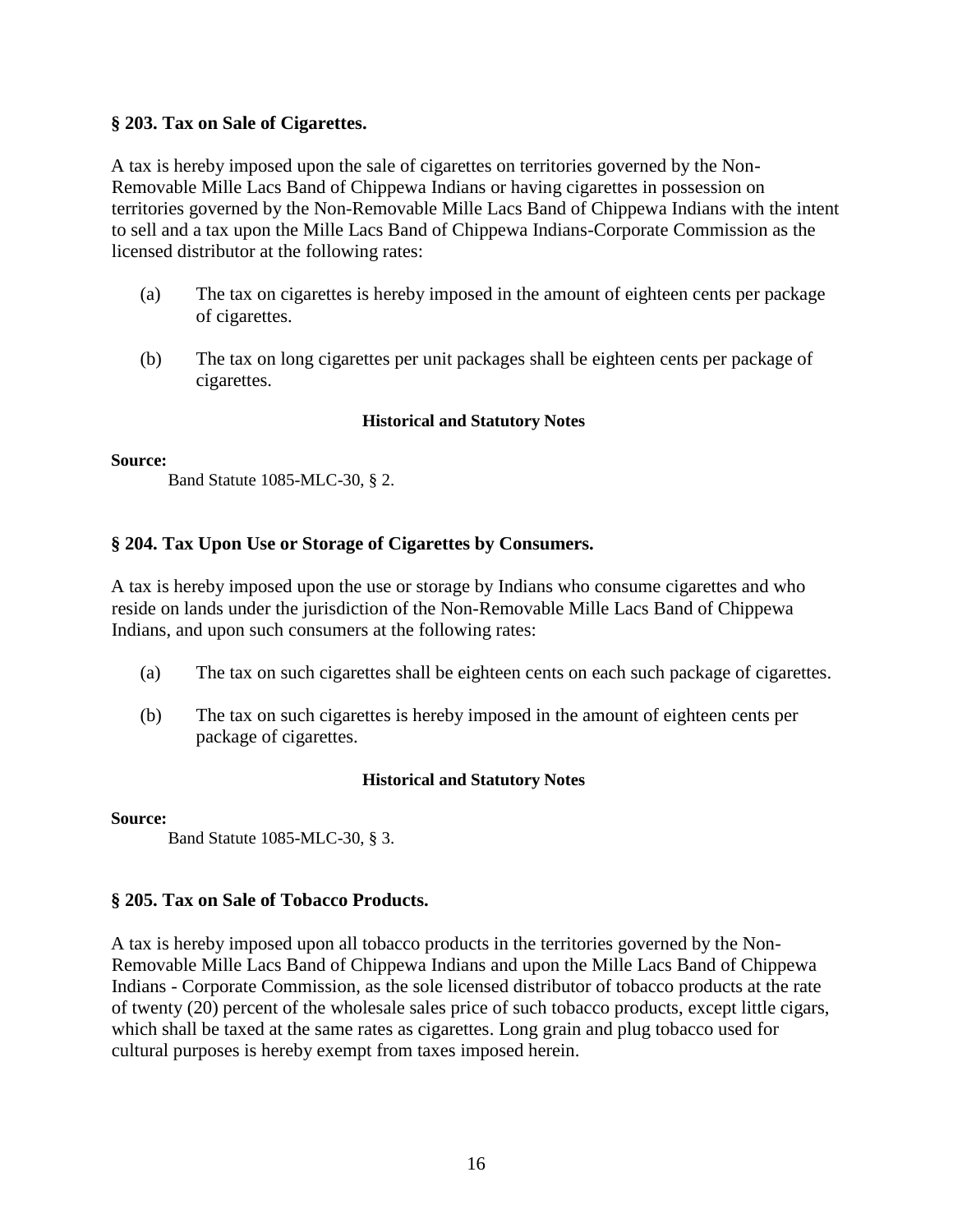# **§ 203. Tax on Sale of Cigarettes.**

A tax is hereby imposed upon the sale of cigarettes on territories governed by the Non-Removable Mille Lacs Band of Chippewa Indians or having cigarettes in possession on territories governed by the Non-Removable Mille Lacs Band of Chippewa Indians with the intent to sell and a tax upon the Mille Lacs Band of Chippewa Indians-Corporate Commission as the licensed distributor at the following rates:

- (a) The tax on cigarettes is hereby imposed in the amount of eighteen cents per package of cigarettes.
- (b) The tax on long cigarettes per unit packages shall be eighteen cents per package of cigarettes.

#### **Historical and Statutory Notes**

#### **Source:**

Band Statute 1085-MLC-30, § 2.

# **§ 204. Tax Upon Use or Storage of Cigarettes by Consumers.**

A tax is hereby imposed upon the use or storage by Indians who consume cigarettes and who reside on lands under the jurisdiction of the Non-Removable Mille Lacs Band of Chippewa Indians, and upon such consumers at the following rates:

- (a) The tax on such cigarettes shall be eighteen cents on each such package of cigarettes.
- (b) The tax on such cigarettes is hereby imposed in the amount of eighteen cents per package of cigarettes.

# **Historical and Statutory Notes**

#### **Source:**

Band Statute 1085-MLC-30, § 3.

# **§ 205. Tax on Sale of Tobacco Products.**

A tax is hereby imposed upon all tobacco products in the territories governed by the Non-Removable Mille Lacs Band of Chippewa Indians and upon the Mille Lacs Band of Chippewa Indians - Corporate Commission, as the sole licensed distributor of tobacco products at the rate of twenty (20) percent of the wholesale sales price of such tobacco products, except little cigars, which shall be taxed at the same rates as cigarettes. Long grain and plug tobacco used for cultural purposes is hereby exempt from taxes imposed herein.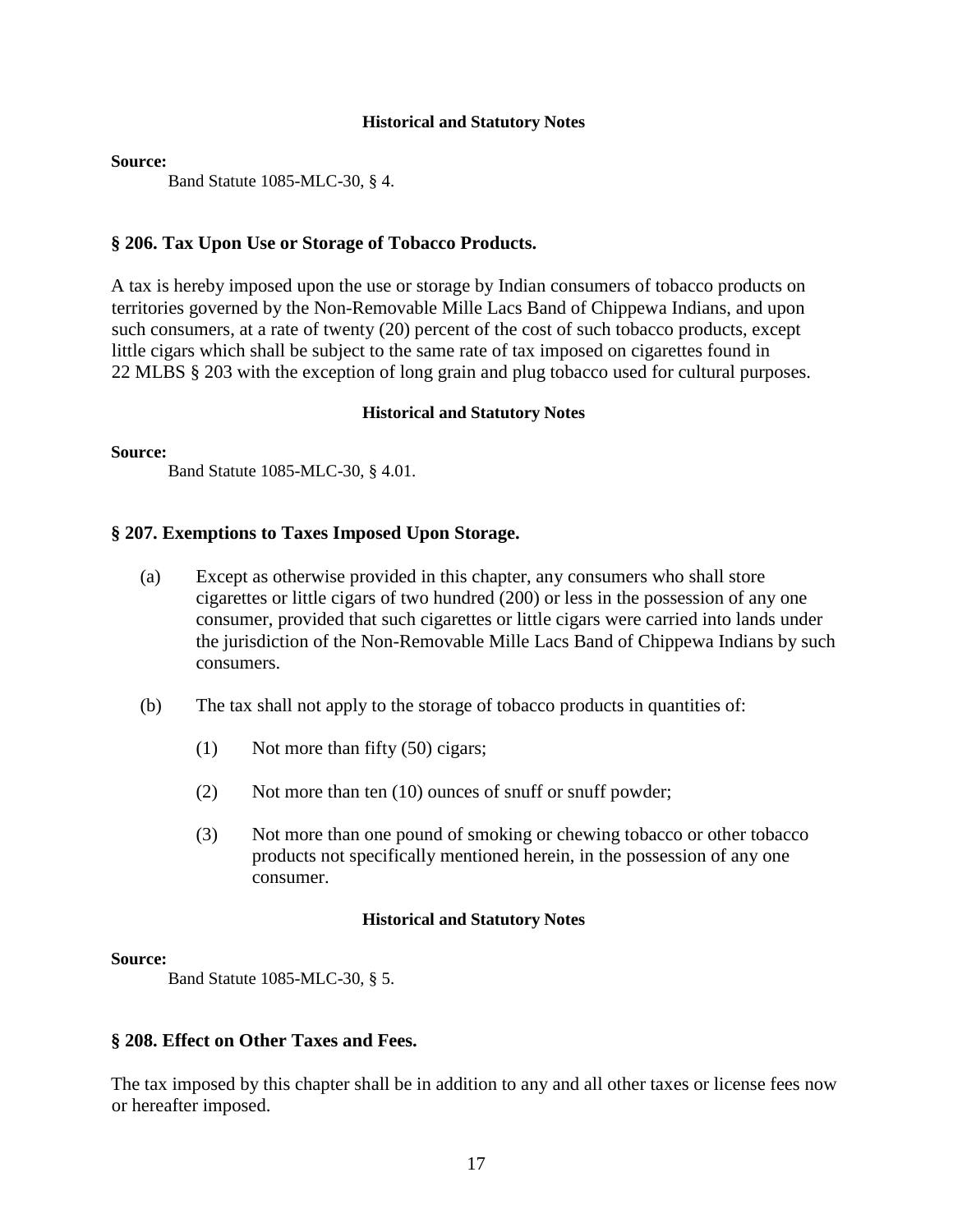#### **Source:**

Band Statute 1085-MLC-30, § 4.

# **§ 206. Tax Upon Use or Storage of Tobacco Products.**

A tax is hereby imposed upon the use or storage by Indian consumers of tobacco products on territories governed by the Non-Removable Mille Lacs Band of Chippewa Indians, and upon such consumers, at a rate of twenty (20) percent of the cost of such tobacco products, except little cigars which shall be subject to the same rate of tax imposed on cigarettes found in 22 MLBS § 203 with the exception of long grain and plug tobacco used for cultural purposes.

#### **Historical and Statutory Notes**

#### **Source:**

Band Statute 1085-MLC-30, § 4.01.

# **§ 207. Exemptions to Taxes Imposed Upon Storage.**

- (a) Except as otherwise provided in this chapter, any consumers who shall store cigarettes or little cigars of two hundred (200) or less in the possession of any one consumer, provided that such cigarettes or little cigars were carried into lands under the jurisdiction of the Non-Removable Mille Lacs Band of Chippewa Indians by such consumers.
- (b) The tax shall not apply to the storage of tobacco products in quantities of:
	- (1) Not more than fifty (50) cigars;
	- (2) Not more than ten (10) ounces of snuff or snuff powder;
	- (3) Not more than one pound of smoking or chewing tobacco or other tobacco products not specifically mentioned herein, in the possession of any one consumer.

#### **Historical and Statutory Notes**

#### **Source:**

Band Statute 1085-MLC-30, § 5.

# **§ 208. Effect on Other Taxes and Fees.**

The tax imposed by this chapter shall be in addition to any and all other taxes or license fees now or hereafter imposed.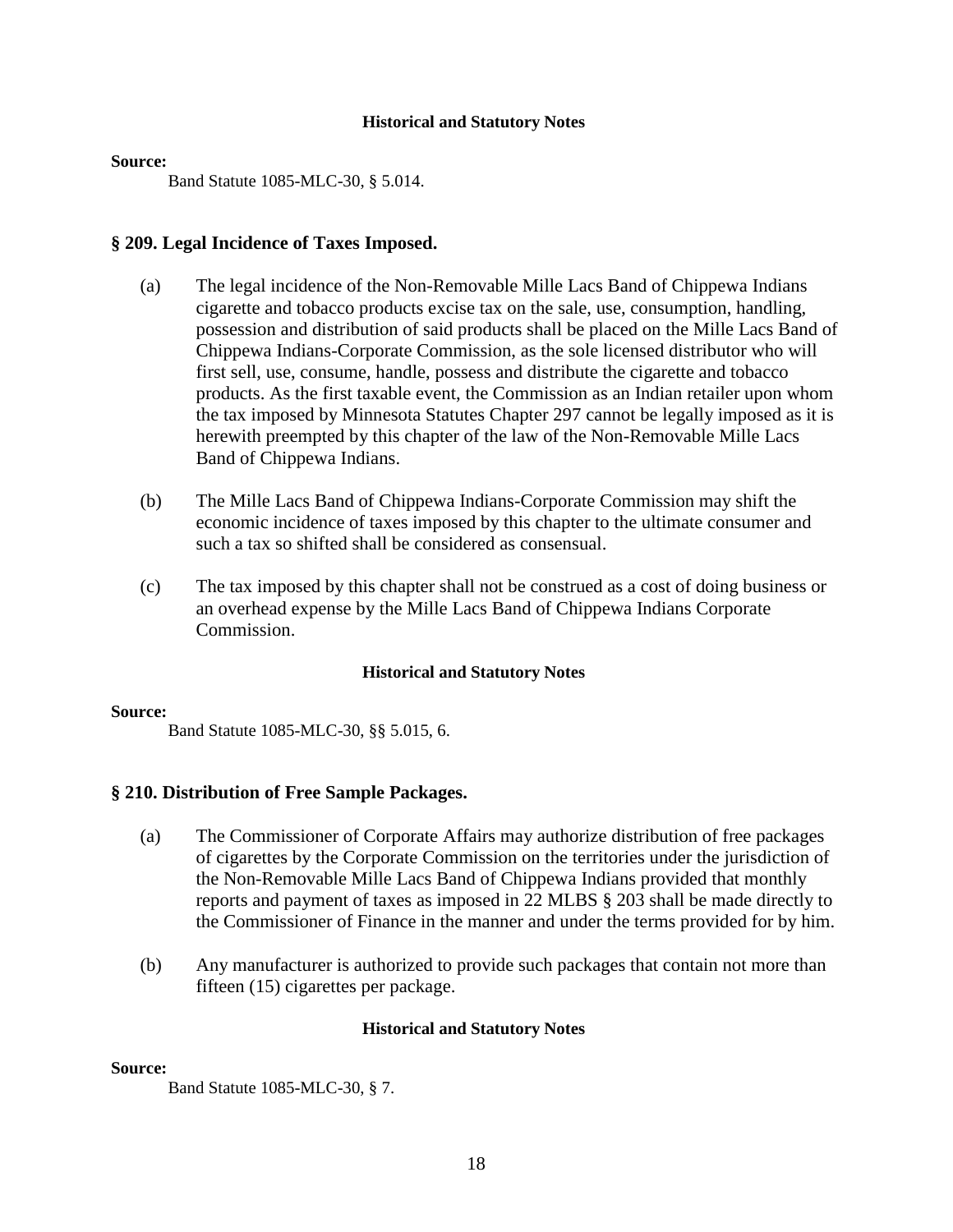#### **Source:**

Band Statute 1085-MLC-30, § 5.014.

#### **§ 209. Legal Incidence of Taxes Imposed.**

- (a) The legal incidence of the Non-Removable Mille Lacs Band of Chippewa Indians cigarette and tobacco products excise tax on the sale, use, consumption, handling, possession and distribution of said products shall be placed on the Mille Lacs Band of Chippewa Indians-Corporate Commission, as the sole licensed distributor who will first sell, use, consume, handle, possess and distribute the cigarette and tobacco products. As the first taxable event, the Commission as an Indian retailer upon whom the tax imposed by Minnesota Statutes Chapter 297 cannot be legally imposed as it is herewith preempted by this chapter of the law of the Non-Removable Mille Lacs Band of Chippewa Indians.
- (b) The Mille Lacs Band of Chippewa Indians-Corporate Commission may shift the economic incidence of taxes imposed by this chapter to the ultimate consumer and such a tax so shifted shall be considered as consensual.
- (c) The tax imposed by this chapter shall not be construed as a cost of doing business or an overhead expense by the Mille Lacs Band of Chippewa Indians Corporate Commission.

#### **Historical and Statutory Notes**

#### **Source:**

Band Statute 1085-MLC-30, §§ 5.015, 6.

#### **§ 210. Distribution of Free Sample Packages.**

- (a) The Commissioner of Corporate Affairs may authorize distribution of free packages of cigarettes by the Corporate Commission on the territories under the jurisdiction of the Non-Removable Mille Lacs Band of Chippewa Indians provided that monthly reports and payment of taxes as imposed in 22 MLBS § 203 shall be made directly to the Commissioner of Finance in the manner and under the terms provided for by him.
- (b) Any manufacturer is authorized to provide such packages that contain not more than fifteen (15) cigarettes per package.

#### **Historical and Statutory Notes**

#### **Source:**

Band Statute 1085-MLC-30, § 7.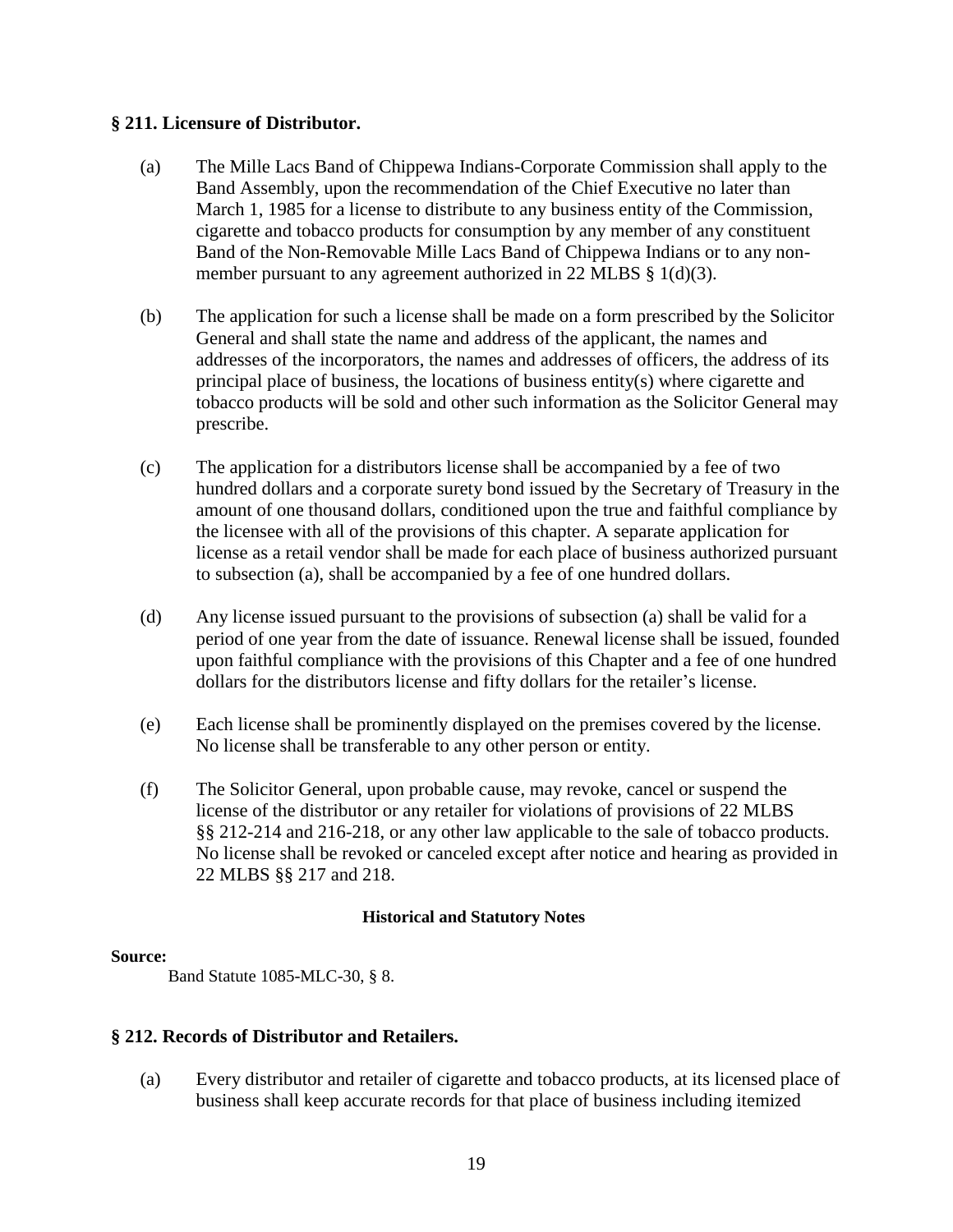# **§ 211. Licensure of Distributor.**

- (a) The Mille Lacs Band of Chippewa Indians-Corporate Commission shall apply to the Band Assembly, upon the recommendation of the Chief Executive no later than March 1, 1985 for a license to distribute to any business entity of the Commission, cigarette and tobacco products for consumption by any member of any constituent Band of the Non-Removable Mille Lacs Band of Chippewa Indians or to any nonmember pursuant to any agreement authorized in 22 MLBS § 1(d)(3).
- (b) The application for such a license shall be made on a form prescribed by the Solicitor General and shall state the name and address of the applicant, the names and addresses of the incorporators, the names and addresses of officers, the address of its principal place of business, the locations of business entity(s) where cigarette and tobacco products will be sold and other such information as the Solicitor General may prescribe.
- (c) The application for a distributors license shall be accompanied by a fee of two hundred dollars and a corporate surety bond issued by the Secretary of Treasury in the amount of one thousand dollars, conditioned upon the true and faithful compliance by the licensee with all of the provisions of this chapter. A separate application for license as a retail vendor shall be made for each place of business authorized pursuant to subsection (a), shall be accompanied by a fee of one hundred dollars.
- (d) Any license issued pursuant to the provisions of subsection (a) shall be valid for a period of one year from the date of issuance. Renewal license shall be issued, founded upon faithful compliance with the provisions of this Chapter and a fee of one hundred dollars for the distributors license and fifty dollars for the retailer's license.
- (e) Each license shall be prominently displayed on the premises covered by the license. No license shall be transferable to any other person or entity.
- (f) The Solicitor General, upon probable cause, may revoke, cancel or suspend the license of the distributor or any retailer for violations of provisions of 22 MLBS §§ 212-214 and 216-218, or any other law applicable to the sale of tobacco products. No license shall be revoked or canceled except after notice and hearing as provided in 22 MLBS §§ 217 and 218.

# **Historical and Statutory Notes**

#### **Source:**

Band Statute 1085-MLC-30, § 8.

# **§ 212. Records of Distributor and Retailers.**

(a) Every distributor and retailer of cigarette and tobacco products, at its licensed place of business shall keep accurate records for that place of business including itemized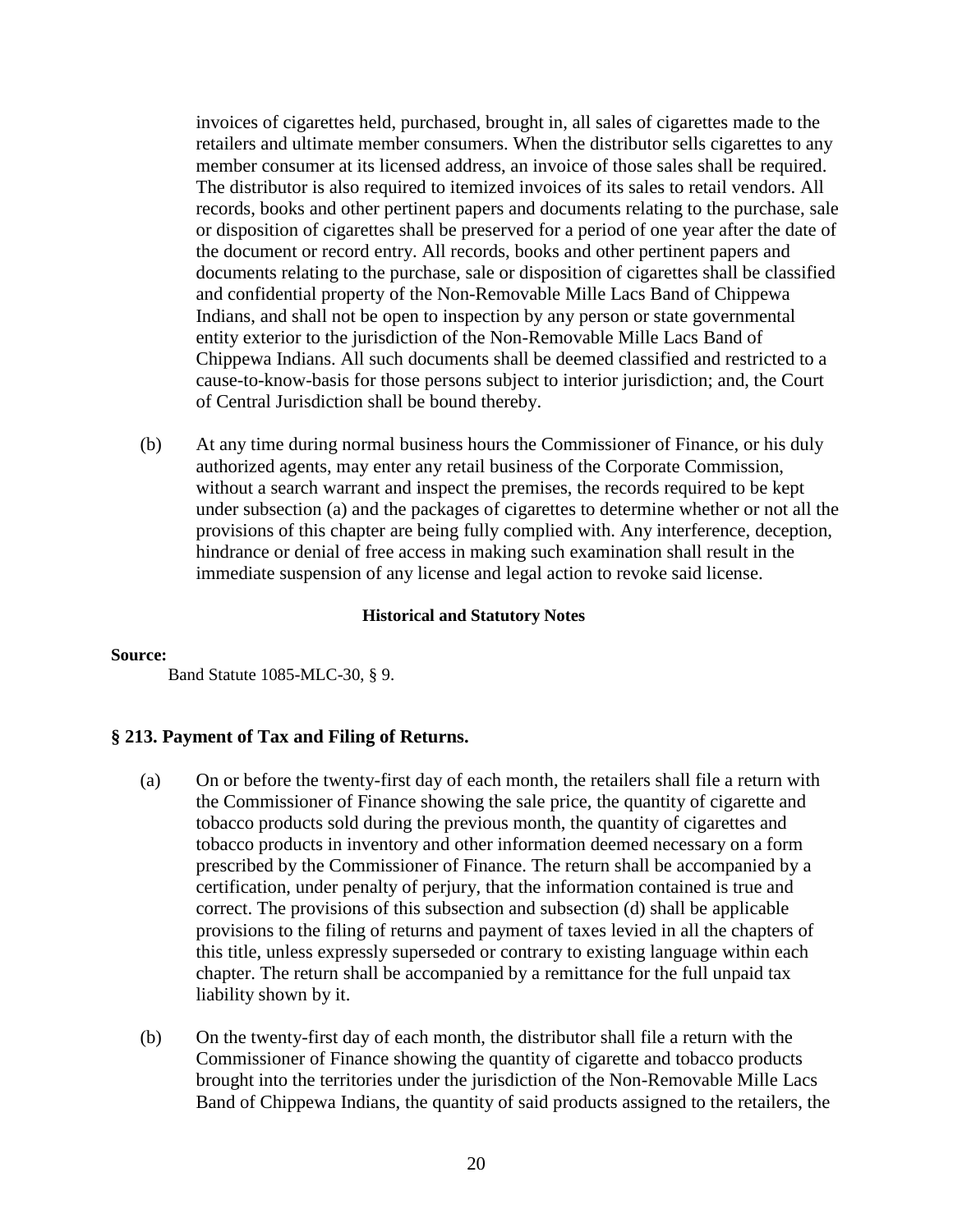invoices of cigarettes held, purchased, brought in, all sales of cigarettes made to the retailers and ultimate member consumers. When the distributor sells cigarettes to any member consumer at its licensed address, an invoice of those sales shall be required. The distributor is also required to itemized invoices of its sales to retail vendors. All records, books and other pertinent papers and documents relating to the purchase, sale or disposition of cigarettes shall be preserved for a period of one year after the date of the document or record entry. All records, books and other pertinent papers and documents relating to the purchase, sale or disposition of cigarettes shall be classified and confidential property of the Non-Removable Mille Lacs Band of Chippewa Indians, and shall not be open to inspection by any person or state governmental entity exterior to the jurisdiction of the Non-Removable Mille Lacs Band of Chippewa Indians. All such documents shall be deemed classified and restricted to a cause-to-know-basis for those persons subject to interior jurisdiction; and, the Court of Central Jurisdiction shall be bound thereby.

(b) At any time during normal business hours the Commissioner of Finance, or his duly authorized agents, may enter any retail business of the Corporate Commission, without a search warrant and inspect the premises, the records required to be kept under subsection (a) and the packages of cigarettes to determine whether or not all the provisions of this chapter are being fully complied with. Any interference, deception, hindrance or denial of free access in making such examination shall result in the immediate suspension of any license and legal action to revoke said license.

#### **Historical and Statutory Notes**

#### **Source:**

Band Statute 1085-MLC-30, § 9.

# **§ 213. Payment of Tax and Filing of Returns.**

- (a) On or before the twenty-first day of each month, the retailers shall file a return with the Commissioner of Finance showing the sale price, the quantity of cigarette and tobacco products sold during the previous month, the quantity of cigarettes and tobacco products in inventory and other information deemed necessary on a form prescribed by the Commissioner of Finance. The return shall be accompanied by a certification, under penalty of perjury, that the information contained is true and correct. The provisions of this subsection and subsection (d) shall be applicable provisions to the filing of returns and payment of taxes levied in all the chapters of this title, unless expressly superseded or contrary to existing language within each chapter. The return shall be accompanied by a remittance for the full unpaid tax liability shown by it.
- (b) On the twenty-first day of each month, the distributor shall file a return with the Commissioner of Finance showing the quantity of cigarette and tobacco products brought into the territories under the jurisdiction of the Non-Removable Mille Lacs Band of Chippewa Indians, the quantity of said products assigned to the retailers, the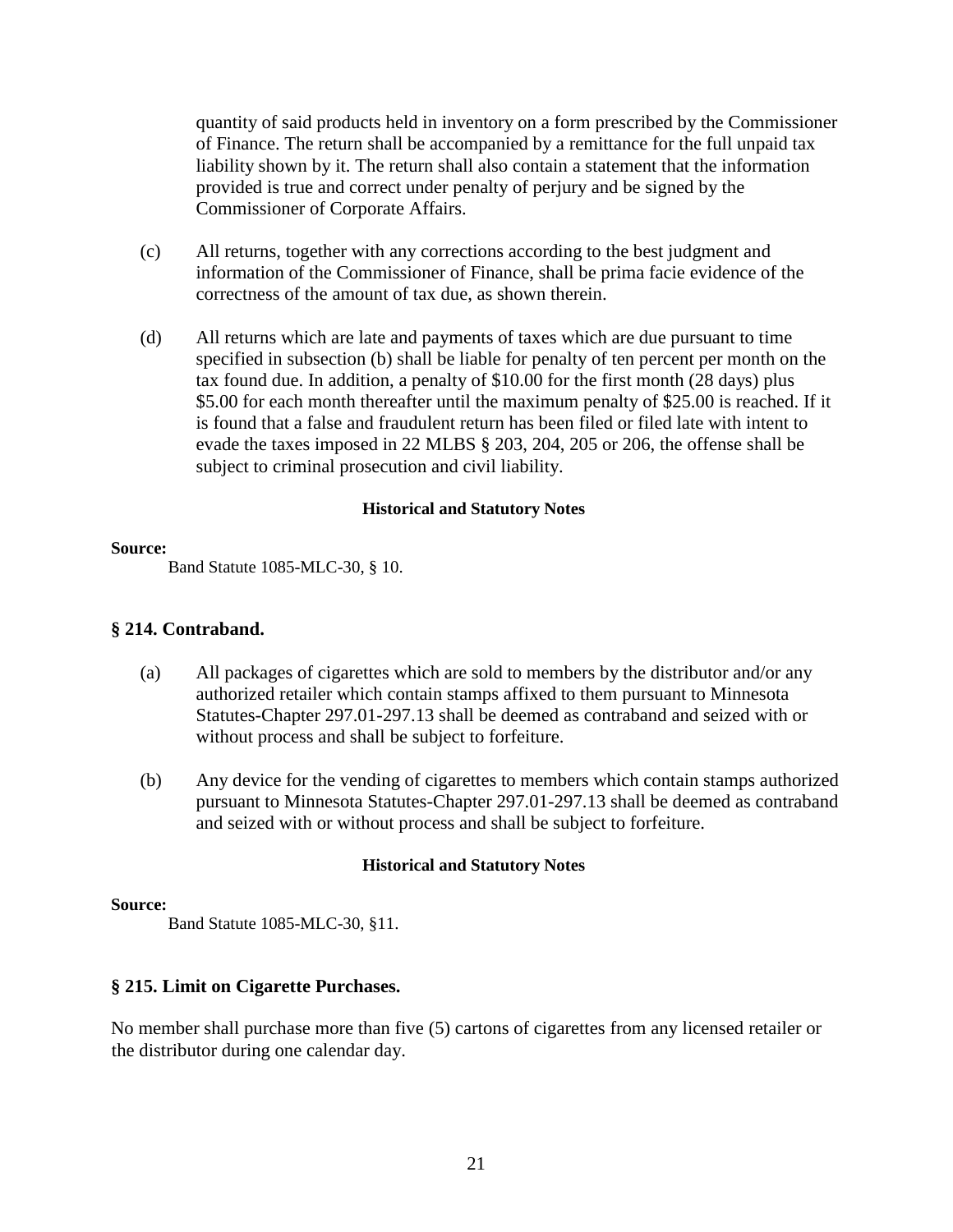quantity of said products held in inventory on a form prescribed by the Commissioner of Finance. The return shall be accompanied by a remittance for the full unpaid tax liability shown by it. The return shall also contain a statement that the information provided is true and correct under penalty of perjury and be signed by the Commissioner of Corporate Affairs.

- (c) All returns, together with any corrections according to the best judgment and information of the Commissioner of Finance, shall be prima facie evidence of the correctness of the amount of tax due, as shown therein.
- (d) All returns which are late and payments of taxes which are due pursuant to time specified in subsection (b) shall be liable for penalty of ten percent per month on the tax found due. In addition, a penalty of \$10.00 for the first month (28 days) plus \$5.00 for each month thereafter until the maximum penalty of \$25.00 is reached. If it is found that a false and fraudulent return has been filed or filed late with intent to evade the taxes imposed in 22 MLBS § 203, 204, 205 or 206, the offense shall be subject to criminal prosecution and civil liability.

# **Historical and Statutory Notes**

#### **Source:**

Band Statute 1085-MLC-30, § 10.

# **§ 214. Contraband.**

- (a) All packages of cigarettes which are sold to members by the distributor and/or any authorized retailer which contain stamps affixed to them pursuant to Minnesota Statutes-Chapter 297.01-297.13 shall be deemed as contraband and seized with or without process and shall be subject to forfeiture.
- (b) Any device for the vending of cigarettes to members which contain stamps authorized pursuant to Minnesota Statutes-Chapter 297.01-297.13 shall be deemed as contraband and seized with or without process and shall be subject to forfeiture.

#### **Historical and Statutory Notes**

#### **Source:**

Band Statute 1085-MLC-30, §11.

# **§ 215. Limit on Cigarette Purchases.**

No member shall purchase more than five (5) cartons of cigarettes from any licensed retailer or the distributor during one calendar day.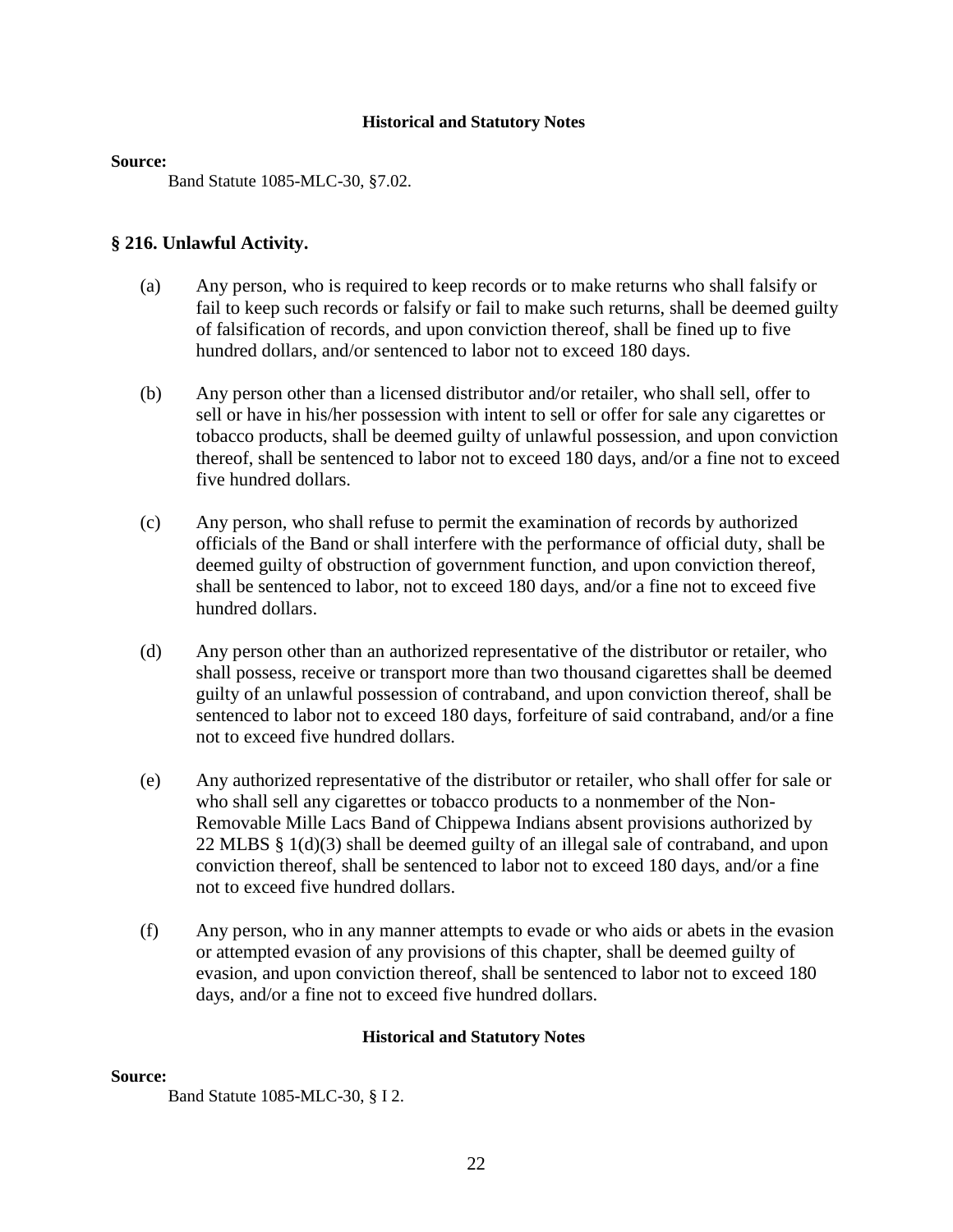#### **Source:**

Band Statute 1085-MLC-30, §7.02.

# **§ 216. Unlawful Activity.**

- (a) Any person, who is required to keep records or to make returns who shall falsify or fail to keep such records or falsify or fail to make such returns, shall be deemed guilty of falsification of records, and upon conviction thereof, shall be fined up to five hundred dollars, and/or sentenced to labor not to exceed 180 days.
- (b) Any person other than a licensed distributor and/or retailer, who shall sell, offer to sell or have in his/her possession with intent to sell or offer for sale any cigarettes or tobacco products, shall be deemed guilty of unlawful possession, and upon conviction thereof, shall be sentenced to labor not to exceed 180 days, and/or a fine not to exceed five hundred dollars.
- (c) Any person, who shall refuse to permit the examination of records by authorized officials of the Band or shall interfere with the performance of official duty, shall be deemed guilty of obstruction of government function, and upon conviction thereof, shall be sentenced to labor, not to exceed 180 days, and/or a fine not to exceed five hundred dollars.
- (d) Any person other than an authorized representative of the distributor or retailer, who shall possess, receive or transport more than two thousand cigarettes shall be deemed guilty of an unlawful possession of contraband, and upon conviction thereof, shall be sentenced to labor not to exceed 180 days, forfeiture of said contraband, and/or a fine not to exceed five hundred dollars.
- (e) Any authorized representative of the distributor or retailer, who shall offer for sale or who shall sell any cigarettes or tobacco products to a nonmember of the Non-Removable Mille Lacs Band of Chippewa Indians absent provisions authorized by 22 MLBS § 1(d)(3) shall be deemed guilty of an illegal sale of contraband, and upon conviction thereof, shall be sentenced to labor not to exceed 180 days, and/or a fine not to exceed five hundred dollars.
- (f) Any person, who in any manner attempts to evade or who aids or abets in the evasion or attempted evasion of any provisions of this chapter, shall be deemed guilty of evasion, and upon conviction thereof, shall be sentenced to labor not to exceed 180 days, and/or a fine not to exceed five hundred dollars.

#### **Historical and Statutory Notes**

#### **Source:**

Band Statute 1085-MLC-30, § I 2.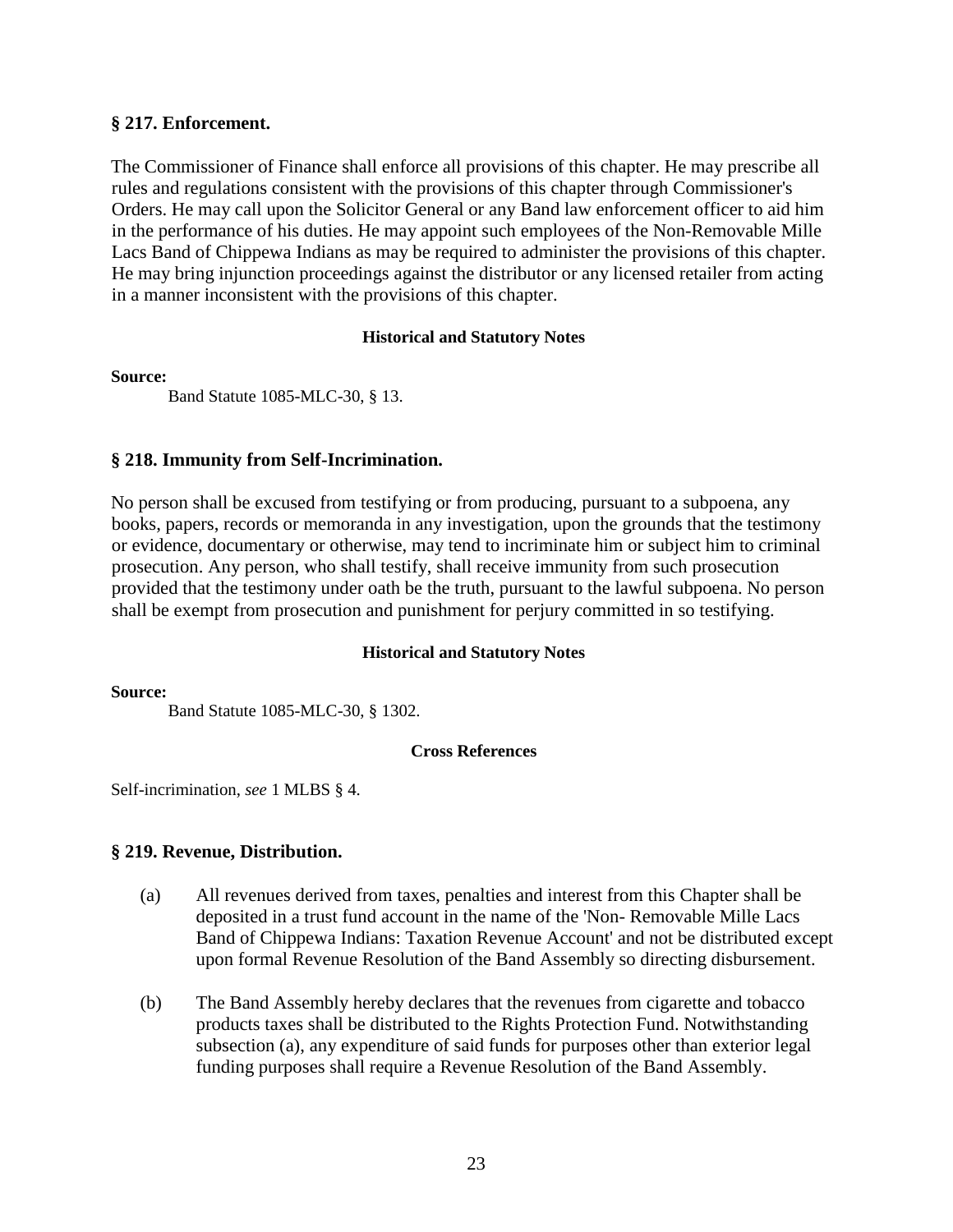#### **§ 217. Enforcement.**

The Commissioner of Finance shall enforce all provisions of this chapter. He may prescribe all rules and regulations consistent with the provisions of this chapter through Commissioner's Orders. He may call upon the Solicitor General or any Band law enforcement officer to aid him in the performance of his duties. He may appoint such employees of the Non-Removable Mille Lacs Band of Chippewa Indians as may be required to administer the provisions of this chapter. He may bring injunction proceedings against the distributor or any licensed retailer from acting in a manner inconsistent with the provisions of this chapter.

#### **Historical and Statutory Notes**

#### **Source:**

Band Statute 1085-MLC-30, § 13.

#### **§ 218. Immunity from Self-Incrimination.**

No person shall be excused from testifying or from producing, pursuant to a subpoena, any books, papers, records or memoranda in any investigation, upon the grounds that the testimony or evidence, documentary or otherwise, may tend to incriminate him or subject him to criminal prosecution. Any person, who shall testify, shall receive immunity from such prosecution provided that the testimony under oath be the truth, pursuant to the lawful subpoena. No person shall be exempt from prosecution and punishment for perjury committed in so testifying.

#### **Historical and Statutory Notes**

**Source:** 

Band Statute 1085-MLC-30, § 1302.

#### **Cross References**

Self-incrimination, *see* 1 MLBS § 4.

# **§ 219. Revenue, Distribution.**

- (a) All revenues derived from taxes, penalties and interest from this Chapter shall be deposited in a trust fund account in the name of the 'Non- Removable Mille Lacs Band of Chippewa Indians: Taxation Revenue Account' and not be distributed except upon formal Revenue Resolution of the Band Assembly so directing disbursement.
- (b) The Band Assembly hereby declares that the revenues from cigarette and tobacco products taxes shall be distributed to the Rights Protection Fund. Notwithstanding subsection (a), any expenditure of said funds for purposes other than exterior legal funding purposes shall require a Revenue Resolution of the Band Assembly.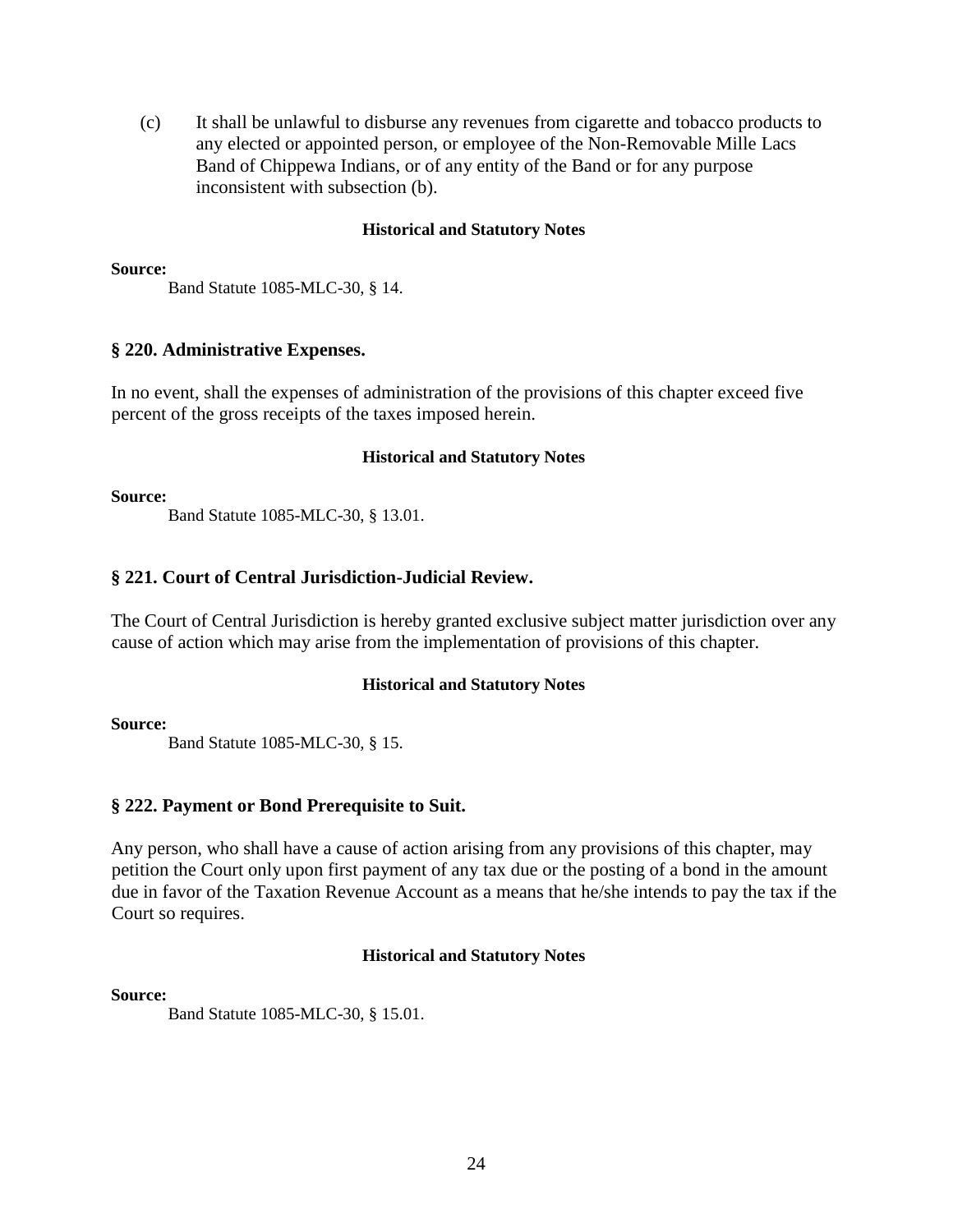(c) It shall be unlawful to disburse any revenues from cigarette and tobacco products to any elected or appointed person, or employee of the Non-Removable Mille Lacs Band of Chippewa Indians, or of any entity of the Band or for any purpose inconsistent with subsection (b).

#### **Historical and Statutory Notes**

#### **Source:**

Band Statute 1085-MLC-30, § 14.

#### **§ 220. Administrative Expenses.**

In no event, shall the expenses of administration of the provisions of this chapter exceed five percent of the gross receipts of the taxes imposed herein.

#### **Historical and Statutory Notes**

#### **Source:**

Band Statute 1085-MLC-30, § 13.01.

# **§ 221. Court of Central Jurisdiction-Judicial Review.**

The Court of Central Jurisdiction is hereby granted exclusive subject matter jurisdiction over any cause of action which may arise from the implementation of provisions of this chapter.

# **Historical and Statutory Notes**

#### **Source:**

Band Statute 1085-MLC-30, § 15.

# **§ 222. Payment or Bond Prerequisite to Suit.**

Any person, who shall have a cause of action arising from any provisions of this chapter, may petition the Court only upon first payment of any tax due or the posting of a bond in the amount due in favor of the Taxation Revenue Account as a means that he/she intends to pay the tax if the Court so requires.

#### **Historical and Statutory Notes**

#### **Source:**

Band Statute 1085-MLC-30, § 15.01.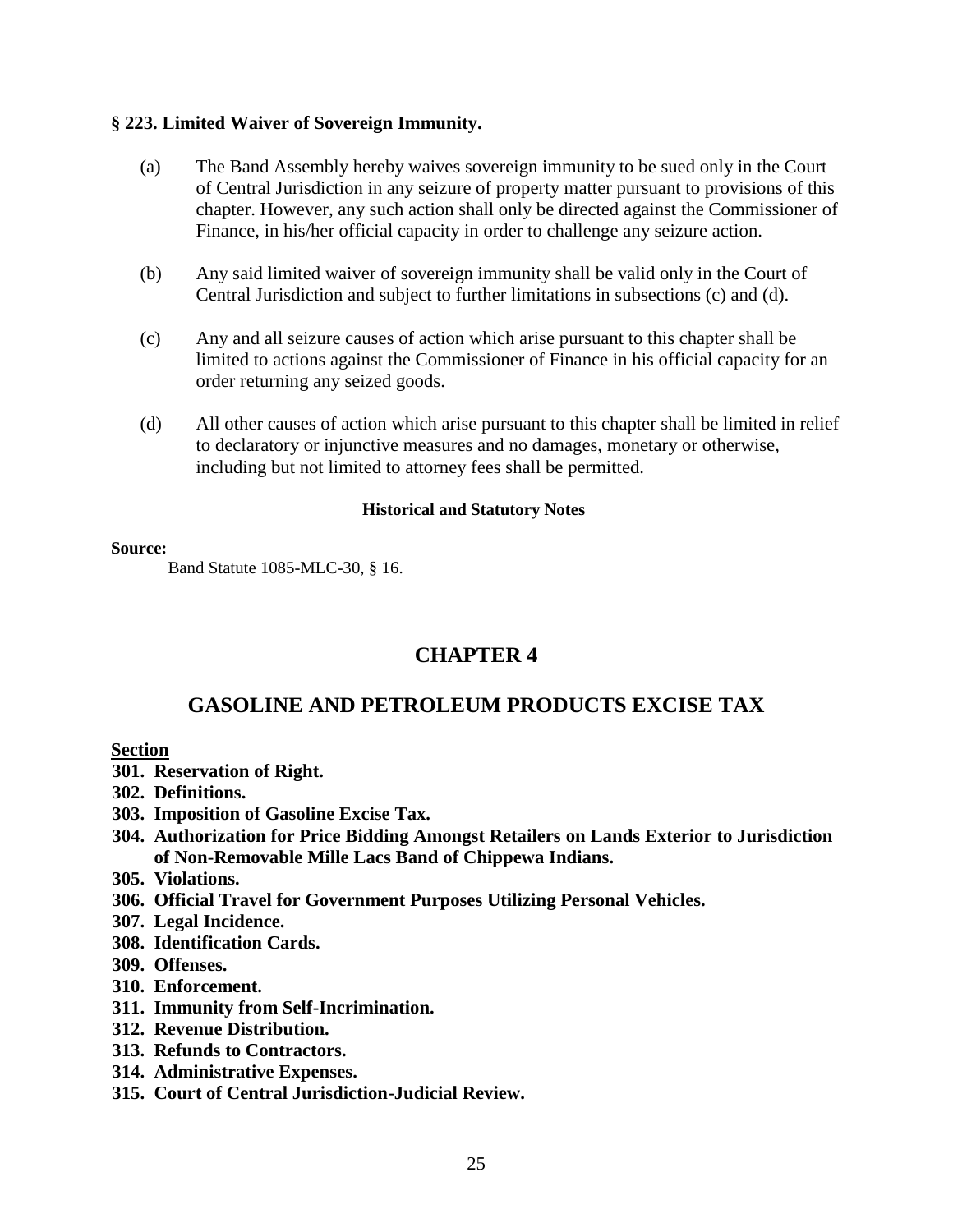# **§ 223. Limited Waiver of Sovereign Immunity.**

- (a) The Band Assembly hereby waives sovereign immunity to be sued only in the Court of Central Jurisdiction in any seizure of property matter pursuant to provisions of this chapter. However, any such action shall only be directed against the Commissioner of Finance, in his/her official capacity in order to challenge any seizure action.
- (b) Any said limited waiver of sovereign immunity shall be valid only in the Court of Central Jurisdiction and subject to further limitations in subsections (c) and (d).
- (c) Any and all seizure causes of action which arise pursuant to this chapter shall be limited to actions against the Commissioner of Finance in his official capacity for an order returning any seized goods.
- (d) All other causes of action which arise pursuant to this chapter shall be limited in relief to declaratory or injunctive measures and no damages, monetary or otherwise, including but not limited to attorney fees shall be permitted.

#### **Historical and Statutory Notes**

#### **Source:**

Band Statute 1085-MLC-30, § 16.

# **CHAPTER 4**

# **GASOLINE AND PETROLEUM PRODUCTS EXCISE TAX**

# **Section**

- **301. Reservation of Right.**
- **302. Definitions.**
- **303. Imposition of Gasoline Excise Tax.**
- **304. Authorization for Price Bidding Amongst Retailers on Lands Exterior to Jurisdiction of Non-Removable Mille Lacs Band of Chippewa Indians.**
- **305. Violations.**
- **306. Official Travel for Government Purposes Utilizing Personal Vehicles.**
- **307. Legal Incidence.**
- **308. Identification Cards.**
- **309. Offenses.**
- **310. Enforcement.**
- **311. Immunity from Self-Incrimination.**
- **312. Revenue Distribution.**
- **313. Refunds to Contractors.**
- **314. Administrative Expenses.**
- **315. Court of Central Jurisdiction-Judicial Review.**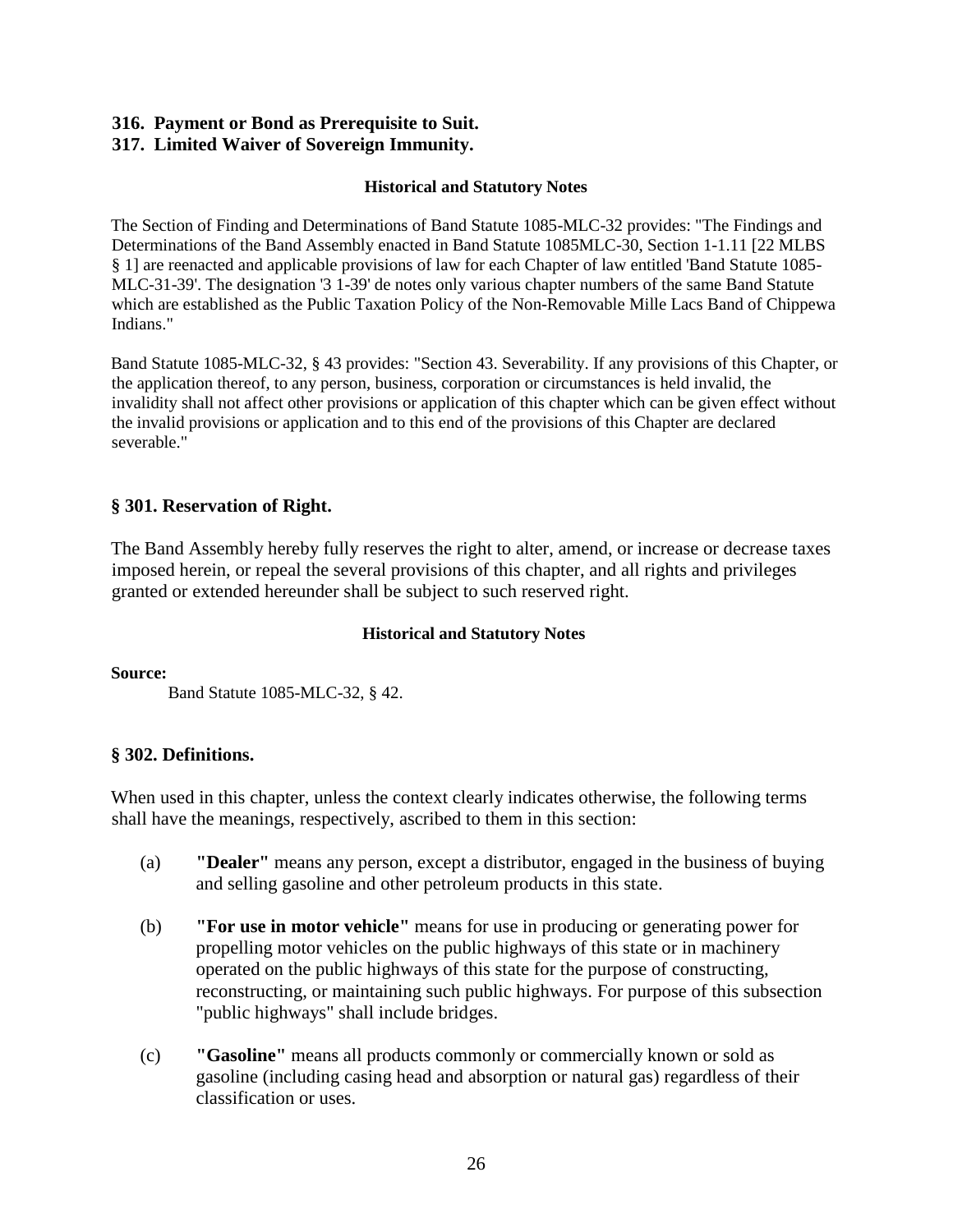# **316. Payment or Bond as Prerequisite to Suit.**

# **317. Limited Waiver of Sovereign Immunity.**

#### **Historical and Statutory Notes**

The Section of Finding and Determinations of Band Statute 1085-MLC-32 provides: "The Findings and Determinations of the Band Assembly enacted in Band Statute 1085MLC-30, Section 1-1.11 [22 MLBS § 1] are reenacted and applicable provisions of law for each Chapter of law entitled 'Band Statute 1085- MLC-31-39'. The designation '3 1-39' de notes only various chapter numbers of the same Band Statute which are established as the Public Taxation Policy of the Non-Removable Mille Lacs Band of Chippewa Indians."

Band Statute 1085-MLC-32, § 43 provides: "Section 43. Severability. If any provisions of this Chapter, or the application thereof, to any person, business, corporation or circumstances is held invalid, the invalidity shall not affect other provisions or application of this chapter which can be given effect without the invalid provisions or application and to this end of the provisions of this Chapter are declared severable."

# **§ 301. Reservation of Right.**

The Band Assembly hereby fully reserves the right to alter, amend, or increase or decrease taxes imposed herein, or repeal the several provisions of this chapter, and all rights and privileges granted or extended hereunder shall be subject to such reserved right.

# **Historical and Statutory Notes**

**Source:** 

Band Statute 1085-MLC-32, § 42.

# **§ 302. Definitions.**

When used in this chapter, unless the context clearly indicates otherwise, the following terms shall have the meanings, respectively, ascribed to them in this section:

- (a) **"Dealer"** means any person, except a distributor, engaged in the business of buying and selling gasoline and other petroleum products in this state.
- (b) **"For use in motor vehicle"** means for use in producing or generating power for propelling motor vehicles on the public highways of this state or in machinery operated on the public highways of this state for the purpose of constructing, reconstructing, or maintaining such public highways. For purpose of this subsection "public highways" shall include bridges.
- (c) **"Gasoline"** means all products commonly or commercially known or sold as gasoline (including casing head and absorption or natural gas) regardless of their classification or uses.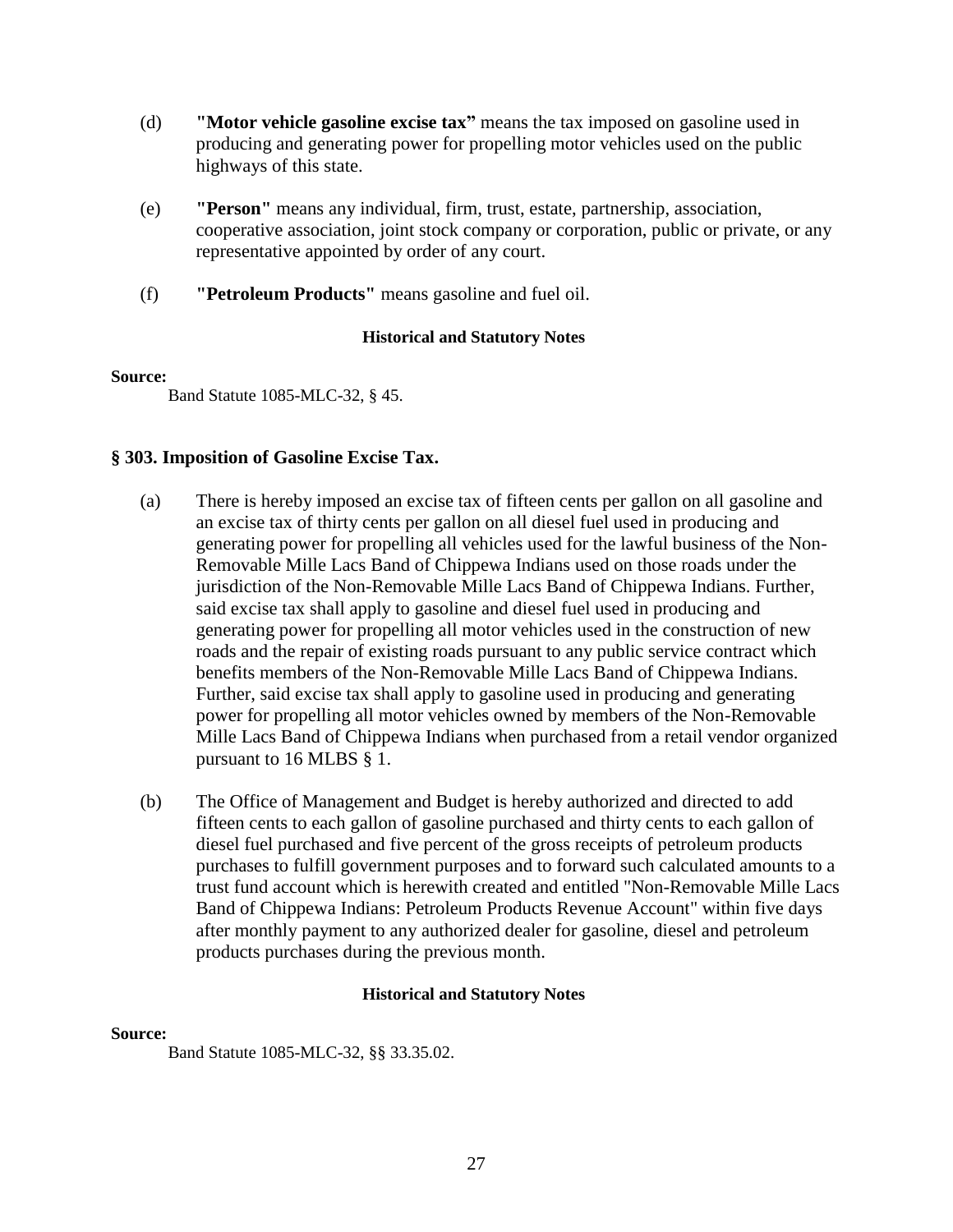- (d) **"Motor vehicle gasoline excise tax"** means the tax imposed on gasoline used in producing and generating power for propelling motor vehicles used on the public highways of this state.
- (e) **"Person"** means any individual, firm, trust, estate, partnership, association, cooperative association, joint stock company or corporation, public or private, or any representative appointed by order of any court.
- (f) **"Petroleum Products"** means gasoline and fuel oil.

#### **Source:**

Band Statute 1085-MLC-32, § 45.

# **§ 303. Imposition of Gasoline Excise Tax.**

- (a) There is hereby imposed an excise tax of fifteen cents per gallon on all gasoline and an excise tax of thirty cents per gallon on all diesel fuel used in producing and generating power for propelling all vehicles used for the lawful business of the Non-Removable Mille Lacs Band of Chippewa Indians used on those roads under the jurisdiction of the Non-Removable Mille Lacs Band of Chippewa Indians. Further, said excise tax shall apply to gasoline and diesel fuel used in producing and generating power for propelling all motor vehicles used in the construction of new roads and the repair of existing roads pursuant to any public service contract which benefits members of the Non-Removable Mille Lacs Band of Chippewa Indians. Further, said excise tax shall apply to gasoline used in producing and generating power for propelling all motor vehicles owned by members of the Non-Removable Mille Lacs Band of Chippewa Indians when purchased from a retail vendor organized pursuant to 16 MLBS § 1.
- (b) The Office of Management and Budget is hereby authorized and directed to add fifteen cents to each gallon of gasoline purchased and thirty cents to each gallon of diesel fuel purchased and five percent of the gross receipts of petroleum products purchases to fulfill government purposes and to forward such calculated amounts to a trust fund account which is herewith created and entitled "Non-Removable Mille Lacs Band of Chippewa Indians: Petroleum Products Revenue Account" within five days after monthly payment to any authorized dealer for gasoline, diesel and petroleum products purchases during the previous month.

# **Historical and Statutory Notes**

#### **Source:**

Band Statute 1085-MLC-32, §§ 33.35.02.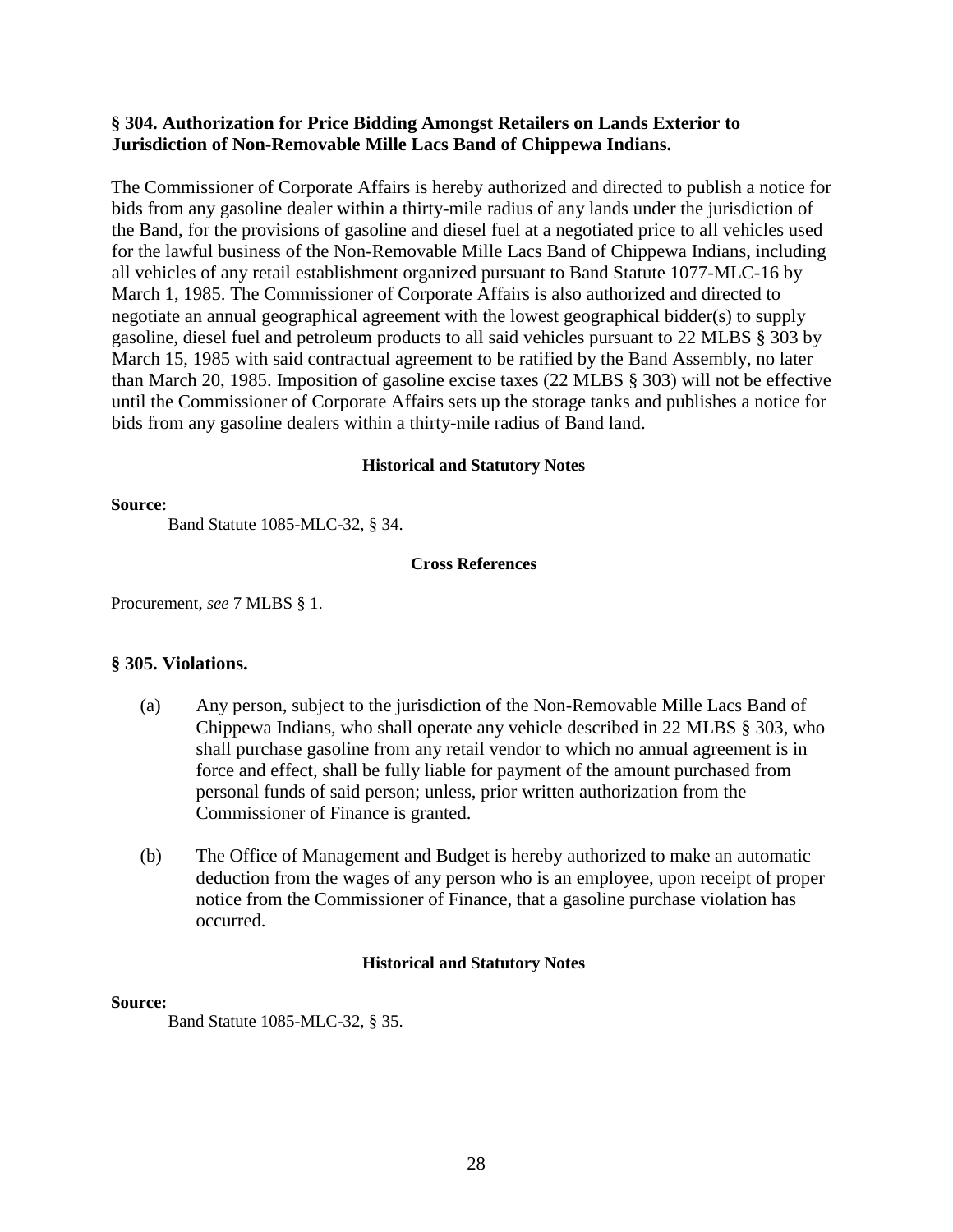# **§ 304. Authorization for Price Bidding Amongst Retailers on Lands Exterior to Jurisdiction of Non-Removable Mille Lacs Band of Chippewa Indians.**

The Commissioner of Corporate Affairs is hereby authorized and directed to publish a notice for bids from any gasoline dealer within a thirty-mile radius of any lands under the jurisdiction of the Band, for the provisions of gasoline and diesel fuel at a negotiated price to all vehicles used for the lawful business of the Non-Removable Mille Lacs Band of Chippewa Indians, including all vehicles of any retail establishment organized pursuant to Band Statute 1077-MLC-16 by March 1, 1985. The Commissioner of Corporate Affairs is also authorized and directed to negotiate an annual geographical agreement with the lowest geographical bidder(s) to supply gasoline, diesel fuel and petroleum products to all said vehicles pursuant to 22 MLBS § 303 by March 15, 1985 with said contractual agreement to be ratified by the Band Assembly, no later than March 20, 1985. Imposition of gasoline excise taxes (22 MLBS § 303) will not be effective until the Commissioner of Corporate Affairs sets up the storage tanks and publishes a notice for bids from any gasoline dealers within a thirty-mile radius of Band land.

#### **Historical and Statutory Notes**

#### **Source:**

Band Statute 1085-MLC-32, § 34.

#### **Cross References**

Procurement, *see* 7 MLBS § 1.

# **§ 305. Violations.**

- (a) Any person, subject to the jurisdiction of the Non-Removable Mille Lacs Band of Chippewa Indians, who shall operate any vehicle described in 22 MLBS § 303, who shall purchase gasoline from any retail vendor to which no annual agreement is in force and effect, shall be fully liable for payment of the amount purchased from personal funds of said person; unless, prior written authorization from the Commissioner of Finance is granted.
- (b) The Office of Management and Budget is hereby authorized to make an automatic deduction from the wages of any person who is an employee, upon receipt of proper notice from the Commissioner of Finance, that a gasoline purchase violation has occurred.

#### **Historical and Statutory Notes**

#### **Source:**

Band Statute 1085-MLC-32, § 35.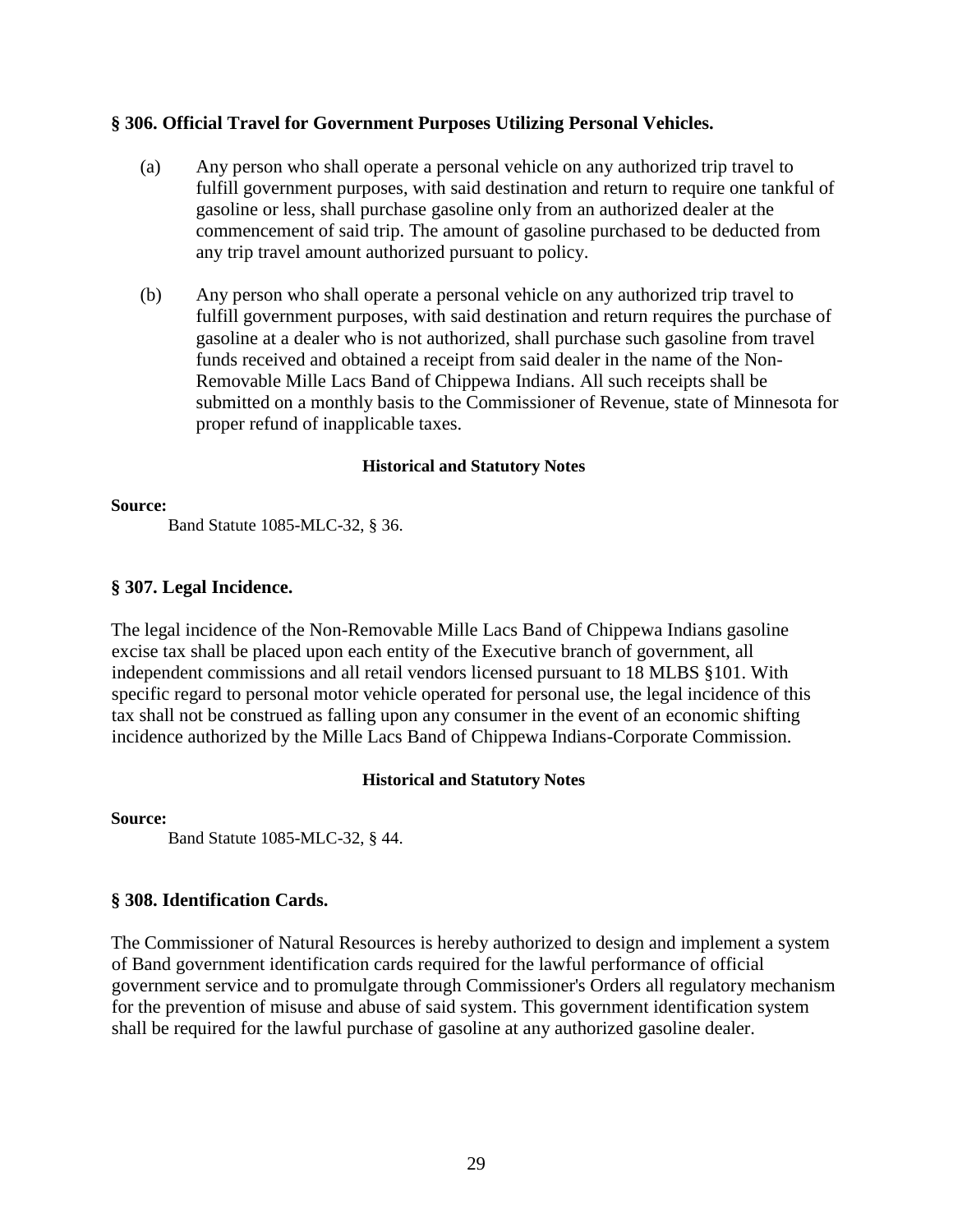# **§ 306. Official Travel for Government Purposes Utilizing Personal Vehicles.**

- (a) Any person who shall operate a personal vehicle on any authorized trip travel to fulfill government purposes, with said destination and return to require one tankful of gasoline or less, shall purchase gasoline only from an authorized dealer at the commencement of said trip. The amount of gasoline purchased to be deducted from any trip travel amount authorized pursuant to policy.
- (b) Any person who shall operate a personal vehicle on any authorized trip travel to fulfill government purposes, with said destination and return requires the purchase of gasoline at a dealer who is not authorized, shall purchase such gasoline from travel funds received and obtained a receipt from said dealer in the name of the Non-Removable Mille Lacs Band of Chippewa Indians. All such receipts shall be submitted on a monthly basis to the Commissioner of Revenue, state of Minnesota for proper refund of inapplicable taxes.

# **Historical and Statutory Notes**

#### **Source:**

Band Statute 1085-MLC-32, § 36.

# **§ 307. Legal Incidence.**

The legal incidence of the Non-Removable Mille Lacs Band of Chippewa Indians gasoline excise tax shall be placed upon each entity of the Executive branch of government, all independent commissions and all retail vendors licensed pursuant to 18 MLBS §101. With specific regard to personal motor vehicle operated for personal use, the legal incidence of this tax shall not be construed as falling upon any consumer in the event of an economic shifting incidence authorized by the Mille Lacs Band of Chippewa Indians-Corporate Commission.

#### **Historical and Statutory Notes**

**Source:**

Band Statute 1085-MLC-32, § 44.

# **§ 308. Identification Cards.**

The Commissioner of Natural Resources is hereby authorized to design and implement a system of Band government identification cards required for the lawful performance of official government service and to promulgate through Commissioner's Orders all regulatory mechanism for the prevention of misuse and abuse of said system. This government identification system shall be required for the lawful purchase of gasoline at any authorized gasoline dealer.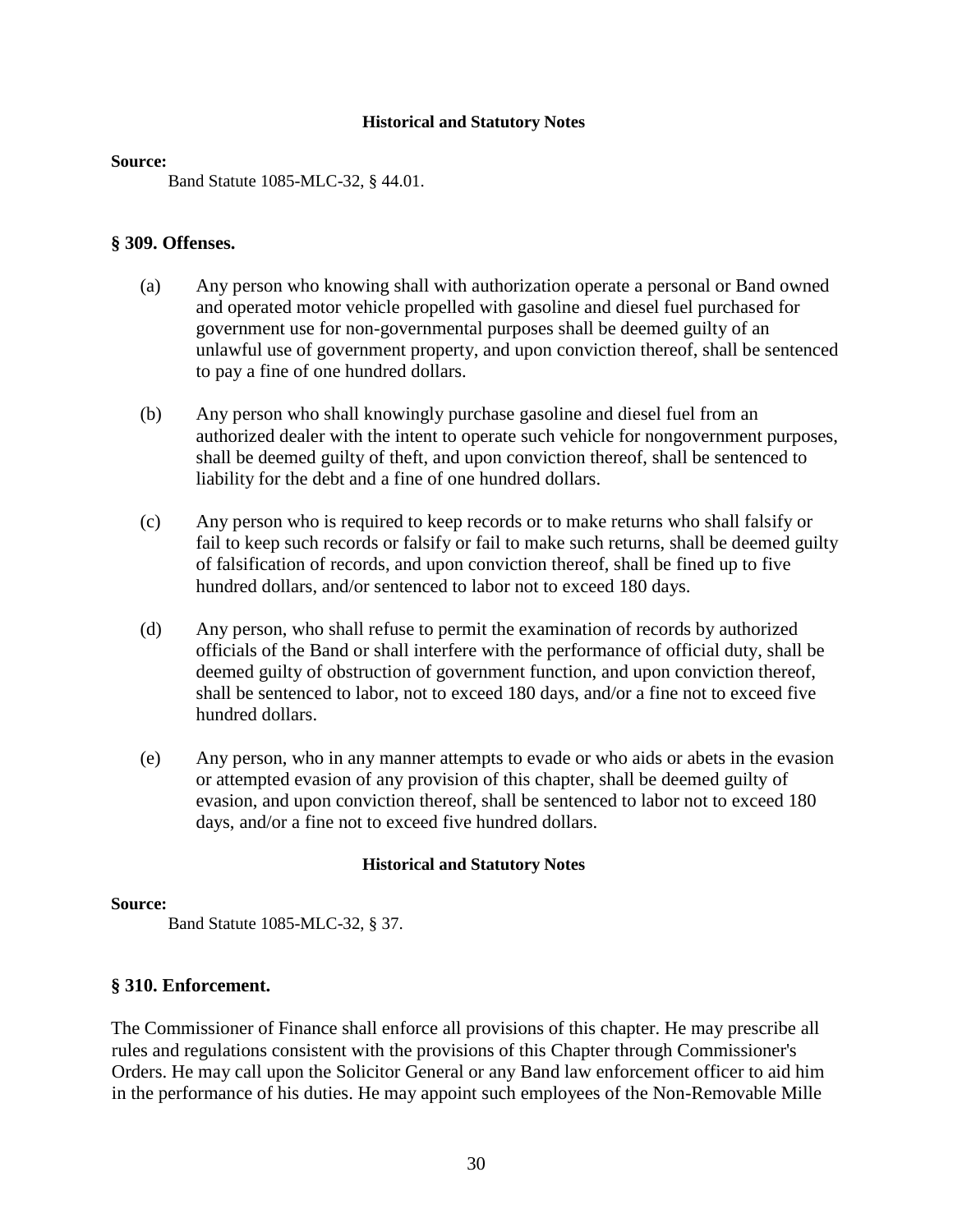#### **Source:**

Band Statute 1085-MLC-32, § 44.01.

#### **§ 309. Offenses.**

- (a) Any person who knowing shall with authorization operate a personal or Band owned and operated motor vehicle propelled with gasoline and diesel fuel purchased for government use for non-governmental purposes shall be deemed guilty of an unlawful use of government property, and upon conviction thereof, shall be sentenced to pay a fine of one hundred dollars.
- (b) Any person who shall knowingly purchase gasoline and diesel fuel from an authorized dealer with the intent to operate such vehicle for nongovernment purposes, shall be deemed guilty of theft, and upon conviction thereof, shall be sentenced to liability for the debt and a fine of one hundred dollars.
- (c) Any person who is required to keep records or to make returns who shall falsify or fail to keep such records or falsify or fail to make such returns, shall be deemed guilty of falsification of records, and upon conviction thereof, shall be fined up to five hundred dollars, and/or sentenced to labor not to exceed 180 days.
- (d) Any person, who shall refuse to permit the examination of records by authorized officials of the Band or shall interfere with the performance of official duty, shall be deemed guilty of obstruction of government function, and upon conviction thereof, shall be sentenced to labor, not to exceed 180 days, and/or a fine not to exceed five hundred dollars.
- (e) Any person, who in any manner attempts to evade or who aids or abets in the evasion or attempted evasion of any provision of this chapter, shall be deemed guilty of evasion, and upon conviction thereof, shall be sentenced to labor not to exceed 180 days, and/or a fine not to exceed five hundred dollars.

#### **Historical and Statutory Notes**

#### **Source:**

Band Statute 1085-MLC-32, § 37.

# **§ 310. Enforcement.**

The Commissioner of Finance shall enforce all provisions of this chapter. He may prescribe all rules and regulations consistent with the provisions of this Chapter through Commissioner's Orders. He may call upon the Solicitor General or any Band law enforcement officer to aid him in the performance of his duties. He may appoint such employees of the Non-Removable Mille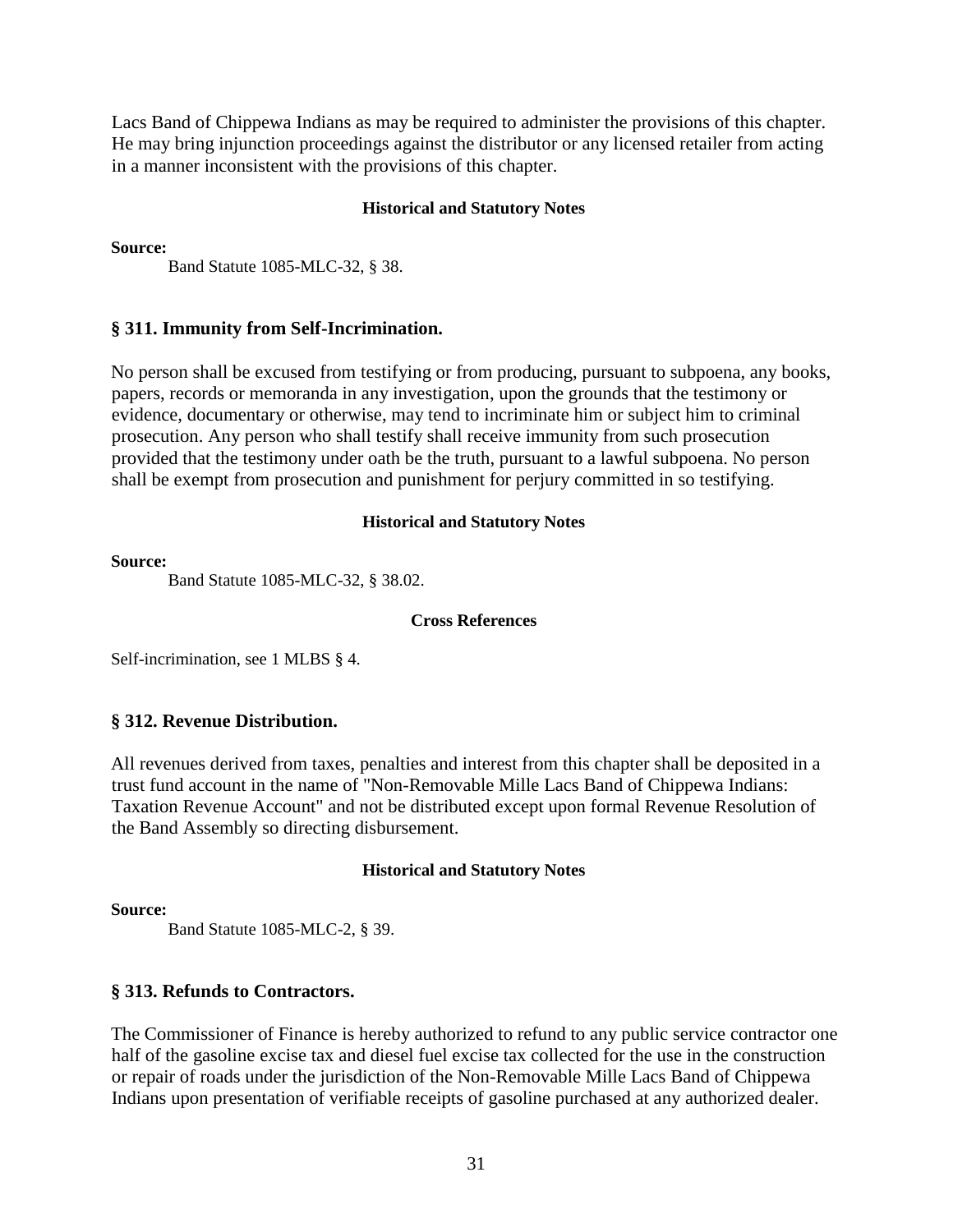Lacs Band of Chippewa Indians as may be required to administer the provisions of this chapter. He may bring injunction proceedings against the distributor or any licensed retailer from acting in a manner inconsistent with the provisions of this chapter.

#### **Historical and Statutory Notes**

**Source:** 

Band Statute 1085-MLC-32, § 38.

# **§ 311. Immunity from Self-Incrimination.**

No person shall be excused from testifying or from producing, pursuant to subpoena, any books, papers, records or memoranda in any investigation, upon the grounds that the testimony or evidence, documentary or otherwise, may tend to incriminate him or subject him to criminal prosecution. Any person who shall testify shall receive immunity from such prosecution provided that the testimony under oath be the truth, pursuant to a lawful subpoena. No person shall be exempt from prosecution and punishment for perjury committed in so testifying.

# **Historical and Statutory Notes**

#### **Source:**

Band Statute 1085-MLC-32, § 38.02.

#### **Cross References**

Self-incrimination, see 1 MLBS § 4.

# **§ 312. Revenue Distribution.**

All revenues derived from taxes, penalties and interest from this chapter shall be deposited in a trust fund account in the name of "Non-Removable Mille Lacs Band of Chippewa Indians: Taxation Revenue Account" and not be distributed except upon formal Revenue Resolution of the Band Assembly so directing disbursement.

# **Historical and Statutory Notes**

#### **Source:**

Band Statute 1085-MLC-2, § 39.

# **§ 313. Refunds to Contractors.**

The Commissioner of Finance is hereby authorized to refund to any public service contractor one half of the gasoline excise tax and diesel fuel excise tax collected for the use in the construction or repair of roads under the jurisdiction of the Non-Removable Mille Lacs Band of Chippewa Indians upon presentation of verifiable receipts of gasoline purchased at any authorized dealer.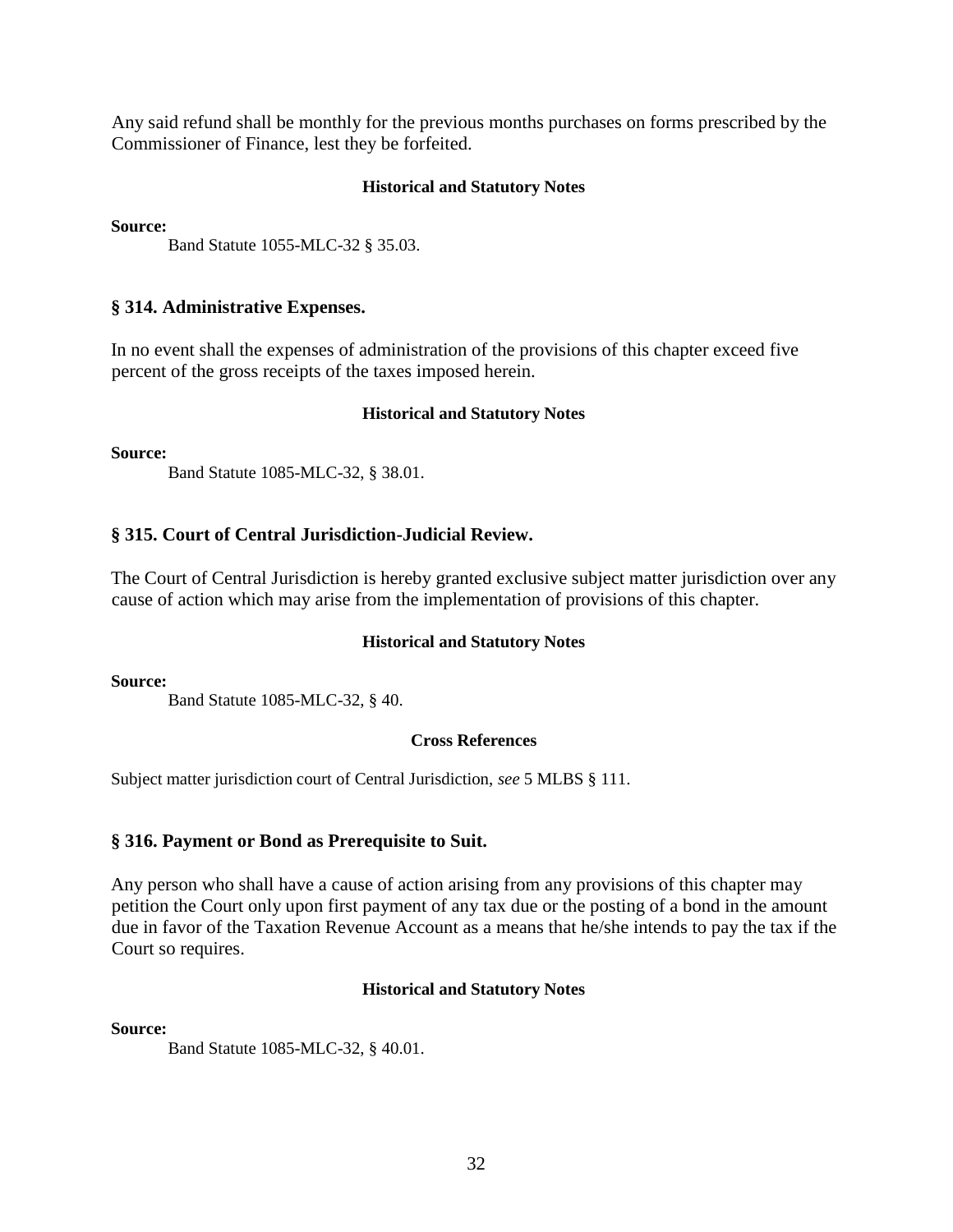Any said refund shall be monthly for the previous months purchases on forms prescribed by the Commissioner of Finance, lest they be forfeited.

#### **Historical and Statutory Notes**

**Source:** 

Band Statute 1055-MLC-32 § 35.03.

# **§ 314. Administrative Expenses.**

In no event shall the expenses of administration of the provisions of this chapter exceed five percent of the gross receipts of the taxes imposed herein.

#### **Historical and Statutory Notes**

**Source:** 

Band Statute 1085-MLC-32, § 38.01.

# **§ 315. Court of Central Jurisdiction-Judicial Review.**

The Court of Central Jurisdiction is hereby granted exclusive subject matter jurisdiction over any cause of action which may arise from the implementation of provisions of this chapter.

#### **Historical and Statutory Notes**

**Source:** 

Band Statute 1085-MLC-32, § 40.

#### **Cross References**

Subject matter jurisdiction court of Central Jurisdiction, *see* 5 MLBS § 111.

# **§ 316. Payment or Bond as Prerequisite to Suit.**

Any person who shall have a cause of action arising from any provisions of this chapter may petition the Court only upon first payment of any tax due or the posting of a bond in the amount due in favor of the Taxation Revenue Account as a means that he/she intends to pay the tax if the Court so requires.

#### **Historical and Statutory Notes**

**Source:**

Band Statute 1085-MLC-32, § 40.01.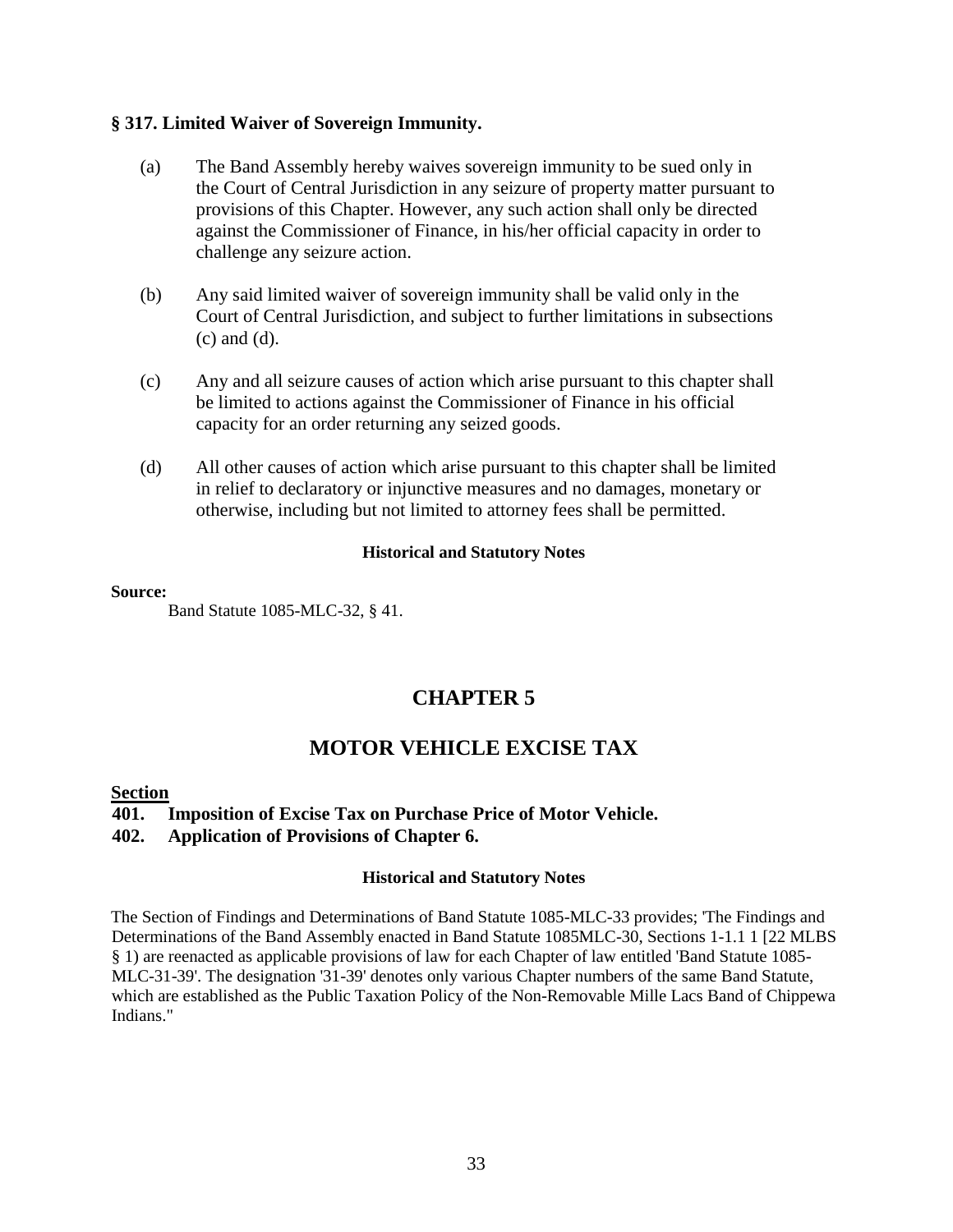# **§ 317. Limited Waiver of Sovereign Immunity.**

- (a) The Band Assembly hereby waives sovereign immunity to be sued only in the Court of Central Jurisdiction in any seizure of property matter pursuant to provisions of this Chapter. However, any such action shall only be directed against the Commissioner of Finance, in his/her official capacity in order to challenge any seizure action.
- (b) Any said limited waiver of sovereign immunity shall be valid only in the Court of Central Jurisdiction, and subject to further limitations in subsections (c) and (d).
- (c) Any and all seizure causes of action which arise pursuant to this chapter shall be limited to actions against the Commissioner of Finance in his official capacity for an order returning any seized goods.
- (d) All other causes of action which arise pursuant to this chapter shall be limited in relief to declaratory or injunctive measures and no damages, monetary or otherwise, including but not limited to attorney fees shall be permitted.

#### **Historical and Statutory Notes**

#### **Source:**

Band Statute 1085-MLC-32, § 41.

# **CHAPTER 5**

# **MOTOR VEHICLE EXCISE TAX**

# **Section**

**401. Imposition of Excise Tax on Purchase Price of Motor Vehicle. 402. Application of Provisions of Chapter 6.** 

# **Historical and Statutory Notes**

The Section of Findings and Determinations of Band Statute 1085-MLC-33 provides; 'The Findings and Determinations of the Band Assembly enacted in Band Statute 1085MLC-30, Sections 1-1.1 1 [22 MLBS § 1) are reenacted as applicable provisions of law for each Chapter of law entitled 'Band Statute 1085- MLC-31-39'. The designation '31-39' denotes only various Chapter numbers of the same Band Statute, which are established as the Public Taxation Policy of the Non-Removable Mille Lacs Band of Chippewa Indians."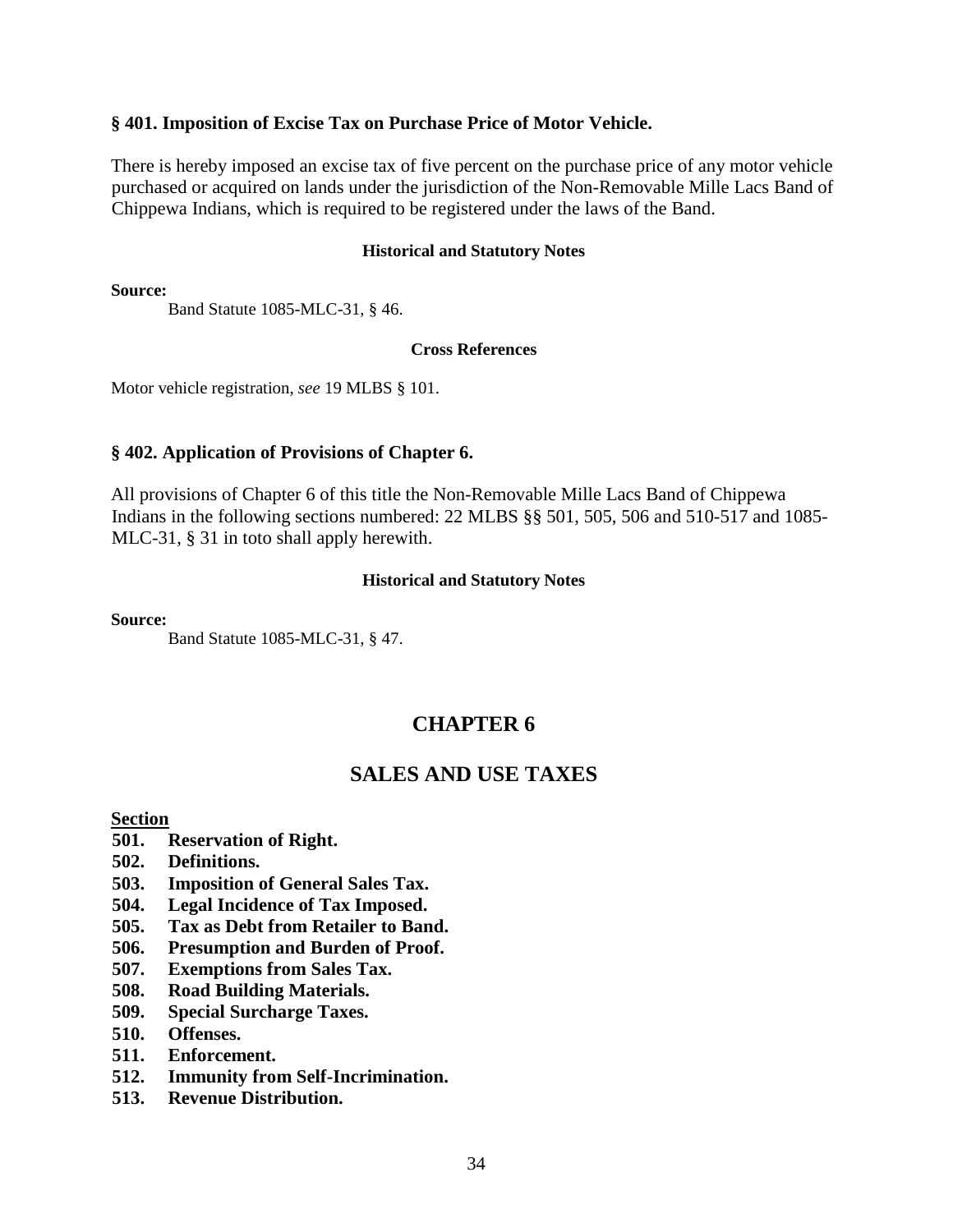# **§ 401. Imposition of Excise Tax on Purchase Price of Motor Vehicle.**

There is hereby imposed an excise tax of five percent on the purchase price of any motor vehicle purchased or acquired on lands under the jurisdiction of the Non-Removable Mille Lacs Band of Chippewa Indians, which is required to be registered under the laws of the Band.

#### **Historical and Statutory Notes**

**Source:** 

Band Statute 1085-MLC-31, § 46.

#### **Cross References**

Motor vehicle registration, *see* 19 MLBS § 101.

#### **§ 402. Application of Provisions of Chapter 6.**

All provisions of Chapter 6 of this title the Non-Removable Mille Lacs Band of Chippewa Indians in the following sections numbered: 22 MLBS §§ 501, 505, 506 and 510-517 and 1085- MLC-31, § 31 in toto shall apply herewith.

#### **Historical and Statutory Notes**

**Source:** 

Band Statute 1085-MLC-31, § 47.

# **CHAPTER 6**

# **SALES AND USE TAXES**

#### **Section**

- **501. Reservation of Right.**
- **502. Definitions.**
- **503. Imposition of General Sales Tax.**
- **504. Legal Incidence of Tax Imposed.**
- **505. Tax as Debt from Retailer to Band.**
- **506. Presumption and Burden of Proof.**
- **507. Exemptions from Sales Tax.**
- **508. Road Building Materials.**
- **509. Special Surcharge Taxes.**
- **510. Offenses.**
- **511. Enforcement.**
- **512. Immunity from Self-Incrimination.**
- **513. Revenue Distribution.**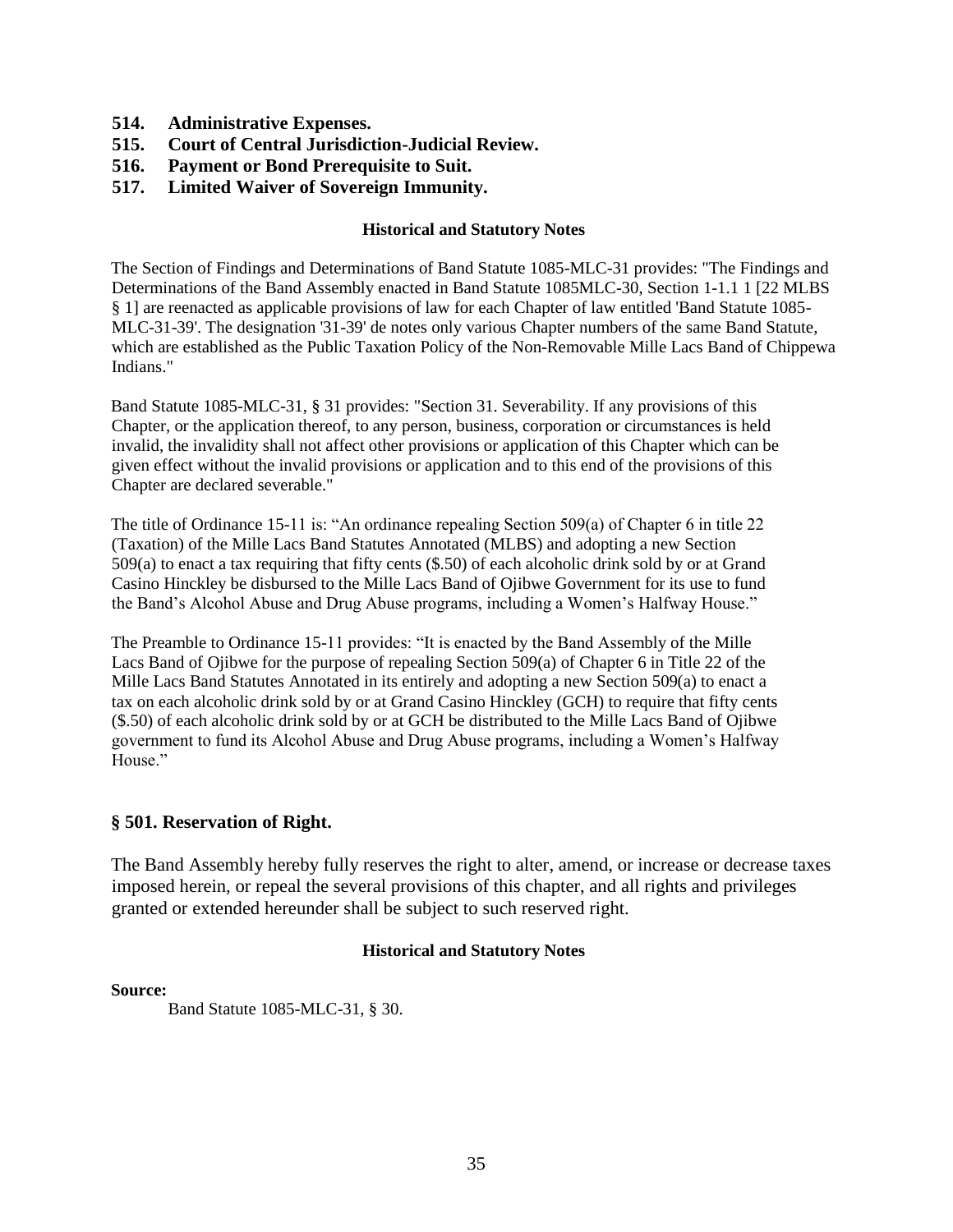- **514. Administrative Expenses.**
- **515. Court of Central Jurisdiction-Judicial Review.**
- **516. Payment or Bond Prerequisite to Suit.**
- **517. Limited Waiver of Sovereign Immunity.**

The Section of Findings and Determinations of Band Statute 1085-MLC-31 provides: "The Findings and Determinations of the Band Assembly enacted in Band Statute 1085MLC-30, Section 1-1.1 1 [22 MLBS § 1] are reenacted as applicable provisions of law for each Chapter of law entitled 'Band Statute 1085- MLC-31-39'. The designation '31-39' de notes only various Chapter numbers of the same Band Statute, which are established as the Public Taxation Policy of the Non-Removable Mille Lacs Band of Chippewa Indians."

Band Statute 1085-MLC-31, § 31 provides: "Section 31. Severability. If any provisions of this Chapter, or the application thereof, to any person, business, corporation or circumstances is held invalid, the invalidity shall not affect other provisions or application of this Chapter which can be given effect without the invalid provisions or application and to this end of the provisions of this Chapter are declared severable."

The title of Ordinance 15-11 is: "An ordinance repealing Section 509(a) of Chapter 6 in title 22 (Taxation) of the Mille Lacs Band Statutes Annotated (MLBS) and adopting a new Section 509(a) to enact a tax requiring that fifty cents (\$.50) of each alcoholic drink sold by or at Grand Casino Hinckley be disbursed to the Mille Lacs Band of Ojibwe Government for its use to fund the Band's Alcohol Abuse and Drug Abuse programs, including a Women's Halfway House."

The Preamble to Ordinance 15-11 provides: "It is enacted by the Band Assembly of the Mille Lacs Band of Ojibwe for the purpose of repealing Section 509(a) of Chapter 6 in Title 22 of the Mille Lacs Band Statutes Annotated in its entirely and adopting a new Section 509(a) to enact a tax on each alcoholic drink sold by or at Grand Casino Hinckley (GCH) to require that fifty cents (\$.50) of each alcoholic drink sold by or at GCH be distributed to the Mille Lacs Band of Ojibwe government to fund its Alcohol Abuse and Drug Abuse programs, including a Women's Halfway House."

# **§ 501. Reservation of Right.**

The Band Assembly hereby fully reserves the right to alter, amend, or increase or decrease taxes imposed herein, or repeal the several provisions of this chapter, and all rights and privileges granted or extended hereunder shall be subject to such reserved right.

#### **Historical and Statutory Notes**

#### **Source:**

Band Statute 1085-MLC-31, § 30.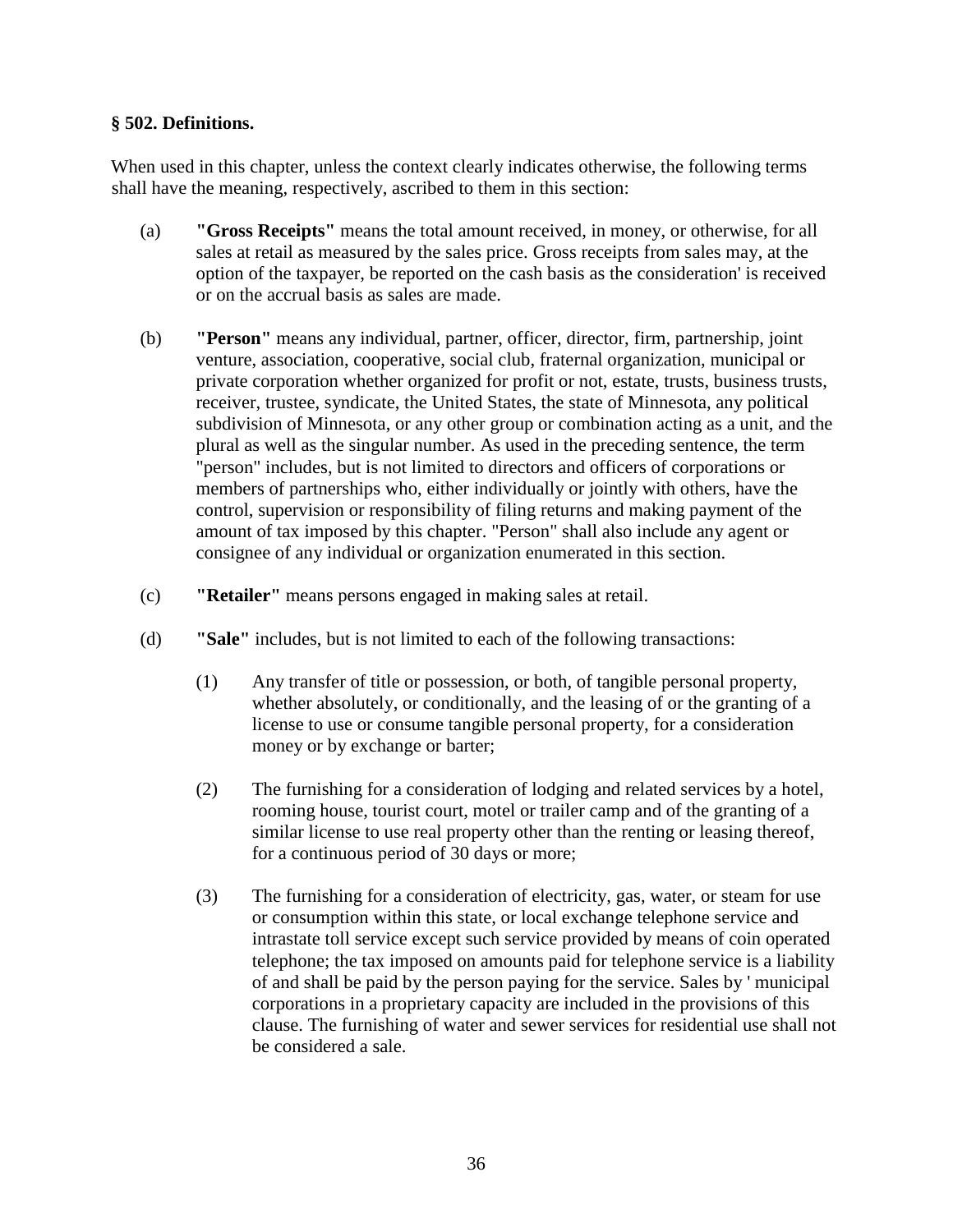# **§ 502. Definitions.**

When used in this chapter, unless the context clearly indicates otherwise, the following terms shall have the meaning, respectively, ascribed to them in this section:

- (a) **"Gross Receipts"** means the total amount received, in money, or otherwise, for all sales at retail as measured by the sales price. Gross receipts from sales may, at the option of the taxpayer, be reported on the cash basis as the consideration' is received or on the accrual basis as sales are made.
- (b) **"Person"** means any individual, partner, officer, director, firm, partnership, joint venture, association, cooperative, social club, fraternal organization, municipal or private corporation whether organized for profit or not, estate, trusts, business trusts, receiver, trustee, syndicate, the United States, the state of Minnesota, any political subdivision of Minnesota, or any other group or combination acting as a unit, and the plural as well as the singular number. As used in the preceding sentence, the term "person" includes, but is not limited to directors and officers of corporations or members of partnerships who, either individually or jointly with others, have the control, supervision or responsibility of filing returns and making payment of the amount of tax imposed by this chapter. "Person" shall also include any agent or consignee of any individual or organization enumerated in this section.
- (c) **"Retailer"** means persons engaged in making sales at retail.
- (d) **"Sale"** includes, but is not limited to each of the following transactions:
	- (1) Any transfer of title or possession, or both, of tangible personal property, whether absolutely, or conditionally, and the leasing of or the granting of a license to use or consume tangible personal property, for a consideration money or by exchange or barter;
	- (2) The furnishing for a consideration of lodging and related services by a hotel, rooming house, tourist court, motel or trailer camp and of the granting of a similar license to use real property other than the renting or leasing thereof, for a continuous period of 30 days or more;
	- (3) The furnishing for a consideration of electricity, gas, water, or steam for use or consumption within this state, or local exchange telephone service and intrastate toll service except such service provided by means of coin operated telephone; the tax imposed on amounts paid for telephone service is a liability of and shall be paid by the person paying for the service. Sales by ' municipal corporations in a proprietary capacity are included in the provisions of this clause. The furnishing of water and sewer services for residential use shall not be considered a sale.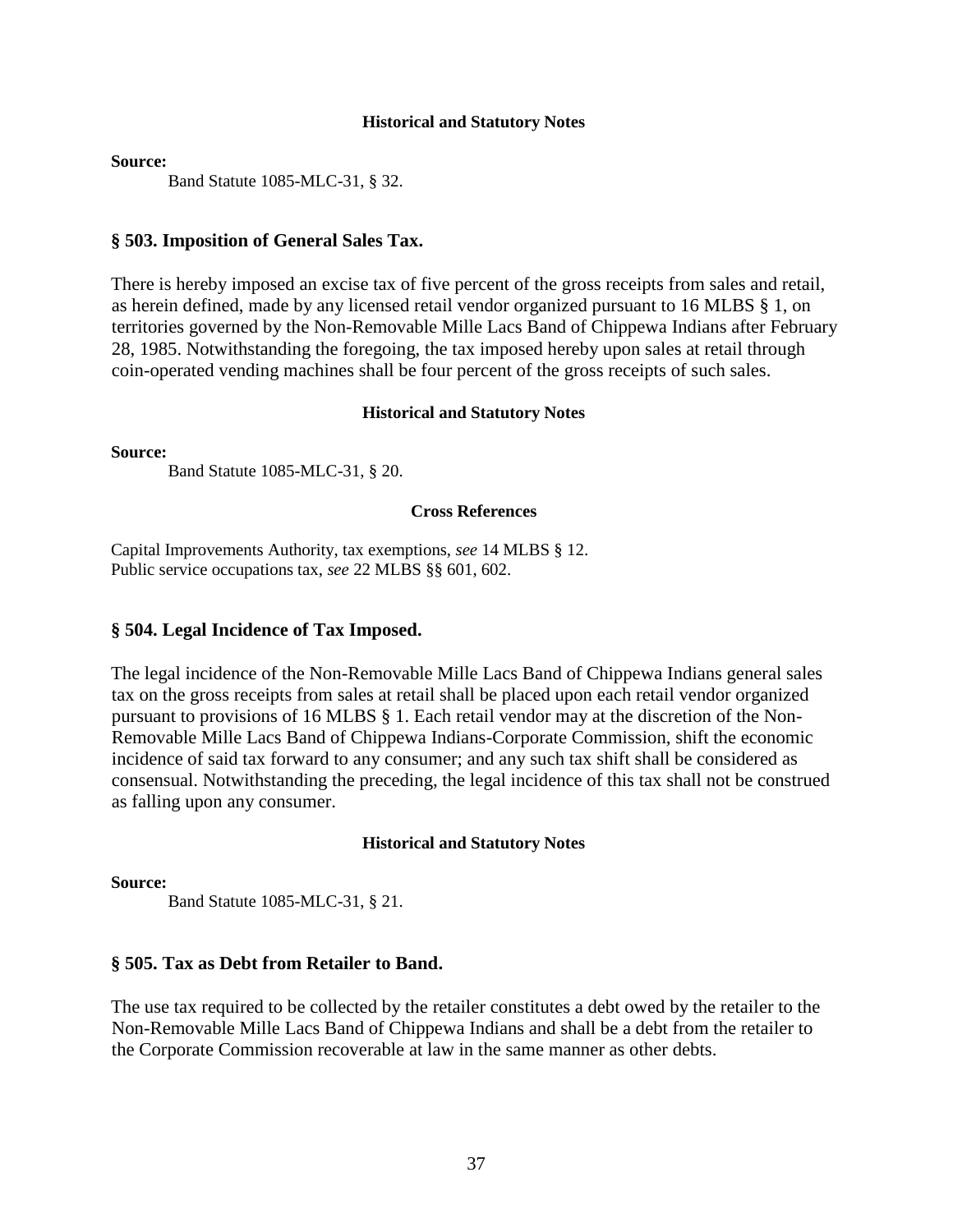**Source:** 

Band Statute 1085-MLC-31, § 32.

#### **§ 503. Imposition of General Sales Tax.**

There is hereby imposed an excise tax of five percent of the gross receipts from sales and retail, as herein defined, made by any licensed retail vendor organized pursuant to 16 MLBS § 1, on territories governed by the Non-Removable Mille Lacs Band of Chippewa Indians after February 28, 1985. Notwithstanding the foregoing, the tax imposed hereby upon sales at retail through coin-operated vending machines shall be four percent of the gross receipts of such sales.

#### **Historical and Statutory Notes**

**Source:**

Band Statute 1085-MLC-31, § 20.

#### **Cross References**

Capital Improvements Authority, tax exemptions, *see* 14 MLBS § 12. Public service occupations tax, *see* 22 MLBS §§ 601, 602.

#### **§ 504. Legal Incidence of Tax Imposed.**

The legal incidence of the Non-Removable Mille Lacs Band of Chippewa Indians general sales tax on the gross receipts from sales at retail shall be placed upon each retail vendor organized pursuant to provisions of 16 MLBS § 1. Each retail vendor may at the discretion of the Non-Removable Mille Lacs Band of Chippewa Indians-Corporate Commission, shift the economic incidence of said tax forward to any consumer; and any such tax shift shall be considered as consensual. Notwithstanding the preceding, the legal incidence of this tax shall not be construed as falling upon any consumer.

#### **Historical and Statutory Notes**

#### **Source:**

Band Statute 1085-MLC-31, § 21.

#### **§ 505. Tax as Debt from Retailer to Band.**

The use tax required to be collected by the retailer constitutes a debt owed by the retailer to the Non-Removable Mille Lacs Band of Chippewa Indians and shall be a debt from the retailer to the Corporate Commission recoverable at law in the same manner as other debts.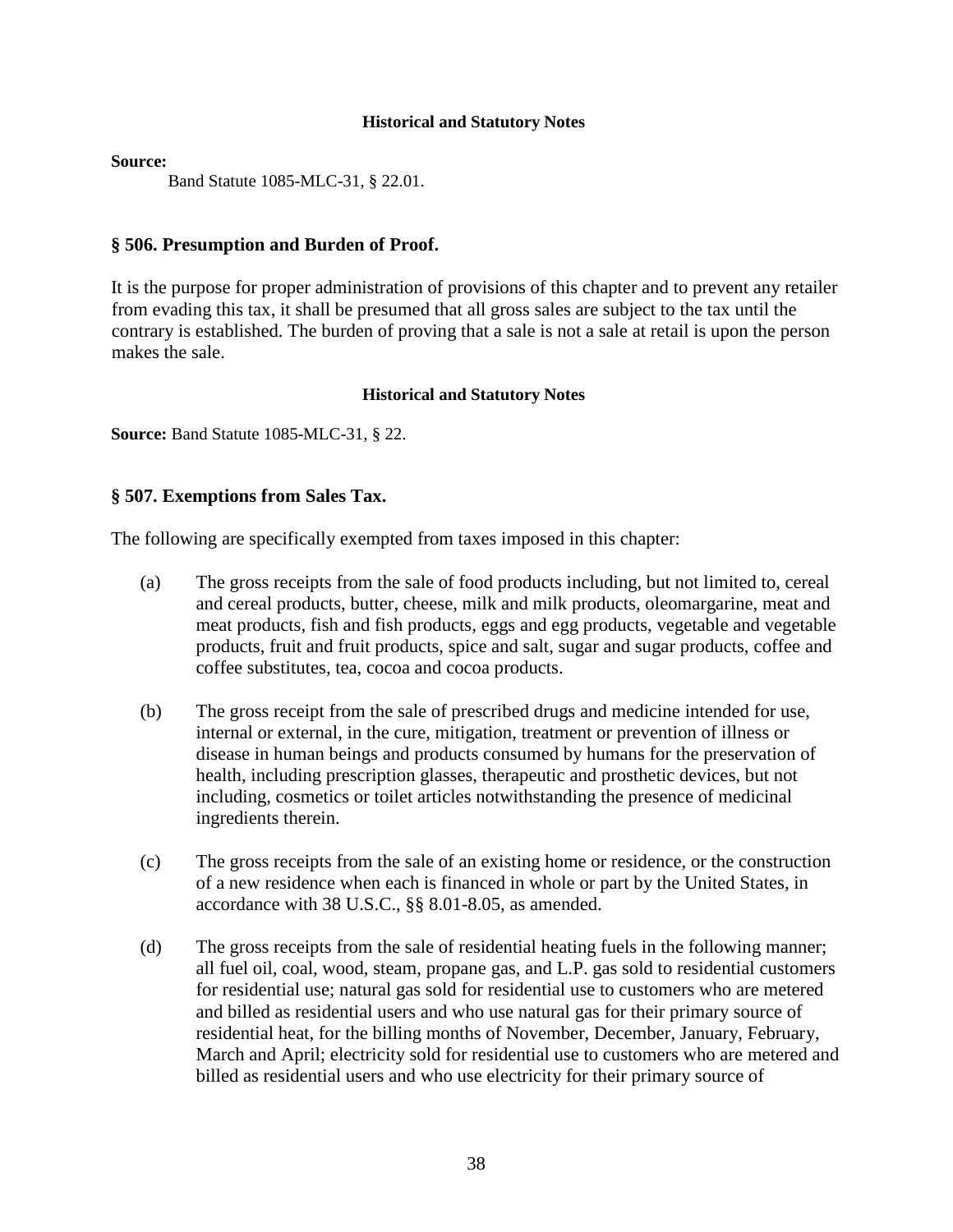#### **Source:**

Band Statute 1085-MLC-31, § 22.01.

#### **§ 506. Presumption and Burden of Proof.**

It is the purpose for proper administration of provisions of this chapter and to prevent any retailer from evading this tax, it shall be presumed that all gross sales are subject to the tax until the contrary is established. The burden of proving that a sale is not a sale at retail is upon the person makes the sale.

#### **Historical and Statutory Notes**

**Source:** Band Statute 1085-MLC-31, § 22.

# **§ 507. Exemptions from Sales Tax.**

The following are specifically exempted from taxes imposed in this chapter:

- (a) The gross receipts from the sale of food products including, but not limited to, cereal and cereal products, butter, cheese, milk and milk products, oleomargarine, meat and meat products, fish and fish products, eggs and egg products, vegetable and vegetable products, fruit and fruit products, spice and salt, sugar and sugar products, coffee and coffee substitutes, tea, cocoa and cocoa products.
- (b) The gross receipt from the sale of prescribed drugs and medicine intended for use, internal or external, in the cure, mitigation, treatment or prevention of illness or disease in human beings and products consumed by humans for the preservation of health, including prescription glasses, therapeutic and prosthetic devices, but not including, cosmetics or toilet articles notwithstanding the presence of medicinal ingredients therein.
- (c) The gross receipts from the sale of an existing home or residence, or the construction of a new residence when each is financed in whole or part by the United States, in accordance with 38 U.S.C., §§ 8.01-8.05, as amended.
- (d) The gross receipts from the sale of residential heating fuels in the following manner; all fuel oil, coal, wood, steam, propane gas, and L.P. gas sold to residential customers for residential use; natural gas sold for residential use to customers who are metered and billed as residential users and who use natural gas for their primary source of residential heat, for the billing months of November, December, January, February, March and April; electricity sold for residential use to customers who are metered and billed as residential users and who use electricity for their primary source of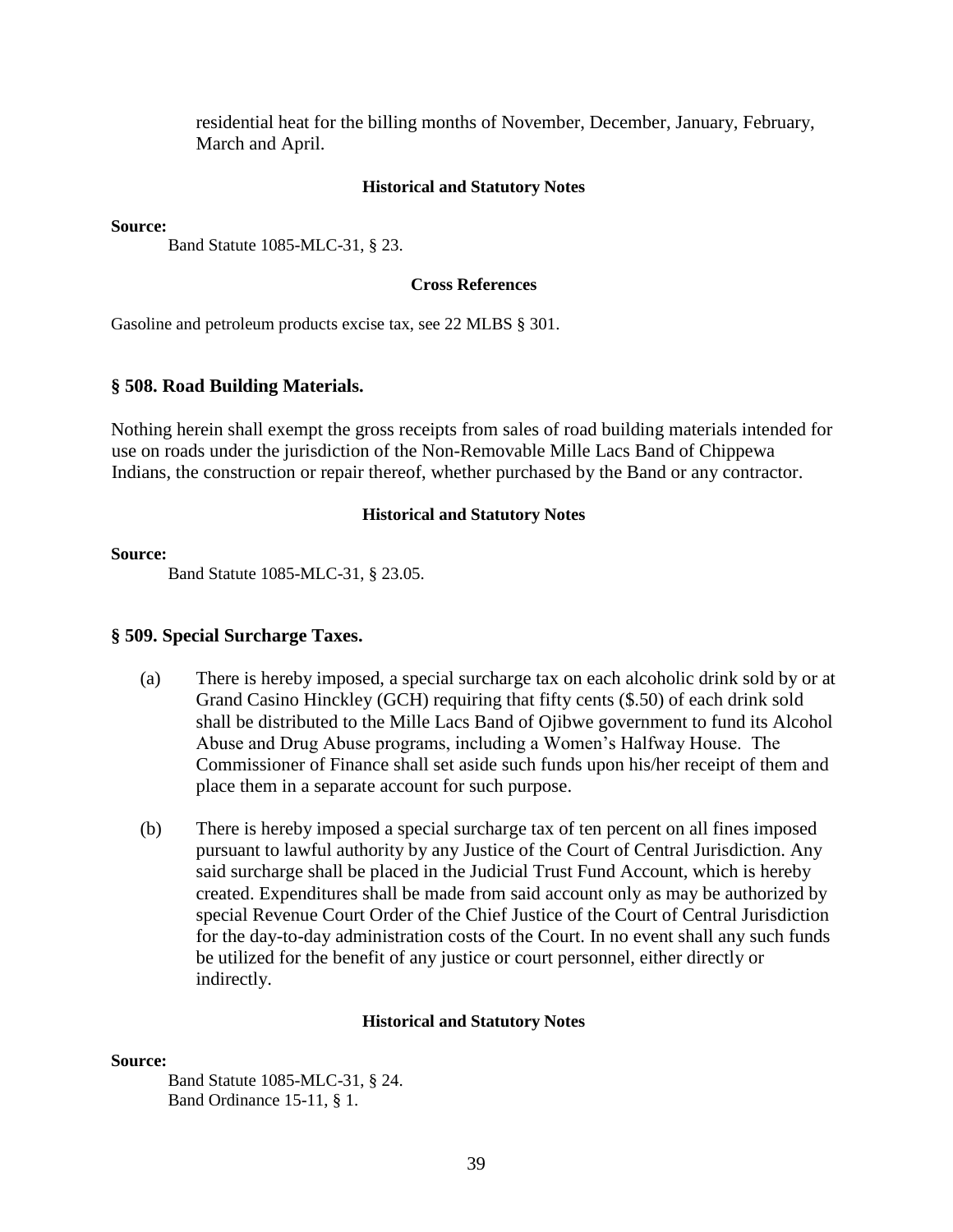residential heat for the billing months of November, December, January, February, March and April.

#### **Historical and Statutory Notes**

**Source:** 

Band Statute 1085-MLC-31, § 23.

#### **Cross References**

Gasoline and petroleum products excise tax, see 22 MLBS § 301.

#### **§ 508. Road Building Materials.**

Nothing herein shall exempt the gross receipts from sales of road building materials intended for use on roads under the jurisdiction of the Non-Removable Mille Lacs Band of Chippewa Indians, the construction or repair thereof, whether purchased by the Band or any contractor.

#### **Historical and Statutory Notes**

#### **Source:**

Band Statute 1085-MLC-31, § 23.05.

#### **§ 509. Special Surcharge Taxes.**

- (a) There is hereby imposed, a special surcharge tax on each alcoholic drink sold by or at Grand Casino Hinckley (GCH) requiring that fifty cents (\$.50) of each drink sold shall be distributed to the Mille Lacs Band of Ojibwe government to fund its Alcohol Abuse and Drug Abuse programs, including a Women's Halfway House. The Commissioner of Finance shall set aside such funds upon his/her receipt of them and place them in a separate account for such purpose.
- (b) There is hereby imposed a special surcharge tax of ten percent on all fines imposed pursuant to lawful authority by any Justice of the Court of Central Jurisdiction. Any said surcharge shall be placed in the Judicial Trust Fund Account, which is hereby created. Expenditures shall be made from said account only as may be authorized by special Revenue Court Order of the Chief Justice of the Court of Central Jurisdiction for the day-to-day administration costs of the Court. In no event shall any such funds be utilized for the benefit of any justice or court personnel, either directly or indirectly.

#### **Historical and Statutory Notes**

#### **Source:**

Band Statute 1085-MLC-31, § 24. Band Ordinance 15-11, § 1.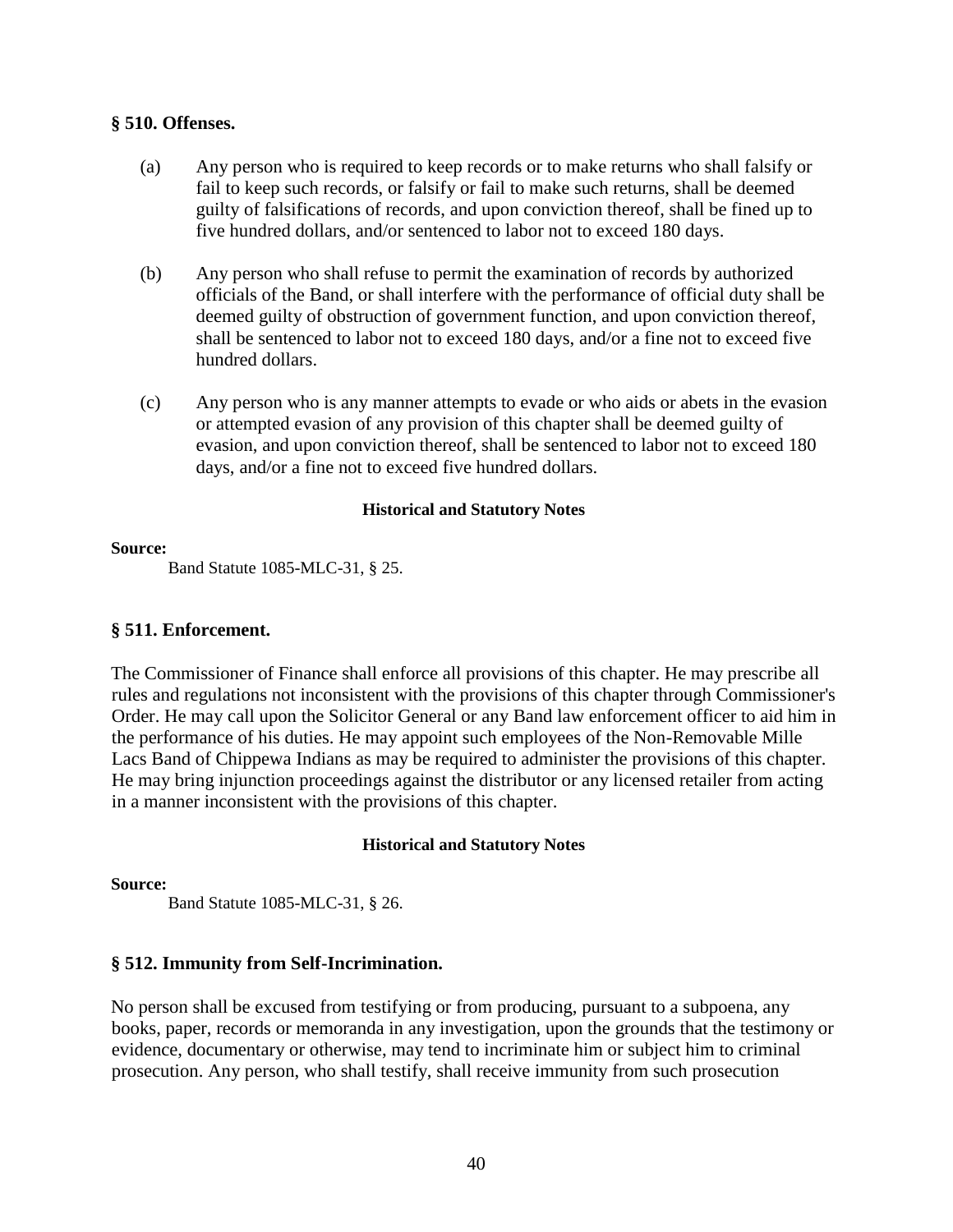#### **§ 510. Offenses.**

- (a) Any person who is required to keep records or to make returns who shall falsify or fail to keep such records, or falsify or fail to make such returns, shall be deemed guilty of falsifications of records, and upon conviction thereof, shall be fined up to five hundred dollars, and/or sentenced to labor not to exceed 180 days.
- (b) Any person who shall refuse to permit the examination of records by authorized officials of the Band, or shall interfere with the performance of official duty shall be deemed guilty of obstruction of government function, and upon conviction thereof, shall be sentenced to labor not to exceed 180 days, and/or a fine not to exceed five hundred dollars.
- (c) Any person who is any manner attempts to evade or who aids or abets in the evasion or attempted evasion of any provision of this chapter shall be deemed guilty of evasion, and upon conviction thereof, shall be sentenced to labor not to exceed 180 days, and/or a fine not to exceed five hundred dollars.

#### **Historical and Statutory Notes**

#### **Source:**

Band Statute 1085-MLC-31, § 25.

# **§ 511. Enforcement.**

The Commissioner of Finance shall enforce all provisions of this chapter. He may prescribe all rules and regulations not inconsistent with the provisions of this chapter through Commissioner's Order. He may call upon the Solicitor General or any Band law enforcement officer to aid him in the performance of his duties. He may appoint such employees of the Non-Removable Mille Lacs Band of Chippewa Indians as may be required to administer the provisions of this chapter. He may bring injunction proceedings against the distributor or any licensed retailer from acting in a manner inconsistent with the provisions of this chapter.

# **Historical and Statutory Notes**

#### **Source:**

Band Statute 1085-MLC-31, § 26.

# **§ 512. Immunity from Self-Incrimination.**

No person shall be excused from testifying or from producing, pursuant to a subpoena, any books, paper, records or memoranda in any investigation, upon the grounds that the testimony or evidence, documentary or otherwise, may tend to incriminate him or subject him to criminal prosecution. Any person, who shall testify, shall receive immunity from such prosecution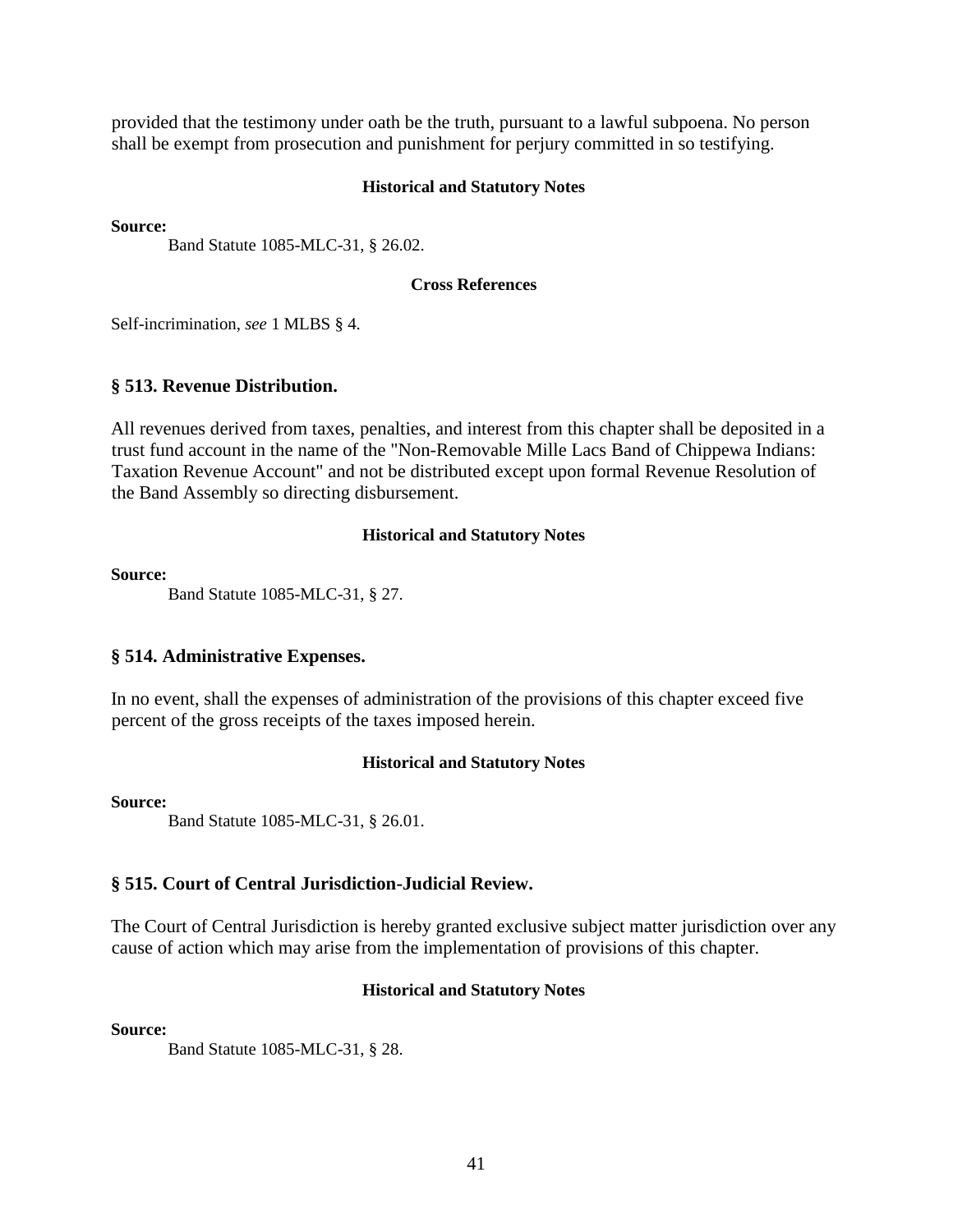provided that the testimony under oath be the truth, pursuant to a lawful subpoena. No person shall be exempt from prosecution and punishment for perjury committed in so testifying.

#### **Historical and Statutory Notes**

**Source:** 

Band Statute 1085-MLC-31, § 26.02.

#### **Cross References**

Self-incrimination, *see* 1 MLBS § 4.

#### **§ 513. Revenue Distribution.**

All revenues derived from taxes, penalties, and interest from this chapter shall be deposited in a trust fund account in the name of the "Non-Removable Mille Lacs Band of Chippewa Indians: Taxation Revenue Account" and not be distributed except upon formal Revenue Resolution of the Band Assembly so directing disbursement.

#### **Historical and Statutory Notes**

**Source:** 

Band Statute 1085-MLC-31, § 27.

#### **§ 514. Administrative Expenses.**

In no event, shall the expenses of administration of the provisions of this chapter exceed five percent of the gross receipts of the taxes imposed herein.

#### **Historical and Statutory Notes**

**Source:**

Band Statute 1085-MLC-31, § 26.01.

#### **§ 515. Court of Central Jurisdiction-Judicial Review.**

The Court of Central Jurisdiction is hereby granted exclusive subject matter jurisdiction over any cause of action which may arise from the implementation of provisions of this chapter.

#### **Historical and Statutory Notes**

**Source:**

Band Statute 1085-MLC-31, § 28.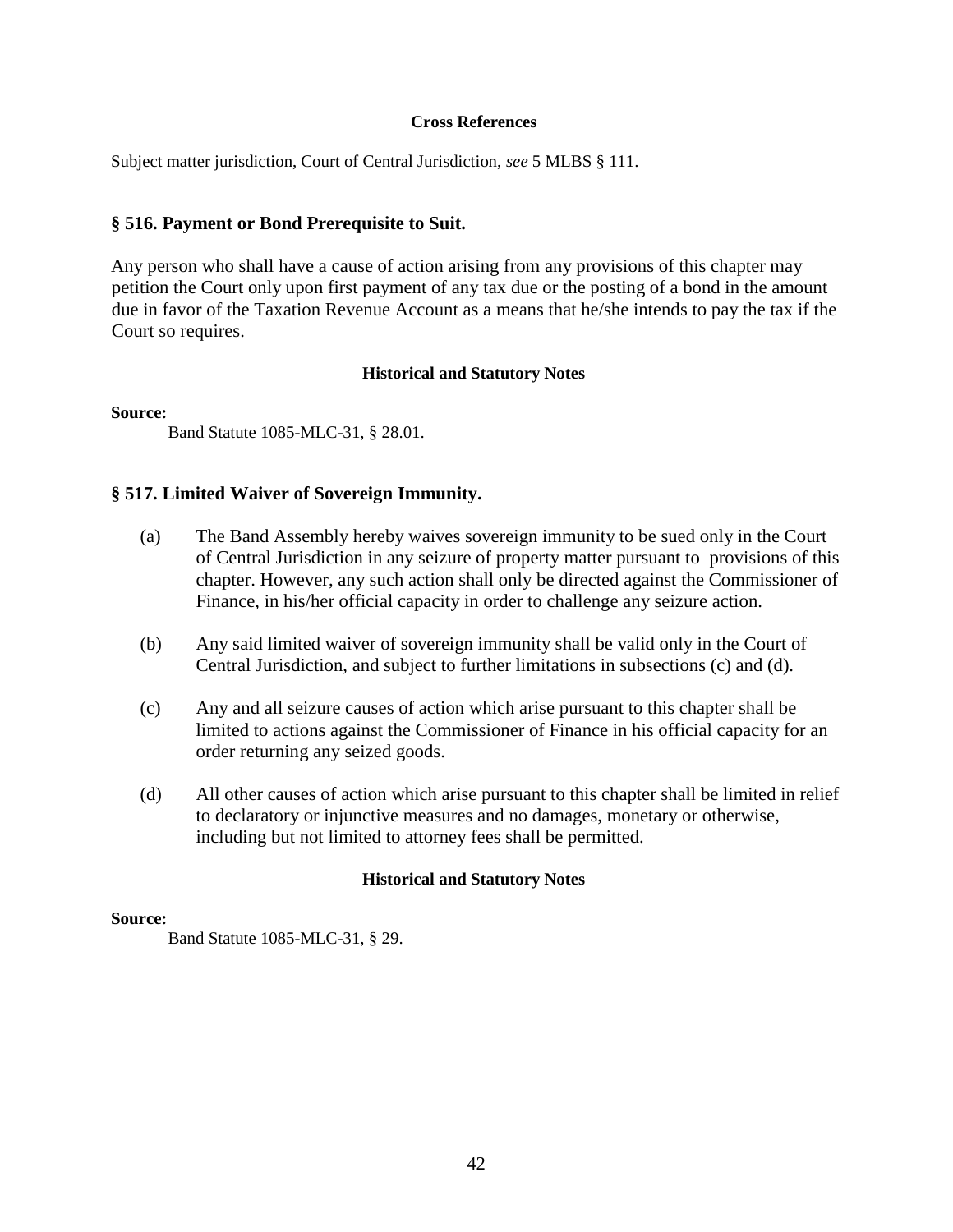#### **Cross References**

Subject matter jurisdiction, Court of Central Jurisdiction, *see* 5 MLBS § 111.

#### **§ 516. Payment or Bond Prerequisite to Suit.**

Any person who shall have a cause of action arising from any provisions of this chapter may petition the Court only upon first payment of any tax due or the posting of a bond in the amount due in favor of the Taxation Revenue Account as a means that he/she intends to pay the tax if the Court so requires.

#### **Historical and Statutory Notes**

#### **Source:**

Band Statute 1085-MLC-31, § 28.01.

#### **§ 517. Limited Waiver of Sovereign Immunity.**

- (a) The Band Assembly hereby waives sovereign immunity to be sued only in the Court of Central Jurisdiction in any seizure of property matter pursuant to provisions of this chapter. However, any such action shall only be directed against the Commissioner of Finance, in his/her official capacity in order to challenge any seizure action.
- (b) Any said limited waiver of sovereign immunity shall be valid only in the Court of Central Jurisdiction, and subject to further limitations in subsections (c) and (d).
- (c) Any and all seizure causes of action which arise pursuant to this chapter shall be limited to actions against the Commissioner of Finance in his official capacity for an order returning any seized goods.
- (d) All other causes of action which arise pursuant to this chapter shall be limited in relief to declaratory or injunctive measures and no damages, monetary or otherwise, including but not limited to attorney fees shall be permitted.

#### **Historical and Statutory Notes**

#### **Source:**

Band Statute 1085-MLC-31, § 29.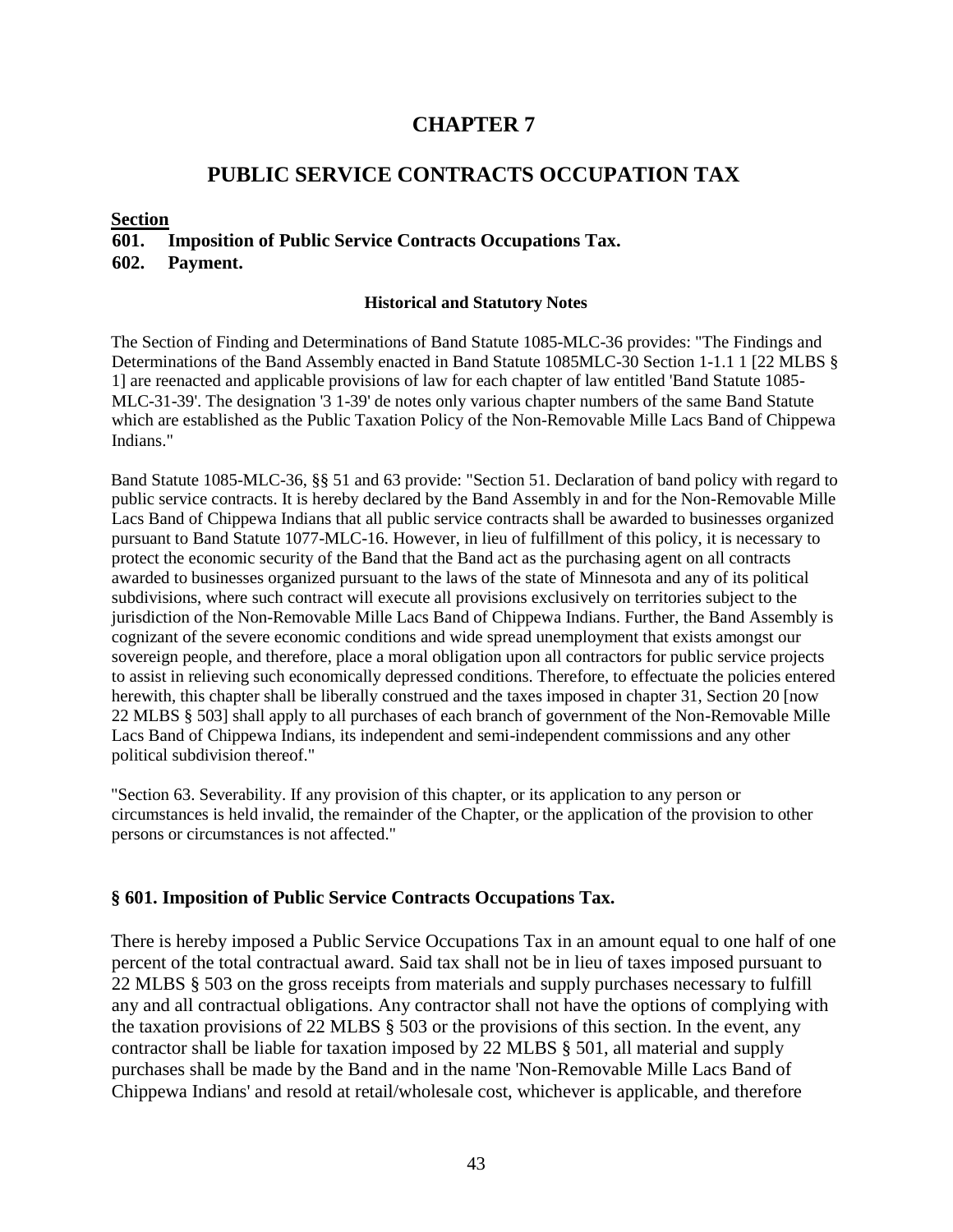# **CHAPTER 7**

# **PUBLIC SERVICE CONTRACTS OCCUPATION TAX**

# **Section**

# **601. Imposition of Public Service Contracts Occupations Tax. 602. Payment.**

#### **Historical and Statutory Notes**

The Section of Finding and Determinations of Band Statute 1085-MLC-36 provides: "The Findings and Determinations of the Band Assembly enacted in Band Statute 1085MLC-30 Section 1-1.1 1 [22 MLBS § 1] are reenacted and applicable provisions of law for each chapter of law entitled 'Band Statute 1085- MLC-31-39'. The designation '3 1-39' de notes only various chapter numbers of the same Band Statute which are established as the Public Taxation Policy of the Non-Removable Mille Lacs Band of Chippewa Indians."

Band Statute 1085-MLC-36, §§ 51 and 63 provide: "Section 51. Declaration of band policy with regard to public service contracts. It is hereby declared by the Band Assembly in and for the Non-Removable Mille Lacs Band of Chippewa Indians that all public service contracts shall be awarded to businesses organized pursuant to Band Statute 1077-MLC-16. However, in lieu of fulfillment of this policy, it is necessary to protect the economic security of the Band that the Band act as the purchasing agent on all contracts awarded to businesses organized pursuant to the laws of the state of Minnesota and any of its political subdivisions, where such contract will execute all provisions exclusively on territories subject to the jurisdiction of the Non-Removable Mille Lacs Band of Chippewa Indians. Further, the Band Assembly is cognizant of the severe economic conditions and wide spread unemployment that exists amongst our sovereign people, and therefore, place a moral obligation upon all contractors for public service projects to assist in relieving such economically depressed conditions. Therefore, to effectuate the policies entered herewith, this chapter shall be liberally construed and the taxes imposed in chapter 31, Section 20 [now 22 MLBS § 503] shall apply to all purchases of each branch of government of the Non-Removable Mille Lacs Band of Chippewa Indians, its independent and semi-independent commissions and any other political subdivision thereof."

"Section 63. Severability. If any provision of this chapter, or its application to any person or circumstances is held invalid, the remainder of the Chapter, or the application of the provision to other persons or circumstances is not affected."

# **§ 601. Imposition of Public Service Contracts Occupations Tax.**

There is hereby imposed a Public Service Occupations Tax in an amount equal to one half of one percent of the total contractual award. Said tax shall not be in lieu of taxes imposed pursuant to 22 MLBS § 503 on the gross receipts from materials and supply purchases necessary to fulfill any and all contractual obligations. Any contractor shall not have the options of complying with the taxation provisions of 22 MLBS § 503 or the provisions of this section. In the event, any contractor shall be liable for taxation imposed by 22 MLBS § 501, all material and supply purchases shall be made by the Band and in the name 'Non-Removable Mille Lacs Band of Chippewa Indians' and resold at retail/wholesale cost, whichever is applicable, and therefore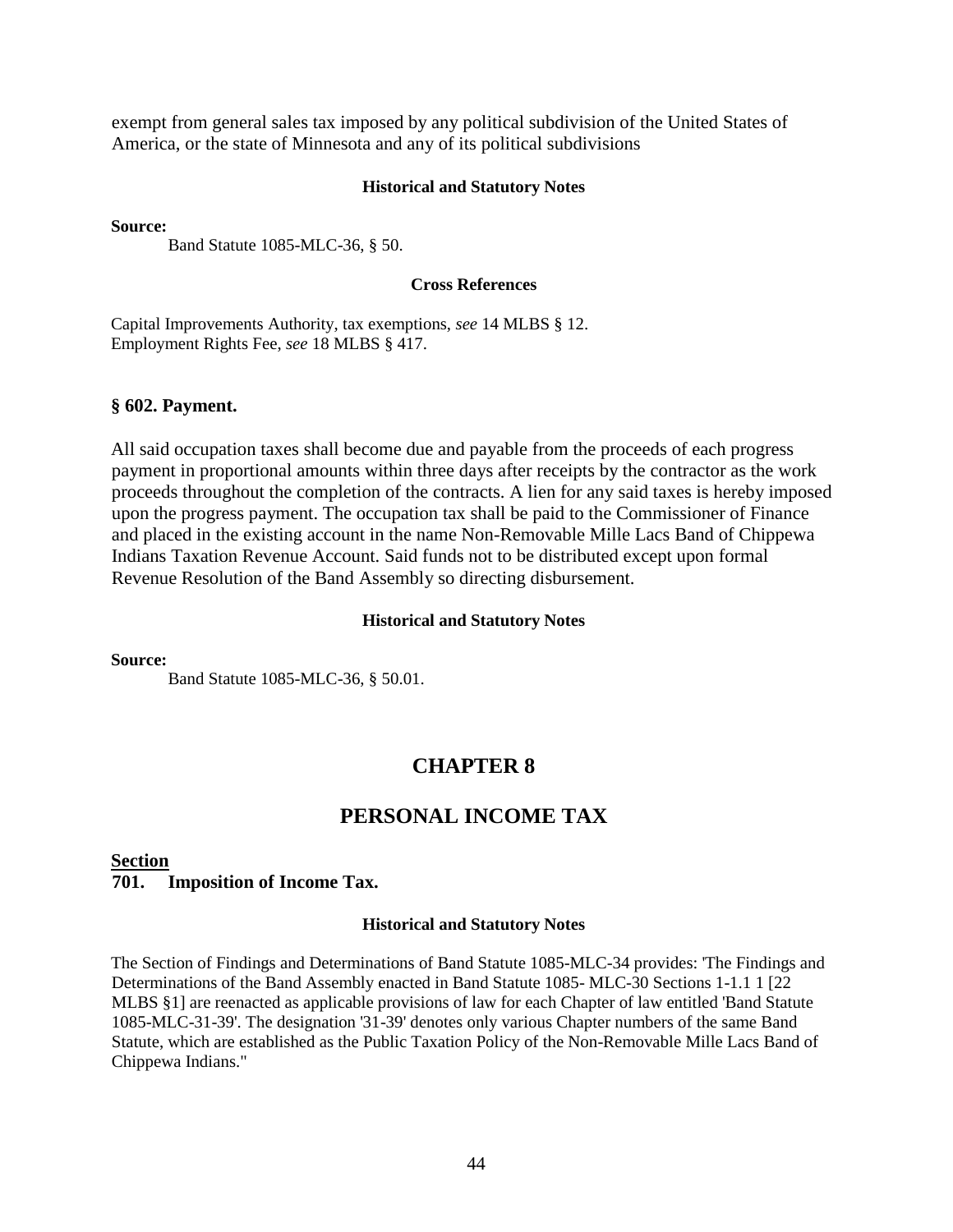exempt from general sales tax imposed by any political subdivision of the United States of America, or the state of Minnesota and any of its political subdivisions

#### **Historical and Statutory Notes**

**Source:**

Band Statute 1085-MLC-36, § 50.

#### **Cross References**

Capital Improvements Authority, tax exemptions, *see* 14 MLBS § 12. Employment Rights Fee, *see* 18 MLBS § 417.

#### **§ 602. Payment.**

All said occupation taxes shall become due and payable from the proceeds of each progress payment in proportional amounts within three days after receipts by the contractor as the work proceeds throughout the completion of the contracts. A lien for any said taxes is hereby imposed upon the progress payment. The occupation tax shall be paid to the Commissioner of Finance and placed in the existing account in the name Non-Removable Mille Lacs Band of Chippewa Indians Taxation Revenue Account. Said funds not to be distributed except upon formal Revenue Resolution of the Band Assembly so directing disbursement.

#### **Historical and Statutory Notes**

**Source:**

Band Statute 1085-MLC-36, § 50.01.

# **CHAPTER 8**

# **PERSONAL INCOME TAX**

#### **Section**

#### **701. Imposition of Income Tax.**

#### **Historical and Statutory Notes**

The Section of Findings and Determinations of Band Statute 1085-MLC-34 provides: 'The Findings and Determinations of the Band Assembly enacted in Band Statute 1085- MLC-30 Sections 1-1.1 1 [22 MLBS §1] are reenacted as applicable provisions of law for each Chapter of law entitled 'Band Statute 1085-MLC-31-39'. The designation '31-39' denotes only various Chapter numbers of the same Band Statute, which are established as the Public Taxation Policy of the Non-Removable Mille Lacs Band of Chippewa Indians."